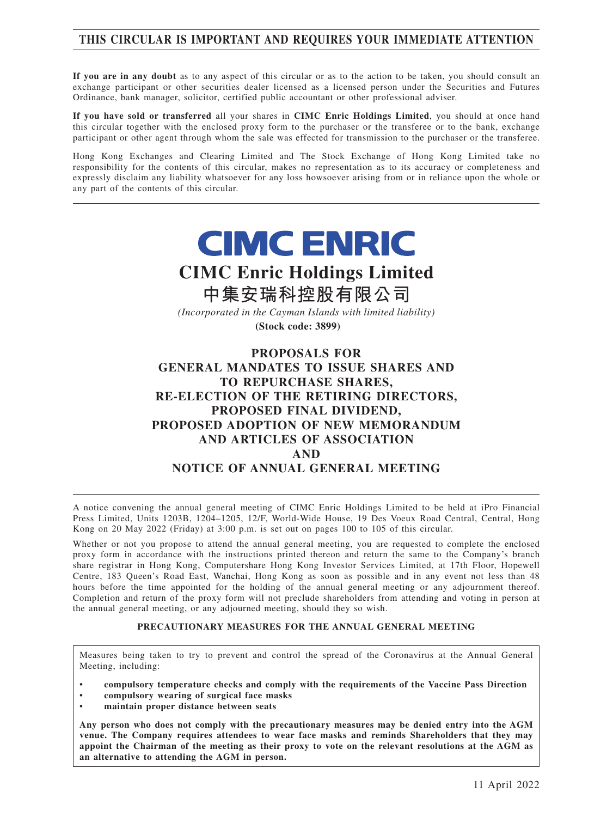# **THIS CIRCULAR IS IMPORTANT AND REQUIRES YOUR IMMEDIATE ATTENTION**

**If you are in any doubt** as to any aspect of this circular or as to the action to be taken, you should consult an exchange participant or other securities dealer licensed as a licensed person under the Securities and Futures Ordinance, bank manager, solicitor, certified public accountant or other professional adviser.

**If you have sold or transferred** all your shares in **CIMC Enric Holdings Limited**, you should at once hand this circular together with the enclosed proxy form to the purchaser or the transferee or to the bank, exchange participant or other agent through whom the sale was effected for transmission to the purchaser or the transferee.

Hong Kong Exchanges and Clearing Limited and The Stock Exchange of Hong Kong Limited take no responsibility for the contents of this circular, makes no representation as to its accuracy or completeness and expressly disclaim any liability whatsoever for any loss howsoever arising from or in reliance upon the whole or any part of the contents of this circular.

# **CIMC ENRIC**

# **CIMC Enric Holdings Limited**

**中集安瑞科控股有限公司**

*(Incorporated in the Cayman Islands with limited liability)*

**(Stock code: 3899)**

# **PROPOSALS FOR GENERAL MANDATES TO ISSUE SHARES AND TO REPURCHASE SHARES, RE-ELECTION OF THE RETIRING DIRECTORS, PROPOSED FINAL DIVIDEND, PROPOSED ADOPTION OF NEW MEMORANDUM AND ARTICLES OF ASSOCIATION AND NOTICE OF ANNUAL GENERAL MEETING**

A notice convening the annual general meeting of CIMC Enric Holdings Limited to be held at iPro Financial Press Limited, Units 1203B, 1204–1205, 12/F, World-Wide House, 19 Des Voeux Road Central, Central, Hong Kong on 20 May 2022 (Friday) at 3:00 p.m. is set out on pages 100 to 105 of this circular.

Whether or not you propose to attend the annual general meeting, you are requested to complete the enclosed proxy form in accordance with the instructions printed thereon and return the same to the Company's branch share registrar in Hong Kong, Computershare Hong Kong Investor Services Limited, at 17th Floor, Hopewell Centre, 183 Queen's Road East, Wanchai, Hong Kong as soon as possible and in any event not less than 48 hours before the time appointed for the holding of the annual general meeting or any adjournment thereof. Completion and return of the proxy form will not preclude shareholders from attending and voting in person at the annual general meeting, or any adjourned meeting, should they so wish.

#### **PRECAUTIONARY MEASURES FOR THE ANNUAL GENERAL MEETING**

Measures being taken to try to prevent and control the spread of the Coronavirus at the Annual General Meeting, including:

• **compulsory temperature checks and comply with the requirements of the Vaccine Pass Direction**

- **compulsory wearing of surgical face masks**
- **maintain proper distance between seats**

**Any person who does not comply with the precautionary measures may be denied entry into the AGM venue. The Company requires attendees to wear face masks and reminds Shareholders that they may appoint the Chairman of the meeting as their proxy to vote on the relevant resolutions at the AGM as an alternative to attending the AGM in person.**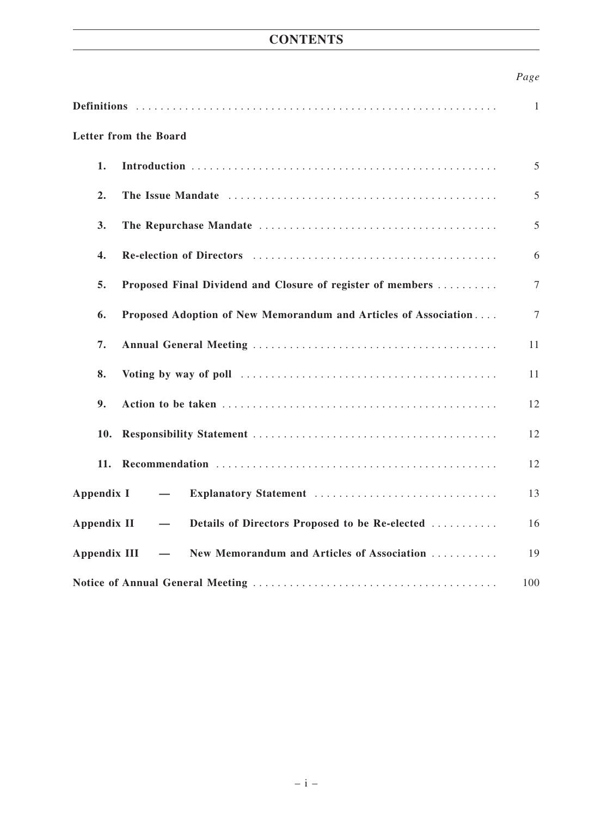# **CONTENTS**

# *Page*

|                                                                                                          | 1              |
|----------------------------------------------------------------------------------------------------------|----------------|
| Letter from the Board                                                                                    |                |
| 1.                                                                                                       | 5              |
| 2.                                                                                                       | 5              |
| 3.                                                                                                       | 5              |
| 4.                                                                                                       | 6              |
| 5.<br>Proposed Final Dividend and Closure of register of members                                         | 7              |
| Proposed Adoption of New Memorandum and Articles of Association<br>6.                                    | $\overline{7}$ |
| 7.                                                                                                       | 11             |
| 8.                                                                                                       | 11             |
| 9.                                                                                                       | 12             |
| 10.                                                                                                      | 12             |
| 11.                                                                                                      | 12             |
| Appendix I<br>Explanatory Statement<br>$\overline{\phantom{m}}$                                          | 13             |
| <b>Appendix II</b><br>Details of Directors Proposed to be Re-elected<br>$\overbrace{\phantom{12322111}}$ | 16             |
| New Memorandum and Articles of Association<br><b>Appendix III</b>                                        | 19             |
|                                                                                                          | 100            |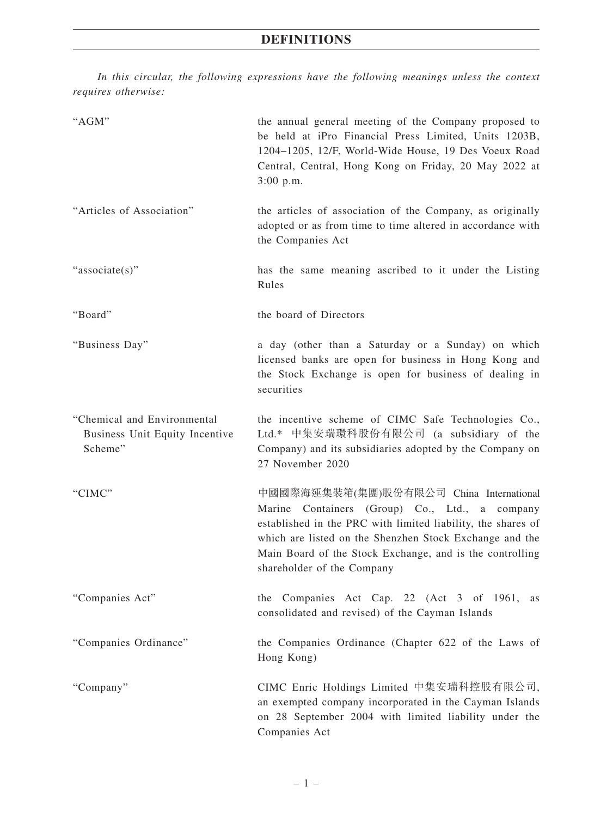*In this circular, the following expressions have the following meanings unless the context requires otherwise:*

| "AGM"                                                                    | the annual general meeting of the Company proposed to<br>be held at iPro Financial Press Limited, Units 1203B,<br>1204-1205, 12/F, World-Wide House, 19 Des Voeux Road<br>Central, Central, Hong Kong on Friday, 20 May 2022 at<br>$3:00$ p.m.                                                                 |
|--------------------------------------------------------------------------|----------------------------------------------------------------------------------------------------------------------------------------------------------------------------------------------------------------------------------------------------------------------------------------------------------------|
| "Articles of Association"                                                | the articles of association of the Company, as originally<br>adopted or as from time to time altered in accordance with<br>the Companies Act                                                                                                                                                                   |
| "associate(s)"                                                           | has the same meaning ascribed to it under the Listing<br>Rules                                                                                                                                                                                                                                                 |
| "Board"                                                                  | the board of Directors                                                                                                                                                                                                                                                                                         |
| "Business Day"                                                           | a day (other than a Saturday or a Sunday) on which<br>licensed banks are open for business in Hong Kong and<br>the Stock Exchange is open for business of dealing in<br>securities                                                                                                                             |
| "Chemical and Environmental<br>Business Unit Equity Incentive<br>Scheme" | the incentive scheme of CIMC Safe Technologies Co.,<br>Ltd.* 中集安瑞環科股份有限公司 (a subsidiary of the<br>Company) and its subsidiaries adopted by the Company on<br>27 November 2020                                                                                                                                  |
| "CIMC"                                                                   | 中國國際海運集裝箱(集團)股份有限公司 China International<br>Marine Containers (Group) Co., Ltd., a company<br>established in the PRC with limited liability, the shares of<br>which are listed on the Shenzhen Stock Exchange and the<br>Main Board of the Stock Exchange, and is the controlling<br>shareholder of the Company |
| "Companies Act"                                                          | Companies Act Cap. 22 (Act 3 of 1961,<br>the<br>as<br>consolidated and revised) of the Cayman Islands                                                                                                                                                                                                          |
| "Companies Ordinance"                                                    | the Companies Ordinance (Chapter 622 of the Laws of<br>Hong Kong)                                                                                                                                                                                                                                              |
| "Company"                                                                | CIMC Enric Holdings Limited 中集安瑞科控股有限公司,<br>an exempted company incorporated in the Cayman Islands<br>on 28 September 2004 with limited liability under the<br>Companies Act                                                                                                                                   |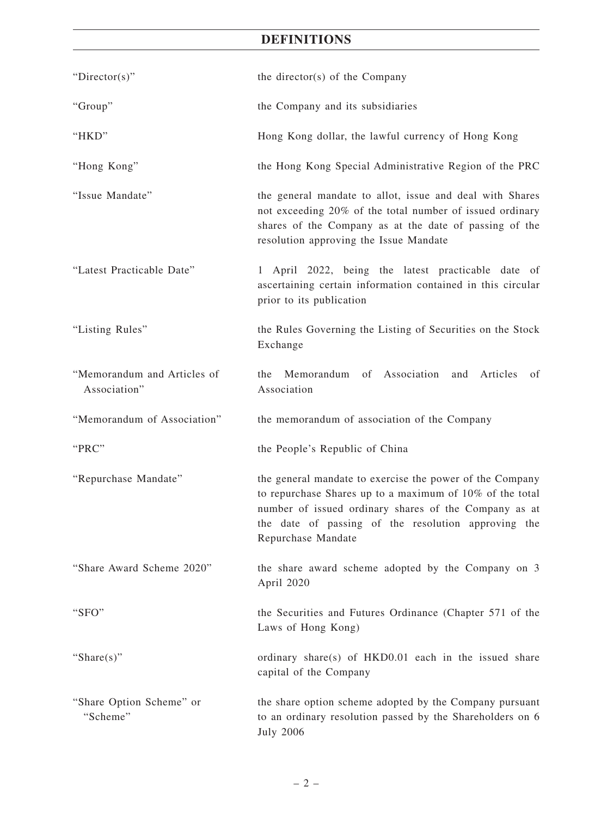# **DEFINITIONS**

| "Director(s)"                               | the director(s) of the Company                                                                                                                                                                                                                             |
|---------------------------------------------|------------------------------------------------------------------------------------------------------------------------------------------------------------------------------------------------------------------------------------------------------------|
| "Group"                                     | the Company and its subsidiaries                                                                                                                                                                                                                           |
| "HKD"                                       | Hong Kong dollar, the lawful currency of Hong Kong                                                                                                                                                                                                         |
| "Hong Kong"                                 | the Hong Kong Special Administrative Region of the PRC                                                                                                                                                                                                     |
| "Issue Mandate"                             | the general mandate to allot, issue and deal with Shares<br>not exceeding 20% of the total number of issued ordinary<br>shares of the Company as at the date of passing of the<br>resolution approving the Issue Mandate                                   |
| "Latest Practicable Date"                   | 1 April 2022, being the latest practicable date of<br>ascertaining certain information contained in this circular<br>prior to its publication                                                                                                              |
| "Listing Rules"                             | the Rules Governing the Listing of Securities on the Stock<br>Exchange                                                                                                                                                                                     |
| "Memorandum and Articles of<br>Association" | of Association and<br>Memorandum<br>Articles<br>the<br>of<br>Association                                                                                                                                                                                   |
| "Memorandum of Association"                 | the memorandum of association of the Company                                                                                                                                                                                                               |
| "PRC"                                       | the People's Republic of China                                                                                                                                                                                                                             |
| "Repurchase Mandate"                        | the general mandate to exercise the power of the Company<br>to repurchase Shares up to a maximum of 10% of the total<br>number of issued ordinary shares of the Company as at<br>the date of passing of the resolution approving the<br>Repurchase Mandate |
|                                             |                                                                                                                                                                                                                                                            |
| "Share Award Scheme 2020"                   | the share award scheme adopted by the Company on 3<br>April 2020                                                                                                                                                                                           |
| "SFO"                                       | the Securities and Futures Ordinance (Chapter 571 of the<br>Laws of Hong Kong)                                                                                                                                                                             |
| "Share $(s)$ "                              | ordinary share(s) of HKD0.01 each in the issued share<br>capital of the Company                                                                                                                                                                            |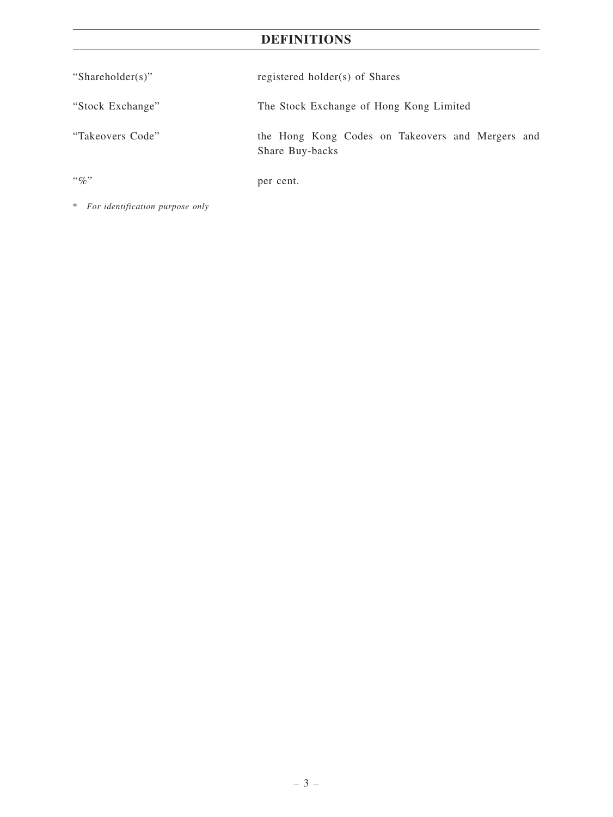# **DEFINITIONS**

| "Shareholder(s)" | registered holder(s) of Shares                                      |
|------------------|---------------------------------------------------------------------|
| "Stock Exchange" | The Stock Exchange of Hong Kong Limited                             |
| "Takeovers Code" | the Hong Kong Codes on Takeovers and Mergers and<br>Share Buy-backs |
| $``\%"$          | per cent.                                                           |

\* *For identification purpose only*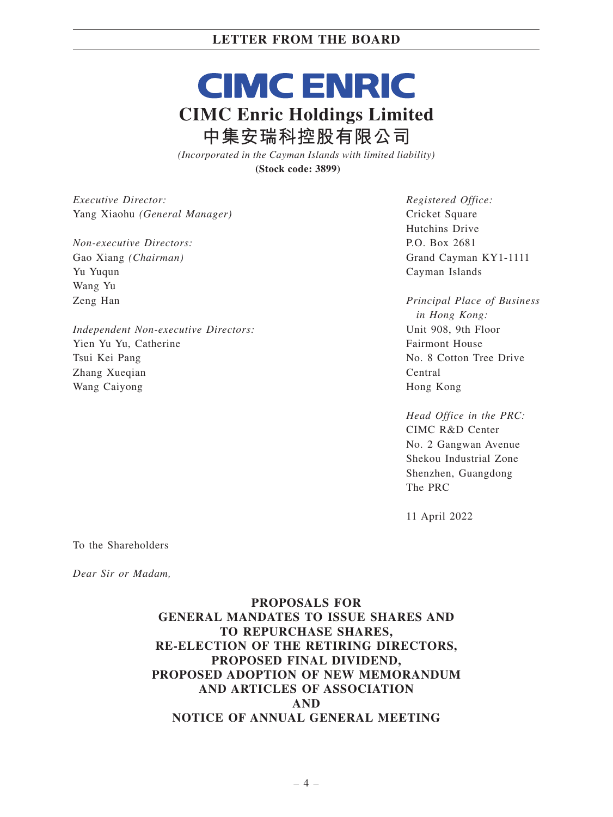# **CIMC ENRIC CIMC Enric Holdings Limited 中集安瑞科控股有限公司**

*(Incorporated in the Cayman Islands with limited liability)* **(Stock code: 3899)**

*Executive Director:* Yang Xiaohu *(General Manager)*

*Non-executive Directors:* Gao Xiang *(Chairman)* Yu Yuqun Wang Yu Zeng Han

*Independent Non-executive Directors:* Yien Yu Yu, Catherine Tsui Kei Pang Zhang Xueqian Wang Caiyong

*Registered Office:* Cricket Square Hutchins Drive P.O. Box 2681 Grand Cayman KY1-1111 Cayman Islands

*Principal Place of Business in Hong Kong:* Unit 908, 9th Floor Fairmont House No. 8 Cotton Tree Drive Central Hong Kong

*Head Office in the PRC:* CIMC R&D Center No. 2 Gangwan Avenue Shekou Industrial Zone Shenzhen, Guangdong The PRC

11 April 2022

To the Shareholders

*Dear Sir or Madam,*

# **PROPOSALS FOR GENERAL MANDATES TO ISSUE SHARES AND TO REPURCHASE SHARES, RE-ELECTION OF THE RETIRING DIRECTORS, PROPOSED FINAL DIVIDEND, PROPOSED ADOPTION OF NEW MEMORANDUM AND ARTICLES OF ASSOCIATION AND NOTICE OF ANNUAL GENERAL MEETING**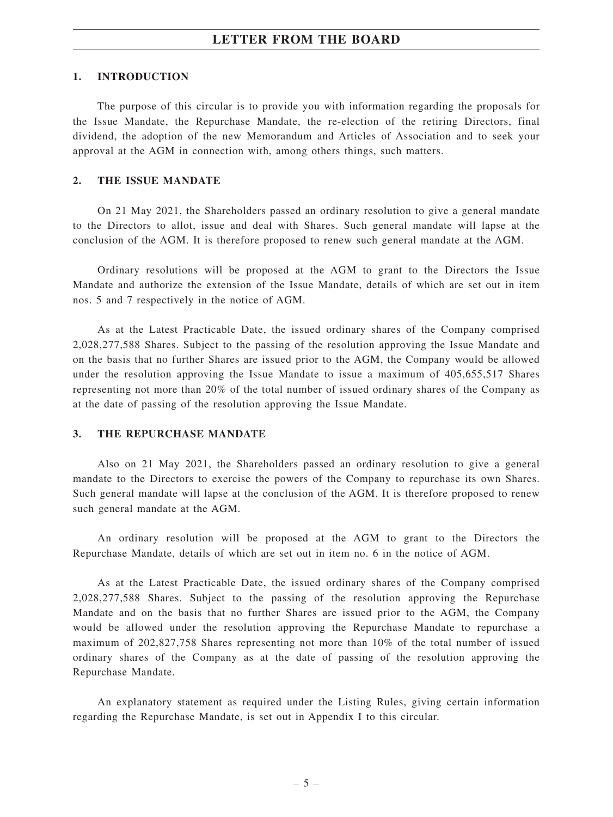#### **1. INTRODUCTION**

The purpose of this circular is to provide you with information regarding the proposals for the Issue Mandate, the Repurchase Mandate, the re-election of the retiring Directors, final dividend, the adoption of the new Memorandum and Articles of Association and to seek your approval at the AGM in connection with, among others things, such matters.

#### **2. THE ISSUE MANDATE**

On 21 May 2021, the Shareholders passed an ordinary resolution to give a general mandate to the Directors to allot, issue and deal with Shares. Such general mandate will lapse at the conclusion of the AGM. It is therefore proposed to renew such general mandate at the AGM.

Ordinary resolutions will be proposed at the AGM to grant to the Directors the Issue Mandate and authorize the extension of the Issue Mandate, details of which are set out in item nos. 5 and 7 respectively in the notice of AGM.

As at the Latest Practicable Date, the issued ordinary shares of the Company comprised 2,028,277,588 Shares. Subject to the passing of the resolution approving the Issue Mandate and on the basis that no further Shares are issued prior to the AGM, the Company would be allowed under the resolution approving the Issue Mandate to issue a maximum of 405,655,517 Shares representing not more than 20% of the total number of issued ordinary shares of the Company as at the date of passing of the resolution approving the Issue Mandate.

#### **3. THE REPURCHASE MANDATE**

Also on 21 May 2021, the Shareholders passed an ordinary resolution to give a general mandate to the Directors to exercise the powers of the Company to repurchase its own Shares. Such general mandate will lapse at the conclusion of the AGM. It is therefore proposed to renew such general mandate at the AGM.

An ordinary resolution will be proposed at the AGM to grant to the Directors the Repurchase Mandate, details of which are set out in item no. 6 in the notice of AGM.

As at the Latest Practicable Date, the issued ordinary shares of the Company comprised 2,028,277,588 Shares. Subject to the passing of the resolution approving the Repurchase Mandate and on the basis that no further Shares are issued prior to the AGM, the Company would be allowed under the resolution approving the Repurchase Mandate to repurchase a maximum of 202,827,758 Shares representing not more than 10% of the total number of issued ordinary shares of the Company as at the date of passing of the resolution approving the Repurchase Mandate.

An explanatory statement as required under the Listing Rules, giving certain information regarding the Repurchase Mandate, is set out in Appendix I to this circular.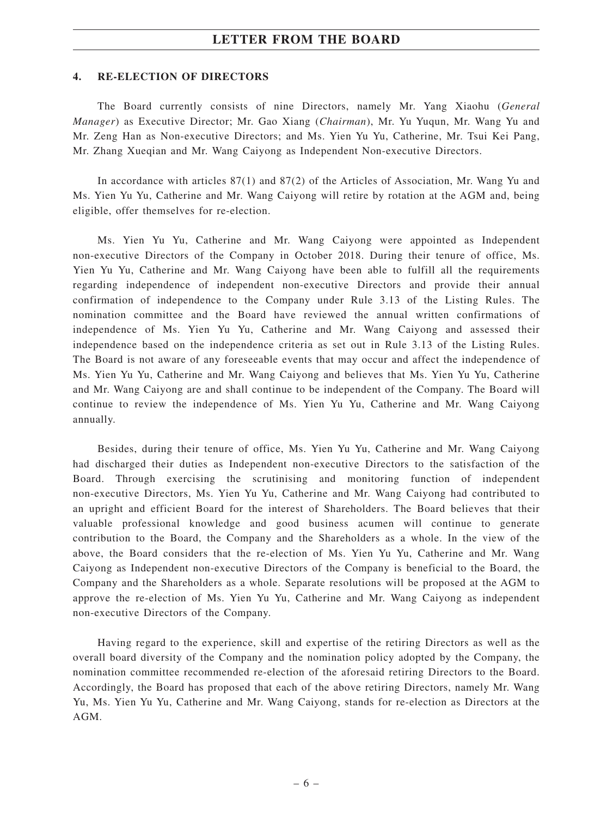#### **4. RE-ELECTION OF DIRECTORS**

The Board currently consists of nine Directors, namely Mr. Yang Xiaohu (*General Manager*) as Executive Director; Mr. Gao Xiang (*Chairman*), Mr. Yu Yuqun, Mr. Wang Yu and Mr. Zeng Han as Non-executive Directors; and Ms. Yien Yu Yu, Catherine, Mr. Tsui Kei Pang, Mr. Zhang Xueqian and Mr. Wang Caiyong as Independent Non-executive Directors.

In accordance with articles 87(1) and 87(2) of the Articles of Association, Mr. Wang Yu and Ms. Yien Yu Yu, Catherine and Mr. Wang Caiyong will retire by rotation at the AGM and, being eligible, offer themselves for re-election.

Ms. Yien Yu Yu, Catherine and Mr. Wang Caiyong were appointed as Independent non-executive Directors of the Company in October 2018. During their tenure of office, Ms. Yien Yu Yu, Catherine and Mr. Wang Caiyong have been able to fulfill all the requirements regarding independence of independent non-executive Directors and provide their annual confirmation of independence to the Company under Rule 3.13 of the Listing Rules. The nomination committee and the Board have reviewed the annual written confirmations of independence of Ms. Yien Yu Yu, Catherine and Mr. Wang Caiyong and assessed their independence based on the independence criteria as set out in Rule 3.13 of the Listing Rules. The Board is not aware of any foreseeable events that may occur and affect the independence of Ms. Yien Yu Yu, Catherine and Mr. Wang Caiyong and believes that Ms. Yien Yu Yu, Catherine and Mr. Wang Caiyong are and shall continue to be independent of the Company. The Board will continue to review the independence of Ms. Yien Yu Yu, Catherine and Mr. Wang Caiyong annually.

Besides, during their tenure of office, Ms. Yien Yu Yu, Catherine and Mr. Wang Caiyong had discharged their duties as Independent non-executive Directors to the satisfaction of the Board. Through exercising the scrutinising and monitoring function of independent non-executive Directors, Ms. Yien Yu Yu, Catherine and Mr. Wang Caiyong had contributed to an upright and efficient Board for the interest of Shareholders. The Board believes that their valuable professional knowledge and good business acumen will continue to generate contribution to the Board, the Company and the Shareholders as a whole. In the view of the above, the Board considers that the re-election of Ms. Yien Yu Yu, Catherine and Mr. Wang Caiyong as Independent non-executive Directors of the Company is beneficial to the Board, the Company and the Shareholders as a whole. Separate resolutions will be proposed at the AGM to approve the re-election of Ms. Yien Yu Yu, Catherine and Mr. Wang Caiyong as independent non-executive Directors of the Company.

Having regard to the experience, skill and expertise of the retiring Directors as well as the overall board diversity of the Company and the nomination policy adopted by the Company, the nomination committee recommended re-election of the aforesaid retiring Directors to the Board. Accordingly, the Board has proposed that each of the above retiring Directors, namely Mr. Wang Yu, Ms. Yien Yu Yu, Catherine and Mr. Wang Caiyong, stands for re-election as Directors at the AGM.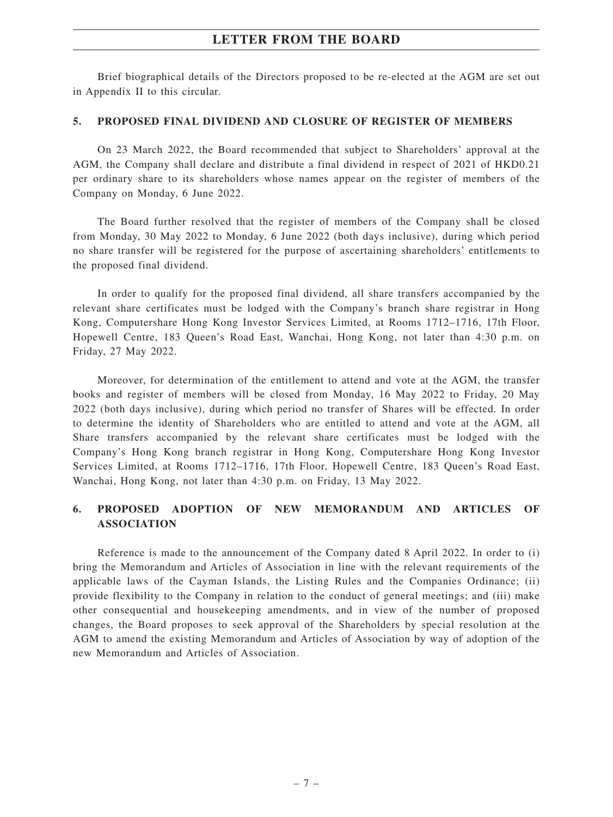Brief biographical details of the Directors proposed to be re-elected at the AGM are set out in Appendix II to this circular.

#### **5. PROPOSED FINAL DIVIDEND AND CLOSURE OF REGISTER OF MEMBERS**

On 23 March 2022, the Board recommended that subject to Shareholders' approval at the AGM, the Company shall declare and distribute a final dividend in respect of 2021 of HKD0.21 per ordinary share to its shareholders whose names appear on the register of members of the Company on Monday, 6 June 2022.

The Board further resolved that the register of members of the Company shall be closed from Monday, 30 May 2022 to Monday, 6 June 2022 (both days inclusive), during which period no share transfer will be registered for the purpose of ascertaining shareholders' entitlements to the proposed final dividend.

In order to qualify for the proposed final dividend, all share transfers accompanied by the relevant share certificates must be lodged with the Company's branch share registrar in Hong Kong, Computershare Hong Kong Investor Services Limited, at Rooms 1712–1716, 17th Floor, Hopewell Centre, 183 Queen's Road East, Wanchai, Hong Kong, not later than 4:30 p.m. on Friday, 27 May 2022.

Moreover, for determination of the entitlement to attend and vote at the AGM, the transfer books and register of members will be closed from Monday, 16 May 2022 to Friday, 20 May 2022 (both days inclusive), during which period no transfer of Shares will be effected. In order to determine the identity of Shareholders who are entitled to attend and vote at the AGM, all Share transfers accompanied by the relevant share certificates must be lodged with the Company's Hong Kong branch registrar in Hong Kong, Computershare Hong Kong Investor Services Limited, at Rooms 1712–1716, 17th Floor, Hopewell Centre, 183 Queen's Road East, Wanchai, Hong Kong, not later than 4:30 p.m. on Friday, 13 May 2022.

## **6. PROPOSED ADOPTION OF NEW MEMORANDUM AND ARTICLES OF ASSOCIATION**

Reference is made to the announcement of the Company dated 8 April 2022. In order to (i) bring the Memorandum and Articles of Association in line with the relevant requirements of the applicable laws of the Cayman Islands, the Listing Rules and the Companies Ordinance; (ii) provide flexibility to the Company in relation to the conduct of general meetings; and (iii) make other consequential and housekeeping amendments, and in view of the number of proposed changes, the Board proposes to seek approval of the Shareholders by special resolution at the AGM to amend the existing Memorandum and Articles of Association by way of adoption of the new Memorandum and Articles of Association.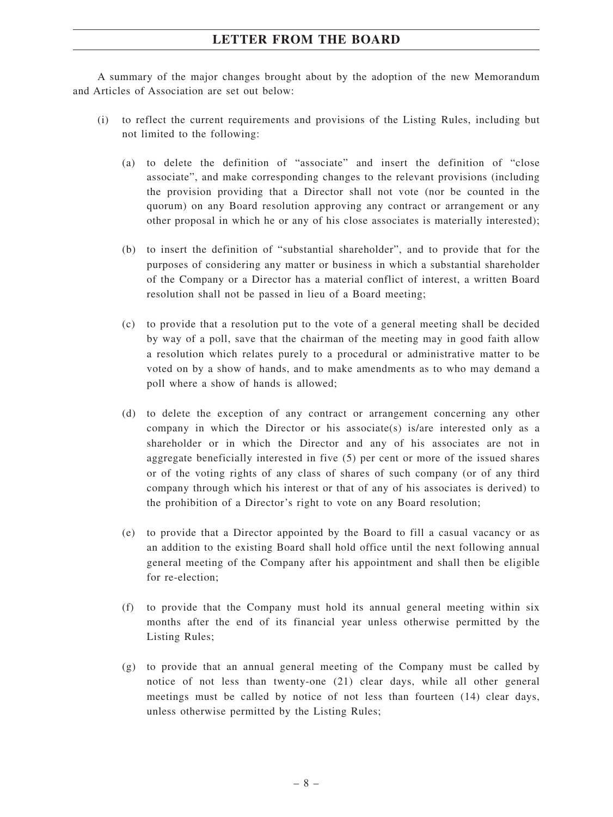A summary of the major changes brought about by the adoption of the new Memorandum and Articles of Association are set out below:

- (i) to reflect the current requirements and provisions of the Listing Rules, including but not limited to the following:
	- (a) to delete the definition of "associate" and insert the definition of "close associate", and make corresponding changes to the relevant provisions (including the provision providing that a Director shall not vote (nor be counted in the quorum) on any Board resolution approving any contract or arrangement or any other proposal in which he or any of his close associates is materially interested);
	- (b) to insert the definition of "substantial shareholder", and to provide that for the purposes of considering any matter or business in which a substantial shareholder of the Company or a Director has a material conflict of interest, a written Board resolution shall not be passed in lieu of a Board meeting;
	- (c) to provide that a resolution put to the vote of a general meeting shall be decided by way of a poll, save that the chairman of the meeting may in good faith allow a resolution which relates purely to a procedural or administrative matter to be voted on by a show of hands, and to make amendments as to who may demand a poll where a show of hands is allowed;
	- (d) to delete the exception of any contract or arrangement concerning any other company in which the Director or his associate(s) is/are interested only as a shareholder or in which the Director and any of his associates are not in aggregate beneficially interested in five (5) per cent or more of the issued shares or of the voting rights of any class of shares of such company (or of any third company through which his interest or that of any of his associates is derived) to the prohibition of a Director's right to vote on any Board resolution;
	- (e) to provide that a Director appointed by the Board to fill a casual vacancy or as an addition to the existing Board shall hold office until the next following annual general meeting of the Company after his appointment and shall then be eligible for re-election;
	- (f) to provide that the Company must hold its annual general meeting within six months after the end of its financial year unless otherwise permitted by the Listing Rules;
	- (g) to provide that an annual general meeting of the Company must be called by notice of not less than twenty-one (21) clear days, while all other general meetings must be called by notice of not less than fourteen (14) clear days, unless otherwise permitted by the Listing Rules;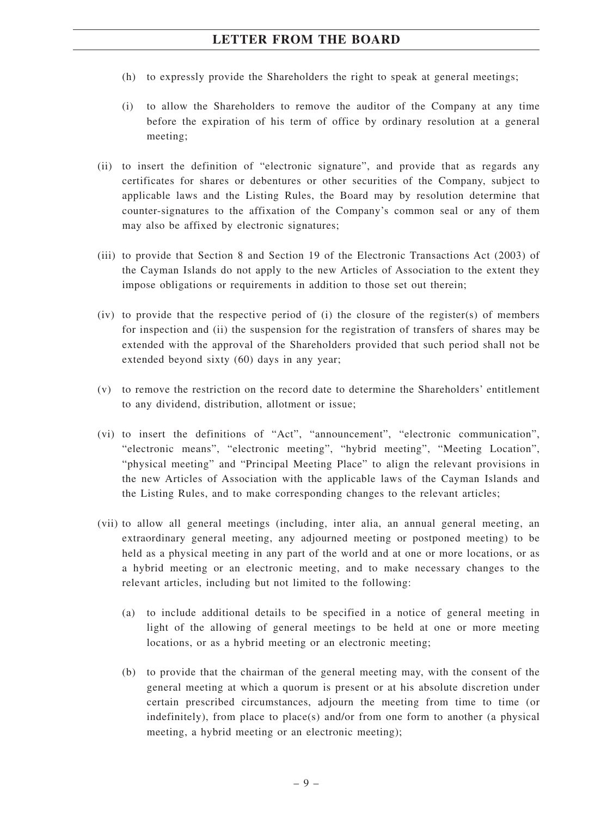- (h) to expressly provide the Shareholders the right to speak at general meetings;
- (i) to allow the Shareholders to remove the auditor of the Company at any time before the expiration of his term of office by ordinary resolution at a general meeting;
- (ii) to insert the definition of "electronic signature", and provide that as regards any certificates for shares or debentures or other securities of the Company, subject to applicable laws and the Listing Rules, the Board may by resolution determine that counter-signatures to the affixation of the Company's common seal or any of them may also be affixed by electronic signatures;
- (iii) to provide that Section 8 and Section 19 of the Electronic Transactions Act (2003) of the Cayman Islands do not apply to the new Articles of Association to the extent they impose obligations or requirements in addition to those set out therein;
- (iv) to provide that the respective period of (i) the closure of the register(s) of members for inspection and (ii) the suspension for the registration of transfers of shares may be extended with the approval of the Shareholders provided that such period shall not be extended beyond sixty (60) days in any year;
- (v) to remove the restriction on the record date to determine the Shareholders' entitlement to any dividend, distribution, allotment or issue;
- (vi) to insert the definitions of "Act", "announcement", "electronic communication", "electronic means", "electronic meeting", "hybrid meeting", "Meeting Location", "physical meeting" and "Principal Meeting Place" to align the relevant provisions in the new Articles of Association with the applicable laws of the Cayman Islands and the Listing Rules, and to make corresponding changes to the relevant articles;
- (vii) to allow all general meetings (including, inter alia, an annual general meeting, an extraordinary general meeting, any adjourned meeting or postponed meeting) to be held as a physical meeting in any part of the world and at one or more locations, or as a hybrid meeting or an electronic meeting, and to make necessary changes to the relevant articles, including but not limited to the following:
	- (a) to include additional details to be specified in a notice of general meeting in light of the allowing of general meetings to be held at one or more meeting locations, or as a hybrid meeting or an electronic meeting;
	- (b) to provide that the chairman of the general meeting may, with the consent of the general meeting at which a quorum is present or at his absolute discretion under certain prescribed circumstances, adjourn the meeting from time to time (or indefinitely), from place to place(s) and/or from one form to another (a physical meeting, a hybrid meeting or an electronic meeting);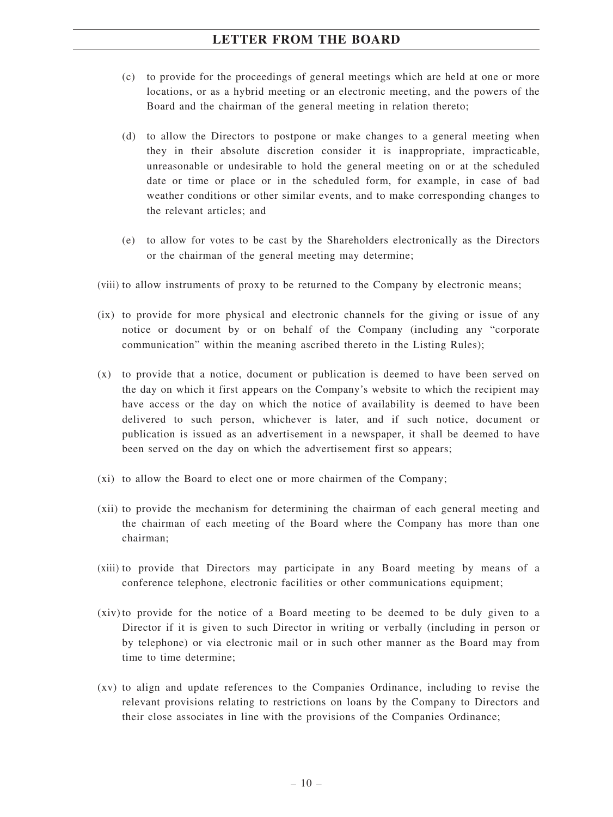- (c) to provide for the proceedings of general meetings which are held at one or more locations, or as a hybrid meeting or an electronic meeting, and the powers of the Board and the chairman of the general meeting in relation thereto;
- (d) to allow the Directors to postpone or make changes to a general meeting when they in their absolute discretion consider it is inappropriate, impracticable, unreasonable or undesirable to hold the general meeting on or at the scheduled date or time or place or in the scheduled form, for example, in case of bad weather conditions or other similar events, and to make corresponding changes to the relevant articles; and
- (e) to allow for votes to be cast by the Shareholders electronically as the Directors or the chairman of the general meeting may determine;
- (viii) to allow instruments of proxy to be returned to the Company by electronic means;
- (ix) to provide for more physical and electronic channels for the giving or issue of any notice or document by or on behalf of the Company (including any "corporate communication" within the meaning ascribed thereto in the Listing Rules);
- (x) to provide that a notice, document or publication is deemed to have been served on the day on which it first appears on the Company's website to which the recipient may have access or the day on which the notice of availability is deemed to have been delivered to such person, whichever is later, and if such notice, document or publication is issued as an advertisement in a newspaper, it shall be deemed to have been served on the day on which the advertisement first so appears;
- (xi) to allow the Board to elect one or more chairmen of the Company;
- (xii) to provide the mechanism for determining the chairman of each general meeting and the chairman of each meeting of the Board where the Company has more than one chairman;
- (xiii) to provide that Directors may participate in any Board meeting by means of a conference telephone, electronic facilities or other communications equipment;
- (xiv) to provide for the notice of a Board meeting to be deemed to be duly given to a Director if it is given to such Director in writing or verbally (including in person or by telephone) or via electronic mail or in such other manner as the Board may from time to time determine;
- (xv) to align and update references to the Companies Ordinance, including to revise the relevant provisions relating to restrictions on loans by the Company to Directors and their close associates in line with the provisions of the Companies Ordinance;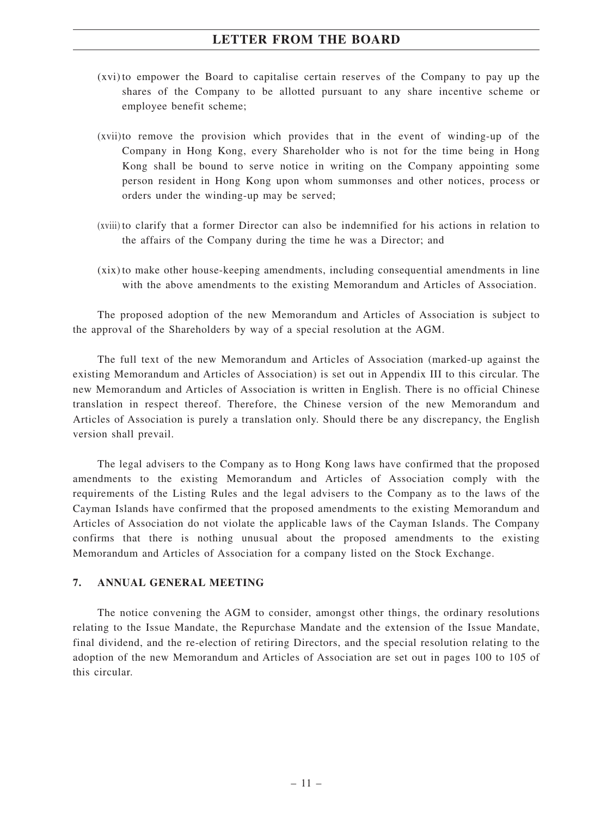- (xvi) to empower the Board to capitalise certain reserves of the Company to pay up the shares of the Company to be allotted pursuant to any share incentive scheme or employee benefit scheme;
- (xvii)to remove the provision which provides that in the event of winding-up of the Company in Hong Kong, every Shareholder who is not for the time being in Hong Kong shall be bound to serve notice in writing on the Company appointing some person resident in Hong Kong upon whom summonses and other notices, process or orders under the winding-up may be served;
- (xviii) to clarify that a former Director can also be indemnified for his actions in relation to the affairs of the Company during the time he was a Director; and
- (xix) to make other house-keeping amendments, including consequential amendments in line with the above amendments to the existing Memorandum and Articles of Association.

The proposed adoption of the new Memorandum and Articles of Association is subject to the approval of the Shareholders by way of a special resolution at the AGM.

The full text of the new Memorandum and Articles of Association (marked-up against the existing Memorandum and Articles of Association) is set out in Appendix III to this circular. The new Memorandum and Articles of Association is written in English. There is no official Chinese translation in respect thereof. Therefore, the Chinese version of the new Memorandum and Articles of Association is purely a translation only. Should there be any discrepancy, the English version shall prevail.

The legal advisers to the Company as to Hong Kong laws have confirmed that the proposed amendments to the existing Memorandum and Articles of Association comply with the requirements of the Listing Rules and the legal advisers to the Company as to the laws of the Cayman Islands have confirmed that the proposed amendments to the existing Memorandum and Articles of Association do not violate the applicable laws of the Cayman Islands. The Company confirms that there is nothing unusual about the proposed amendments to the existing Memorandum and Articles of Association for a company listed on the Stock Exchange.

#### **7. ANNUAL GENERAL MEETING**

The notice convening the AGM to consider, amongst other things, the ordinary resolutions relating to the Issue Mandate, the Repurchase Mandate and the extension of the Issue Mandate, final dividend, and the re-election of retiring Directors, and the special resolution relating to the adoption of the new Memorandum and Articles of Association are set out in pages 100 to 105 of this circular.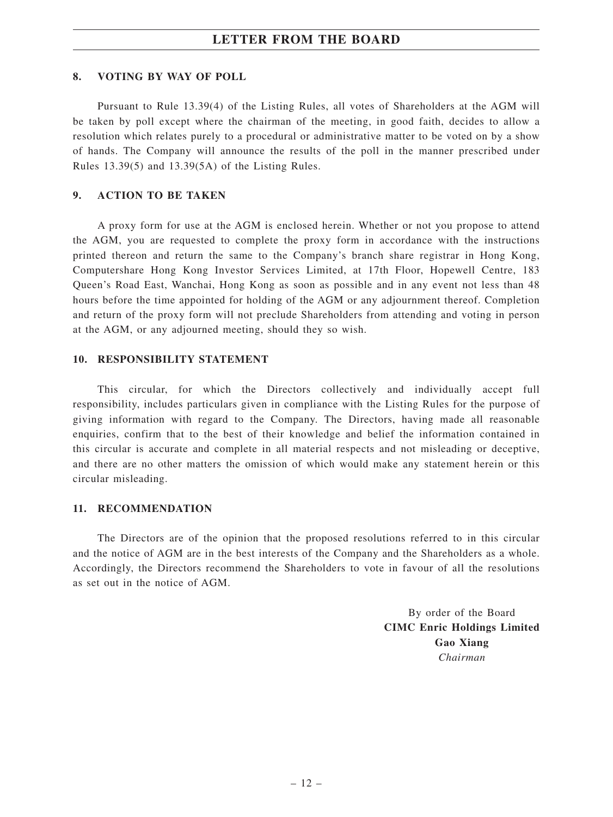#### **8. VOTING BY WAY OF POLL**

Pursuant to Rule 13.39(4) of the Listing Rules, all votes of Shareholders at the AGM will be taken by poll except where the chairman of the meeting, in good faith, decides to allow a resolution which relates purely to a procedural or administrative matter to be voted on by a show of hands. The Company will announce the results of the poll in the manner prescribed under Rules 13.39(5) and 13.39(5A) of the Listing Rules.

#### **9. ACTION TO BE TAKEN**

A proxy form for use at the AGM is enclosed herein. Whether or not you propose to attend the AGM, you are requested to complete the proxy form in accordance with the instructions printed thereon and return the same to the Company's branch share registrar in Hong Kong, Computershare Hong Kong Investor Services Limited, at 17th Floor, Hopewell Centre, 183 Queen's Road East, Wanchai, Hong Kong as soon as possible and in any event not less than 48 hours before the time appointed for holding of the AGM or any adjournment thereof. Completion and return of the proxy form will not preclude Shareholders from attending and voting in person at the AGM, or any adjourned meeting, should they so wish.

#### **10. RESPONSIBILITY STATEMENT**

This circular, for which the Directors collectively and individually accept full responsibility, includes particulars given in compliance with the Listing Rules for the purpose of giving information with regard to the Company. The Directors, having made all reasonable enquiries, confirm that to the best of their knowledge and belief the information contained in this circular is accurate and complete in all material respects and not misleading or deceptive, and there are no other matters the omission of which would make any statement herein or this circular misleading.

#### **11. RECOMMENDATION**

The Directors are of the opinion that the proposed resolutions referred to in this circular and the notice of AGM are in the best interests of the Company and the Shareholders as a whole. Accordingly, the Directors recommend the Shareholders to vote in favour of all the resolutions as set out in the notice of AGM.

> By order of the Board **CIMC Enric Holdings Limited Gao Xiang** *Chairman*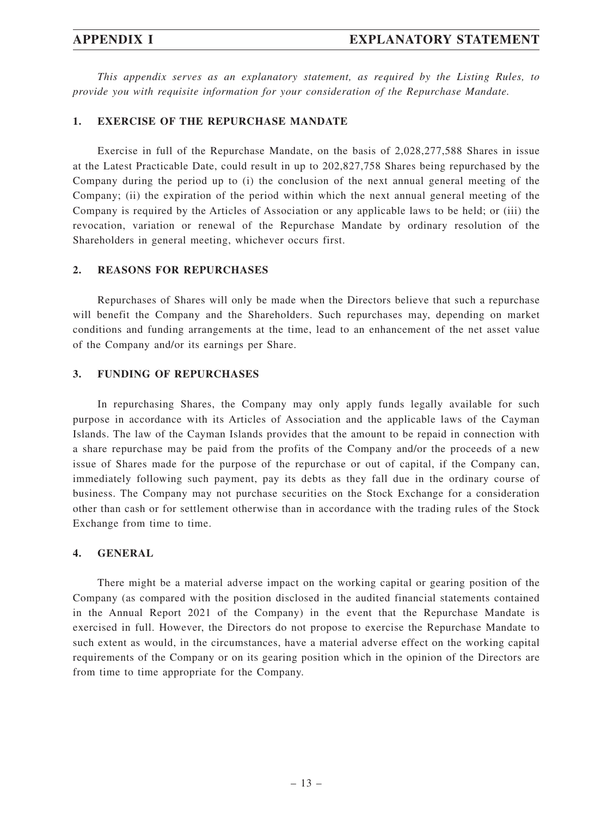*This appendix serves as an explanatory statement, as required by the Listing Rules, to provide you with requisite information for your consideration of the Repurchase Mandate.*

#### **1. EXERCISE OF THE REPURCHASE MANDATE**

Exercise in full of the Repurchase Mandate, on the basis of 2,028,277,588 Shares in issue at the Latest Practicable Date, could result in up to 202,827,758 Shares being repurchased by the Company during the period up to (i) the conclusion of the next annual general meeting of the Company; (ii) the expiration of the period within which the next annual general meeting of the Company is required by the Articles of Association or any applicable laws to be held; or (iii) the revocation, variation or renewal of the Repurchase Mandate by ordinary resolution of the Shareholders in general meeting, whichever occurs first.

#### **2. REASONS FOR REPURCHASES**

Repurchases of Shares will only be made when the Directors believe that such a repurchase will benefit the Company and the Shareholders. Such repurchases may, depending on market conditions and funding arrangements at the time, lead to an enhancement of the net asset value of the Company and/or its earnings per Share.

#### **3. FUNDING OF REPURCHASES**

In repurchasing Shares, the Company may only apply funds legally available for such purpose in accordance with its Articles of Association and the applicable laws of the Cayman Islands. The law of the Cayman Islands provides that the amount to be repaid in connection with a share repurchase may be paid from the profits of the Company and/or the proceeds of a new issue of Shares made for the purpose of the repurchase or out of capital, if the Company can, immediately following such payment, pay its debts as they fall due in the ordinary course of business. The Company may not purchase securities on the Stock Exchange for a consideration other than cash or for settlement otherwise than in accordance with the trading rules of the Stock Exchange from time to time.

#### **4. GENERAL**

There might be a material adverse impact on the working capital or gearing position of the Company (as compared with the position disclosed in the audited financial statements contained in the Annual Report 2021 of the Company) in the event that the Repurchase Mandate is exercised in full. However, the Directors do not propose to exercise the Repurchase Mandate to such extent as would, in the circumstances, have a material adverse effect on the working capital requirements of the Company or on its gearing position which in the opinion of the Directors are from time to time appropriate for the Company.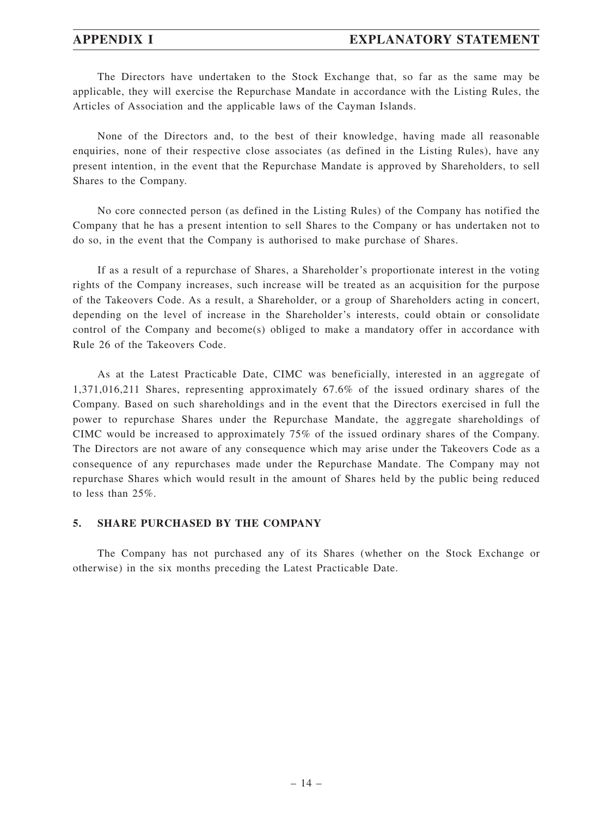### **APPENDIX I EXPLANATORY STATEMENT**

The Directors have undertaken to the Stock Exchange that, so far as the same may be applicable, they will exercise the Repurchase Mandate in accordance with the Listing Rules, the Articles of Association and the applicable laws of the Cayman Islands.

None of the Directors and, to the best of their knowledge, having made all reasonable enquiries, none of their respective close associates (as defined in the Listing Rules), have any present intention, in the event that the Repurchase Mandate is approved by Shareholders, to sell Shares to the Company.

No core connected person (as defined in the Listing Rules) of the Company has notified the Company that he has a present intention to sell Shares to the Company or has undertaken not to do so, in the event that the Company is authorised to make purchase of Shares.

If as a result of a repurchase of Shares, a Shareholder's proportionate interest in the voting rights of the Company increases, such increase will be treated as an acquisition for the purpose of the Takeovers Code. As a result, a Shareholder, or a group of Shareholders acting in concert, depending on the level of increase in the Shareholder's interests, could obtain or consolidate control of the Company and become(s) obliged to make a mandatory offer in accordance with Rule 26 of the Takeovers Code.

As at the Latest Practicable Date, CIMC was beneficially, interested in an aggregate of 1,371,016,211 Shares, representing approximately 67.6% of the issued ordinary shares of the Company. Based on such shareholdings and in the event that the Directors exercised in full the power to repurchase Shares under the Repurchase Mandate, the aggregate shareholdings of CIMC would be increased to approximately 75% of the issued ordinary shares of the Company. The Directors are not aware of any consequence which may arise under the Takeovers Code as a consequence of any repurchases made under the Repurchase Mandate. The Company may not repurchase Shares which would result in the amount of Shares held by the public being reduced to less than 25%.

#### **5. SHARE PURCHASED BY THE COMPANY**

The Company has not purchased any of its Shares (whether on the Stock Exchange or otherwise) in the six months preceding the Latest Practicable Date.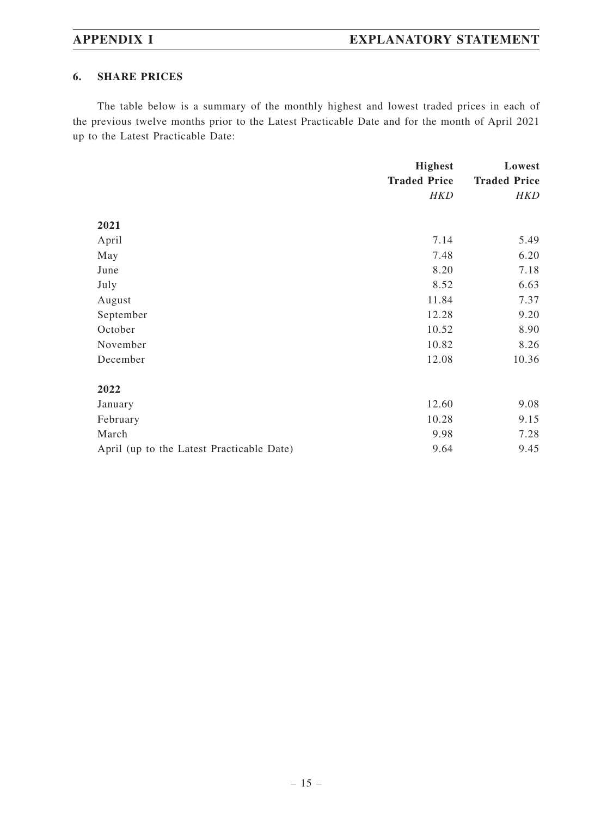#### **6. SHARE PRICES**

The table below is a summary of the monthly highest and lowest traded prices in each of the previous twelve months prior to the Latest Practicable Date and for the month of April 2021 up to the Latest Practicable Date:

|                                           | <b>Highest</b>      | Lowest              |
|-------------------------------------------|---------------------|---------------------|
|                                           | <b>Traded Price</b> | <b>Traded Price</b> |
|                                           | <b>HKD</b>          | <b>HKD</b>          |
|                                           |                     |                     |
| 2021                                      |                     |                     |
| April                                     | 7.14                | 5.49                |
| May                                       | 7.48                | 6.20                |
| June                                      | 8.20                | 7.18                |
| July                                      | 8.52                | 6.63                |
| August                                    | 11.84               | 7.37                |
| September                                 | 12.28               | 9.20                |
| October                                   | 10.52               | 8.90                |
| November                                  | 10.82               | 8.26                |
| December                                  | 12.08               | 10.36               |
|                                           |                     |                     |
| 2022                                      |                     |                     |
| January                                   | 12.60               | 9.08                |
| February                                  | 10.28               | 9.15                |
| March                                     | 9.98                | 7.28                |
| April (up to the Latest Practicable Date) | 9.64                | 9.45                |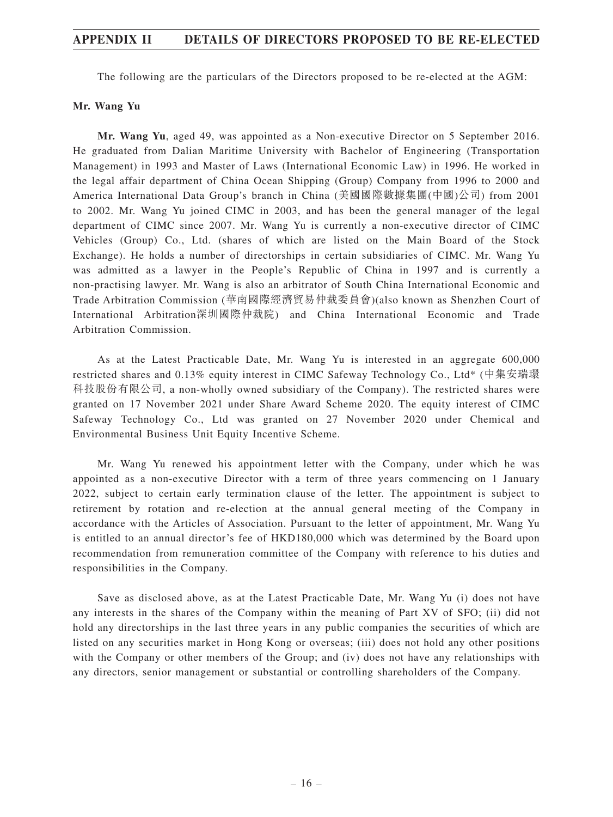## **APPENDIX II DETAILS OF DIRECTORS PROPOSED TO BE RE-ELECTED**

The following are the particulars of the Directors proposed to be re-elected at the AGM:

#### **Mr. Wang Yu**

**Mr. Wang Yu**, aged 49, was appointed as a Non-executive Director on 5 September 2016. He graduated from Dalian Maritime University with Bachelor of Engineering (Transportation Management) in 1993 and Master of Laws (International Economic Law) in 1996. He worked in the legal affair department of China Ocean Shipping (Group) Company from 1996 to 2000 and America International Data Group's branch in China (美國國際數據集團(中國)公司) from 2001 to 2002. Mr. Wang Yu joined CIMC in 2003, and has been the general manager of the legal department of CIMC since 2007. Mr. Wang Yu is currently a non-executive director of CIMC Vehicles (Group) Co., Ltd. (shares of which are listed on the Main Board of the Stock Exchange). He holds a number of directorships in certain subsidiaries of CIMC. Mr. Wang Yu was admitted as a lawyer in the People's Republic of China in 1997 and is currently a non-practising lawyer. Mr. Wang is also an arbitrator of South China International Economic and Trade Arbitration Commission (華南國際經濟貿易仲裁委員會)(also known as Shenzhen Court of International Arbitration深圳國際仲裁院) and China International Economic and Trade Arbitration Commission.

As at the Latest Practicable Date, Mr. Wang Yu is interested in an aggregate 600,000 restricted shares and 0.13% equity interest in CIMC Safeway Technology Co., Ltd\* (中集安瑞環 科技股份有限公司, a non-wholly owned subsidiary of the Company). The restricted shares were granted on 17 November 2021 under Share Award Scheme 2020. The equity interest of CIMC Safeway Technology Co., Ltd was granted on 27 November 2020 under Chemical and Environmental Business Unit Equity Incentive Scheme.

Mr. Wang Yu renewed his appointment letter with the Company, under which he was appointed as a non-executive Director with a term of three years commencing on 1 January 2022, subject to certain early termination clause of the letter. The appointment is subject to retirement by rotation and re-election at the annual general meeting of the Company in accordance with the Articles of Association. Pursuant to the letter of appointment, Mr. Wang Yu is entitled to an annual director's fee of HKD180,000 which was determined by the Board upon recommendation from remuneration committee of the Company with reference to his duties and responsibilities in the Company.

Save as disclosed above, as at the Latest Practicable Date, Mr. Wang Yu (i) does not have any interests in the shares of the Company within the meaning of Part XV of SFO; (ii) did not hold any directorships in the last three years in any public companies the securities of which are listed on any securities market in Hong Kong or overseas; (iii) does not hold any other positions with the Company or other members of the Group; and (iv) does not have any relationships with any directors, senior management or substantial or controlling shareholders of the Company.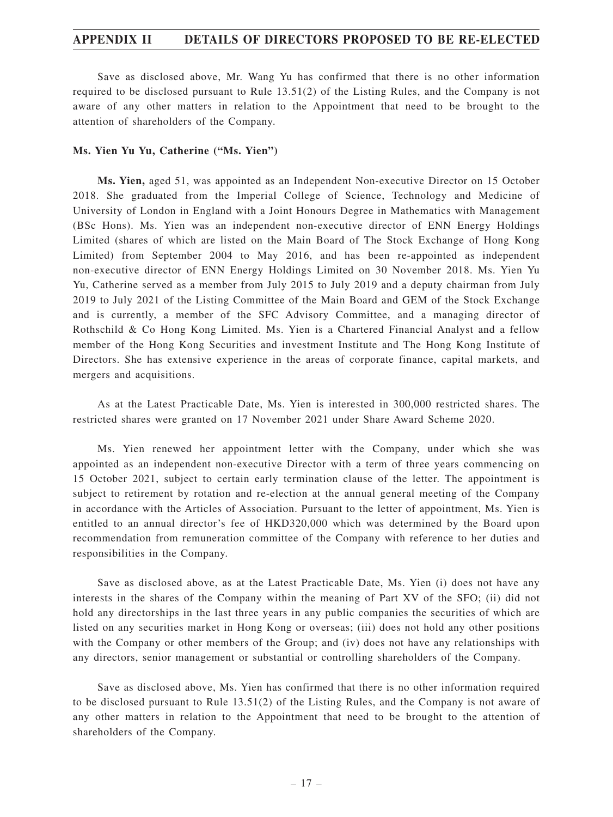## **APPENDIX II DETAILS OF DIRECTORS PROPOSED TO BE RE-ELECTED**

Save as disclosed above, Mr. Wang Yu has confirmed that there is no other information required to be disclosed pursuant to Rule 13.51(2) of the Listing Rules, and the Company is not aware of any other matters in relation to the Appointment that need to be brought to the attention of shareholders of the Company.

#### **Ms. Yien Yu Yu, Catherine ("Ms. Yien")**

**Ms. Yien,** aged 51, was appointed as an Independent Non-executive Director on 15 October 2018. She graduated from the Imperial College of Science, Technology and Medicine of University of London in England with a Joint Honours Degree in Mathematics with Management (BSc Hons). Ms. Yien was an independent non-executive director of ENN Energy Holdings Limited (shares of which are listed on the Main Board of The Stock Exchange of Hong Kong Limited) from September 2004 to May 2016, and has been re-appointed as independent non-executive director of ENN Energy Holdings Limited on 30 November 2018. Ms. Yien Yu Yu, Catherine served as a member from July 2015 to July 2019 and a deputy chairman from July 2019 to July 2021 of the Listing Committee of the Main Board and GEM of the Stock Exchange and is currently, a member of the SFC Advisory Committee, and a managing director of Rothschild & Co Hong Kong Limited. Ms. Yien is a Chartered Financial Analyst and a fellow member of the Hong Kong Securities and investment Institute and The Hong Kong Institute of Directors. She has extensive experience in the areas of corporate finance, capital markets, and mergers and acquisitions.

As at the Latest Practicable Date, Ms. Yien is interested in 300,000 restricted shares. The restricted shares were granted on 17 November 2021 under Share Award Scheme 2020.

Ms. Yien renewed her appointment letter with the Company, under which she was appointed as an independent non-executive Director with a term of three years commencing on 15 October 2021, subject to certain early termination clause of the letter. The appointment is subject to retirement by rotation and re-election at the annual general meeting of the Company in accordance with the Articles of Association. Pursuant to the letter of appointment, Ms. Yien is entitled to an annual director's fee of HKD320,000 which was determined by the Board upon recommendation from remuneration committee of the Company with reference to her duties and responsibilities in the Company.

Save as disclosed above, as at the Latest Practicable Date, Ms. Yien (i) does not have any interests in the shares of the Company within the meaning of Part XV of the SFO; (ii) did not hold any directorships in the last three years in any public companies the securities of which are listed on any securities market in Hong Kong or overseas; (iii) does not hold any other positions with the Company or other members of the Group; and (iv) does not have any relationships with any directors, senior management or substantial or controlling shareholders of the Company.

Save as disclosed above, Ms. Yien has confirmed that there is no other information required to be disclosed pursuant to Rule 13.51(2) of the Listing Rules, and the Company is not aware of any other matters in relation to the Appointment that need to be brought to the attention of shareholders of the Company.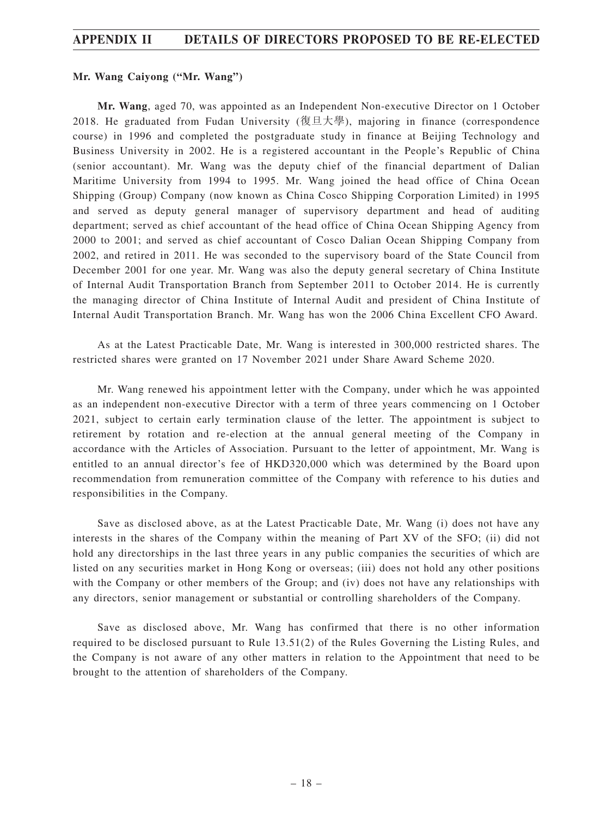# **APPENDIX II DETAILS OF DIRECTORS PROPOSED TO BE RE-ELECTED**

#### **Mr. Wang Caiyong ("Mr. Wang")**

**Mr. Wang**, aged 70, was appointed as an Independent Non-executive Director on 1 October 2018. He graduated from Fudan University (復旦大學), majoring in finance (correspondence course) in 1996 and completed the postgraduate study in finance at Beijing Technology and Business University in 2002. He is a registered accountant in the People's Republic of China (senior accountant). Mr. Wang was the deputy chief of the financial department of Dalian Maritime University from 1994 to 1995. Mr. Wang joined the head office of China Ocean Shipping (Group) Company (now known as China Cosco Shipping Corporation Limited) in 1995 and served as deputy general manager of supervisory department and head of auditing department; served as chief accountant of the head office of China Ocean Shipping Agency from 2000 to 2001; and served as chief accountant of Cosco Dalian Ocean Shipping Company from 2002, and retired in 2011. He was seconded to the supervisory board of the State Council from December 2001 for one year. Mr. Wang was also the deputy general secretary of China Institute of Internal Audit Transportation Branch from September 2011 to October 2014. He is currently the managing director of China Institute of Internal Audit and president of China Institute of Internal Audit Transportation Branch. Mr. Wang has won the 2006 China Excellent CFO Award.

As at the Latest Practicable Date, Mr. Wang is interested in 300,000 restricted shares. The restricted shares were granted on 17 November 2021 under Share Award Scheme 2020.

Mr. Wang renewed his appointment letter with the Company, under which he was appointed as an independent non-executive Director with a term of three years commencing on 1 October 2021, subject to certain early termination clause of the letter. The appointment is subject to retirement by rotation and re-election at the annual general meeting of the Company in accordance with the Articles of Association. Pursuant to the letter of appointment, Mr. Wang is entitled to an annual director's fee of HKD320,000 which was determined by the Board upon recommendation from remuneration committee of the Company with reference to his duties and responsibilities in the Company.

Save as disclosed above, as at the Latest Practicable Date, Mr. Wang (i) does not have any interests in the shares of the Company within the meaning of Part XV of the SFO; (ii) did not hold any directorships in the last three years in any public companies the securities of which are listed on any securities market in Hong Kong or overseas; (iii) does not hold any other positions with the Company or other members of the Group; and (iv) does not have any relationships with any directors, senior management or substantial or controlling shareholders of the Company.

Save as disclosed above, Mr. Wang has confirmed that there is no other information required to be disclosed pursuant to Rule 13.51(2) of the Rules Governing the Listing Rules, and the Company is not aware of any other matters in relation to the Appointment that need to be brought to the attention of shareholders of the Company.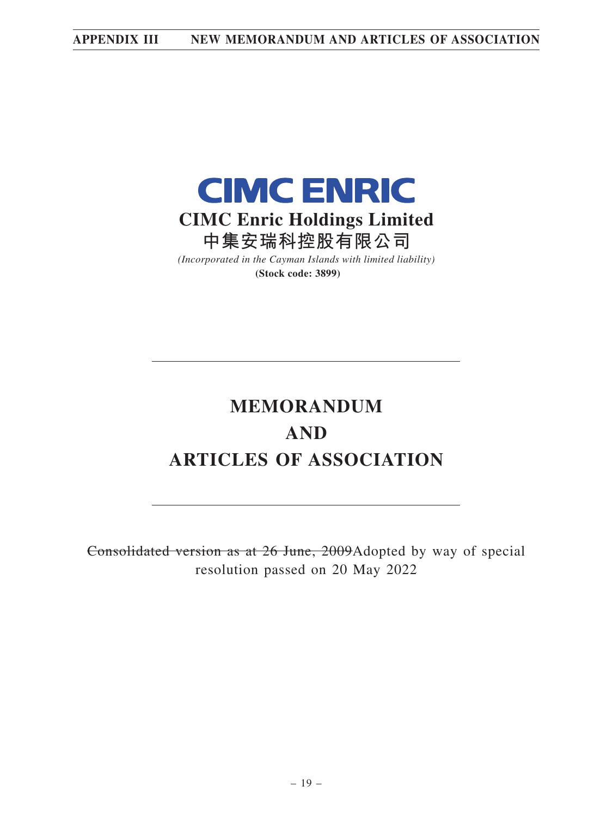

*(Incorporated in the Cayman Islands with limited liability)* **(Stock code: 3899)**

# **MEMORANDUM AND ARTICLES OF ASSOCIATION**

Consolidated version as at 26 June, 2009Adopted by way of special resolution passed on 20 May 2022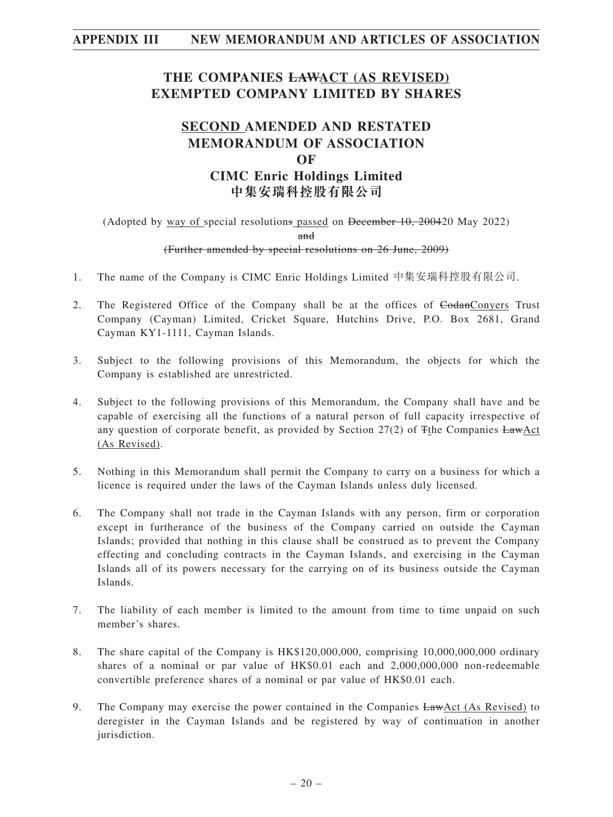# **THE COMPANIES LAWACT (AS REVISED) EXEMPTED COMPANY LIMITED BY SHARES**

# **SECOND AMENDED AND RESTATED MEMORANDUM OF ASSOCIATION OF CIMC Enric Holdings Limited 中集安瑞科控股有限公司**

## (Adopted by way of special resolutions passed on December 10, 200420 May 2022) and (Further amended by special resolutions on 26 June, 2009)

- 1. The name of the Company is CIMC Enric Holdings Limited 中集安瑞科控股有限公司.
- 2. The Registered Office of the Company shall be at the offices of GodanConyers Trust Company (Cayman) Limited, Cricket Square, Hutchins Drive, P.O. Box 2681, Grand Cayman KY1-1111, Cayman Islands.
- 3. Subject to the following provisions of this Memorandum, the objects for which the Company is established are unrestricted.
- 4. Subject to the following provisions of this Memorandum, the Company shall have and be capable of exercising all the functions of a natural person of full capacity irrespective of any question of corporate benefit, as provided by Section 27(2) of Tthe Companies LawAct (As Revised).
- 5. Nothing in this Memorandum shall permit the Company to carry on a business for which a licence is required under the laws of the Cayman Islands unless duly licensed.
- 6. The Company shall not trade in the Cayman Islands with any person, firm or corporation except in furtherance of the business of the Company carried on outside the Cayman Islands; provided that nothing in this clause shall be construed as to prevent the Company effecting and concluding contracts in the Cayman Islands, and exercising in the Cayman Islands all of its powers necessary for the carrying on of its business outside the Cayman Islands.
- 7. The liability of each member is limited to the amount from time to time unpaid on such member's shares.
- 8. The share capital of the Company is HK\$120,000,000, comprising 10,000,000,000 ordinary shares of a nominal or par value of HK\$0.01 each and 2,000,000,000 non-redeemable convertible preference shares of a nominal or par value of HK\$0.01 each.
- 9. The Company may exercise the power contained in the Companies  $LawAct$  (As Revised) to deregister in the Cayman Islands and be registered by way of continuation in another jurisdiction.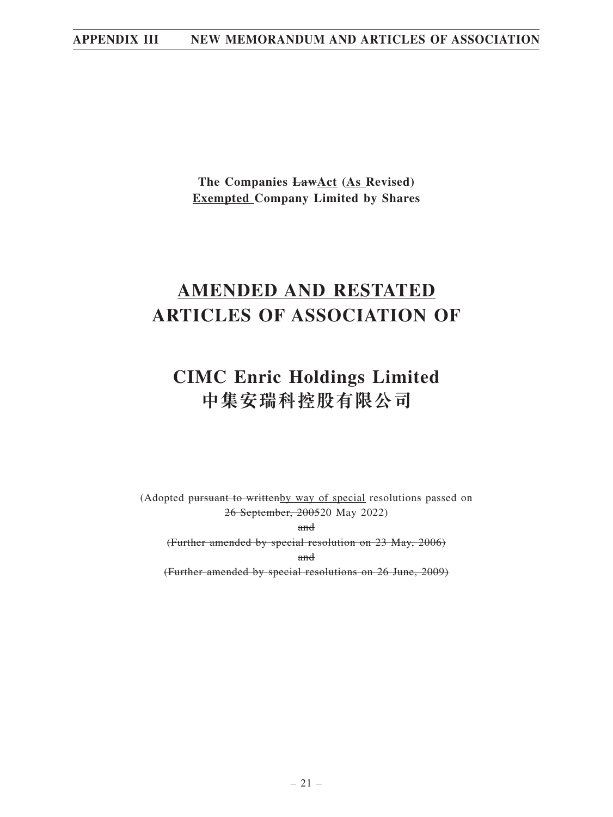**The Companies LawAct (As Revised) Exempted Company Limited by Shares**

# **AMENDED AND RESTATED ARTICLES OF ASSOCIATION OF**

# **CIMC Enric Holdings Limited 中集安瑞科控股有限公司**

(Adopted pursuant to writtenby way of special resolutions passed on 26 September, 200520 May 2022)

and

(Further amended by special resolution on 23 May, 2006)

and

(Further amended by special resolutions on 26 June, 2009)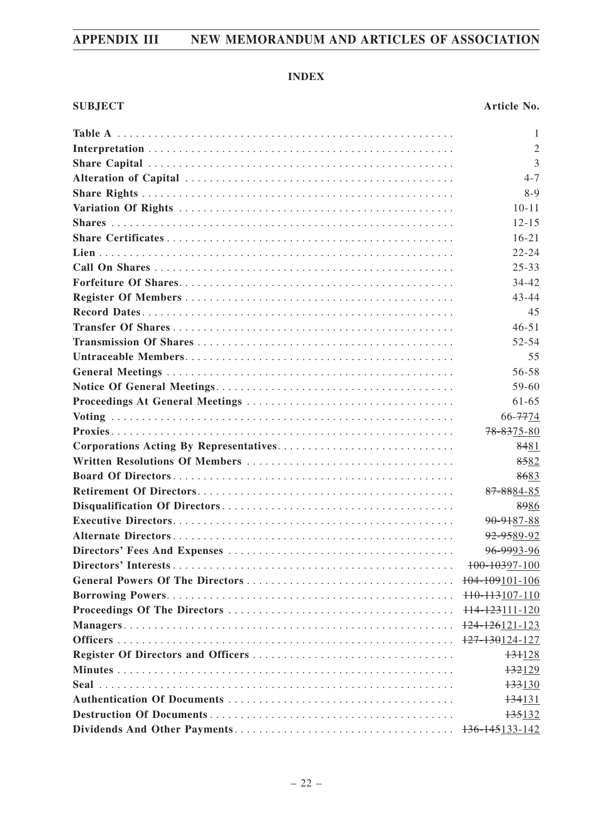# **INDEX**

| 1              |
|----------------|
| $\mathfrak{2}$ |
| 3              |
| $4 - 7$        |
| $8-9$          |
| $10 - 11$      |
| $12 - 15$      |
| $16 - 21$      |
| $22 - 24$      |
| $25 - 33$      |
| 34-42          |
| $43 - 44$      |
| 45             |
| $46 - 51$      |
| 52-54          |
| 55             |
| 56-58          |
| 59-60          |
| $61 - 65$      |
| 66-7774        |
| 78-8375-80     |
| 8481           |
| 8582           |
| 8683           |
| 87-8884-85     |
| 8986           |
| 90-9187-88     |
| 92-9589-92     |
| 96-9993-96     |
| 100-10397-100  |
| 104-109101-106 |
| 110-113107-110 |
| 114-123111-120 |
| 124-126121-123 |
| 127-130124-127 |
| 131128         |
| 132129         |
| 133130         |
| 134131         |
| 135132         |
| 136-145133-142 |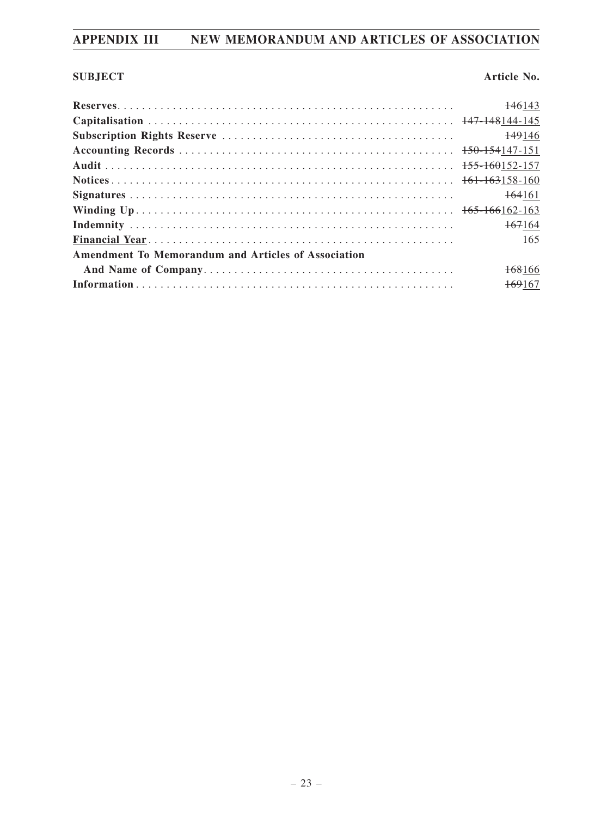# **SUBJECT Article No.**

|                                                     | 146143             |  |
|-----------------------------------------------------|--------------------|--|
|                                                     |                    |  |
|                                                     | 149146             |  |
|                                                     |                    |  |
|                                                     |                    |  |
|                                                     |                    |  |
|                                                     | <del>164</del> 161 |  |
|                                                     |                    |  |
|                                                     | 167164             |  |
|                                                     | 165                |  |
| Amendment To Memorandum and Articles of Association |                    |  |
|                                                     | 168166             |  |
|                                                     | 169167             |  |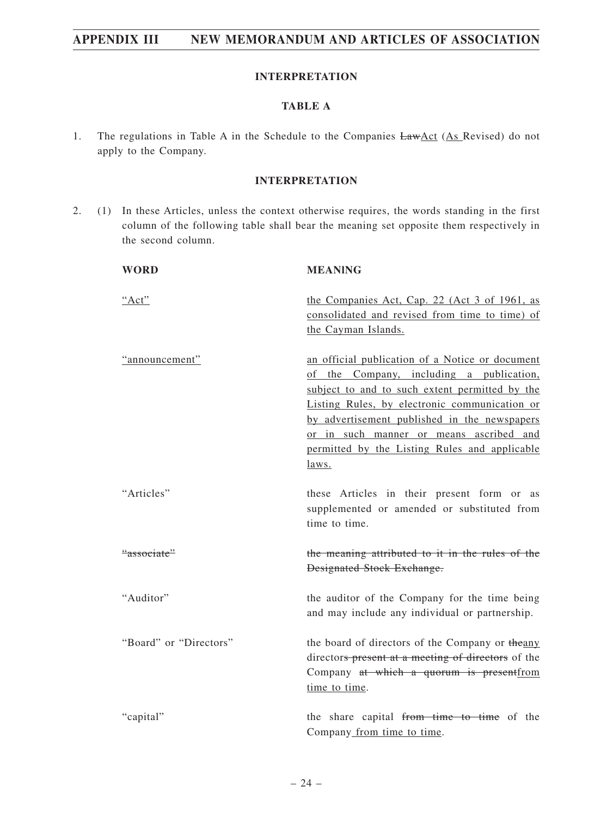#### **INTERPRETATION**

## **TABLE A**

1. The regulations in Table A in the Schedule to the Companies  $LawAct (As Revised)$  do not apply to the Company.

#### **INTERPRETATION**

2. (1) In these Articles, unless the context otherwise requires, the words standing in the first column of the following table shall bear the meaning set opposite them respectively in the second column.

| <b>WORD</b>            | <b>MEANING</b>                                                                                                                                                                                                                                                                                                                                      |
|------------------------|-----------------------------------------------------------------------------------------------------------------------------------------------------------------------------------------------------------------------------------------------------------------------------------------------------------------------------------------------------|
| "Act"                  | the Companies Act, Cap. 22 (Act 3 of 1961, as<br>consolidated and revised from time to time) of<br>the Cayman Islands.                                                                                                                                                                                                                              |
| "announcement"         | an official publication of a Notice or document<br>of the Company, including a publication,<br>subject to and to such extent permitted by the<br>Listing Rules, by electronic communication or<br>by advertisement published in the newspapers<br>or in such manner or means ascribed and<br>permitted by the Listing Rules and applicable<br>laws. |
| "Articles"             | these Articles in their present form or as<br>supplemented or amended or substituted from<br>time to time.                                                                                                                                                                                                                                          |
| "associate"            | the meaning attributed to it in the rules of the<br><b>Designated Stock Exchange.</b>                                                                                                                                                                                                                                                               |
| "Auditor"              | the auditor of the Company for the time being<br>and may include any individual or partnership.                                                                                                                                                                                                                                                     |
| "Board" or "Directors" | the board of directors of the Company or the any<br>directors present at a meeting of directors of the<br>Company at which a quorum is present from<br>time to time.                                                                                                                                                                                |
| "capital"              | the share capital from time to time of the<br>Company from time to time.                                                                                                                                                                                                                                                                            |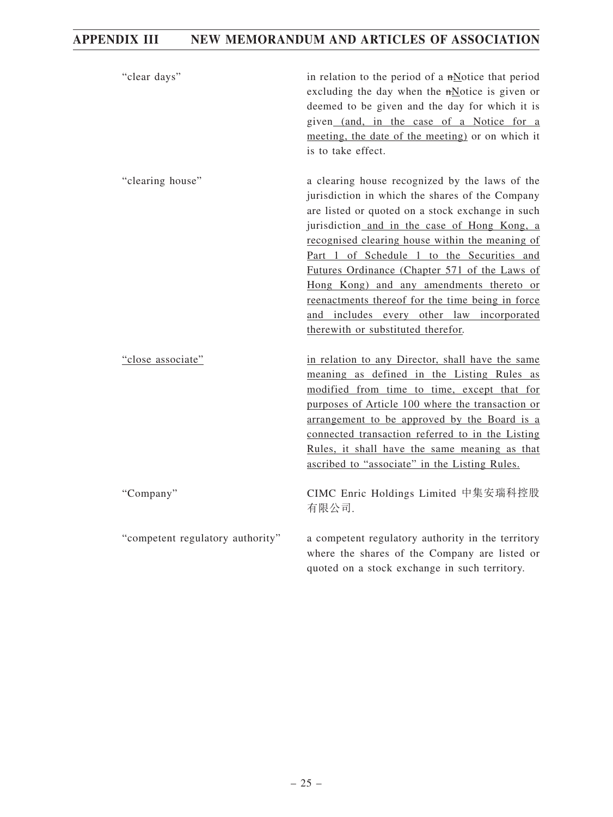| "clear days"                     | in relation to the period of a $mN$ otice that period<br>excluding the day when the mNotice is given or<br>deemed to be given and the day for which it is<br>given (and, in the case of a Notice for a<br>meeting, the date of the meeting) or on which it<br>is to take effect.                                                                                                                                                                                                                                                           |
|----------------------------------|--------------------------------------------------------------------------------------------------------------------------------------------------------------------------------------------------------------------------------------------------------------------------------------------------------------------------------------------------------------------------------------------------------------------------------------------------------------------------------------------------------------------------------------------|
| "clearing house"                 | a clearing house recognized by the laws of the<br>jurisdiction in which the shares of the Company<br>are listed or quoted on a stock exchange in such<br>jurisdiction and in the case of Hong Kong, a<br>recognised clearing house within the meaning of<br>Part 1 of Schedule 1 to the Securities and<br>Futures Ordinance (Chapter 571 of the Laws of<br>Hong Kong) and any amendments thereto or<br>reenactments thereof for the time being in force<br>and includes every other law incorporated<br>therewith or substituted therefor. |
| "close associate"                | in relation to any Director, shall have the same<br>meaning as defined in the Listing Rules as<br>modified from time to time, except that for<br>purposes of Article 100 where the transaction or<br>arrangement to be approved by the Board is a<br>connected transaction referred to in the Listing<br>Rules, it shall have the same meaning as that<br>ascribed to "associate" in the Listing Rules.                                                                                                                                    |
| "Company"                        | CIMC Enric Holdings Limited 中集安瑞科控股<br>有限公司.                                                                                                                                                                                                                                                                                                                                                                                                                                                                                               |
| "competent regulatory authority" | a competent regulatory authority in the territory<br>where the shares of the Company are listed or<br>quoted on a stock exchange in such territory.                                                                                                                                                                                                                                                                                                                                                                                        |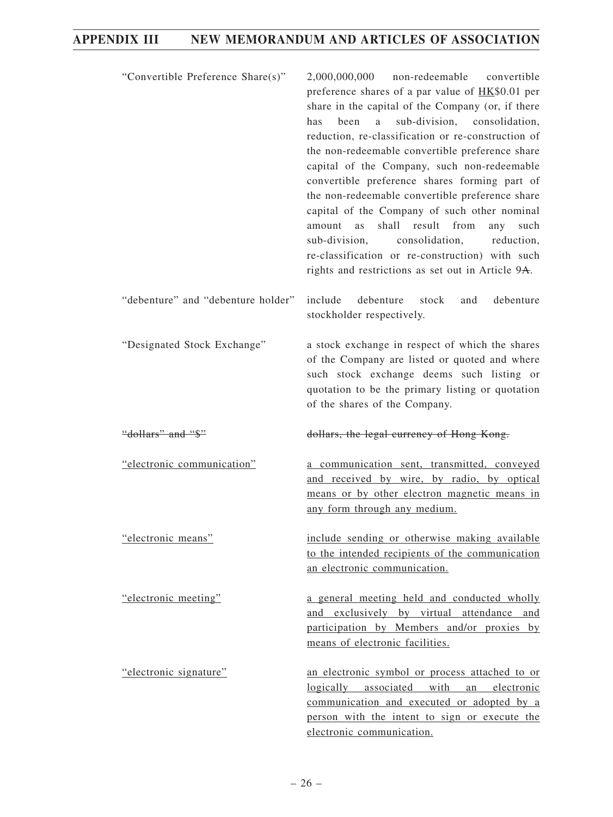| "Convertible Preference Share(s)"  | 2,000,000,000<br>non-redeemable convertible<br>preference shares of a par value of HK\$0.01 per<br>share in the capital of the Company (or, if there<br>sub-division, consolidation,<br>been<br>has<br>a<br>reduction, re-classification or re-construction of<br>the non-redeemable convertible preference share<br>capital of the Company, such non-redeemable<br>convertible preference shares forming part of<br>the non-redeemable convertible preference share<br>capital of the Company of such other nominal<br>shall result from<br>such<br>amount<br><b>as</b><br>any<br>consolidation,<br>reduction,<br>sub-division,<br>re-classification or re-construction) with such<br>rights and restrictions as set out in Article 9A. |
|------------------------------------|------------------------------------------------------------------------------------------------------------------------------------------------------------------------------------------------------------------------------------------------------------------------------------------------------------------------------------------------------------------------------------------------------------------------------------------------------------------------------------------------------------------------------------------------------------------------------------------------------------------------------------------------------------------------------------------------------------------------------------------|
| "debenture" and "debenture holder" | debenture<br>include<br>debenture<br>stock<br>and<br>stockholder respectively.                                                                                                                                                                                                                                                                                                                                                                                                                                                                                                                                                                                                                                                           |
| "Designated Stock Exchange"        | a stock exchange in respect of which the shares<br>of the Company are listed or quoted and where<br>such stock exchange deems such listing or<br>quotation to be the primary listing or quotation<br>of the shares of the Company.                                                                                                                                                                                                                                                                                                                                                                                                                                                                                                       |
| "dollars" and "\$"                 | dollars, the legal currency of Hong Kong.                                                                                                                                                                                                                                                                                                                                                                                                                                                                                                                                                                                                                                                                                                |
| "electronic communication"         | a communication sent, transmitted, conveyed<br>and received by wire, by radio, by optical<br>means or by other electron magnetic means in<br>any form through any medium.                                                                                                                                                                                                                                                                                                                                                                                                                                                                                                                                                                |
| "electronic means"                 | include sending or otherwise making available<br>to the intended recipients of the communication<br>an electronic communication.                                                                                                                                                                                                                                                                                                                                                                                                                                                                                                                                                                                                         |
| "electronic meeting"               | a general meeting held and conducted wholly<br>and exclusively by virtual attendance and<br>participation by Members and/or proxies by<br>means of electronic facilities.                                                                                                                                                                                                                                                                                                                                                                                                                                                                                                                                                                |
| "electronic signature"             | an electronic symbol or process attached to or<br>logically associated with an electronic<br>communication and executed or adopted by a<br>person with the intent to sign or execute the<br>electronic communication.                                                                                                                                                                                                                                                                                                                                                                                                                                                                                                                    |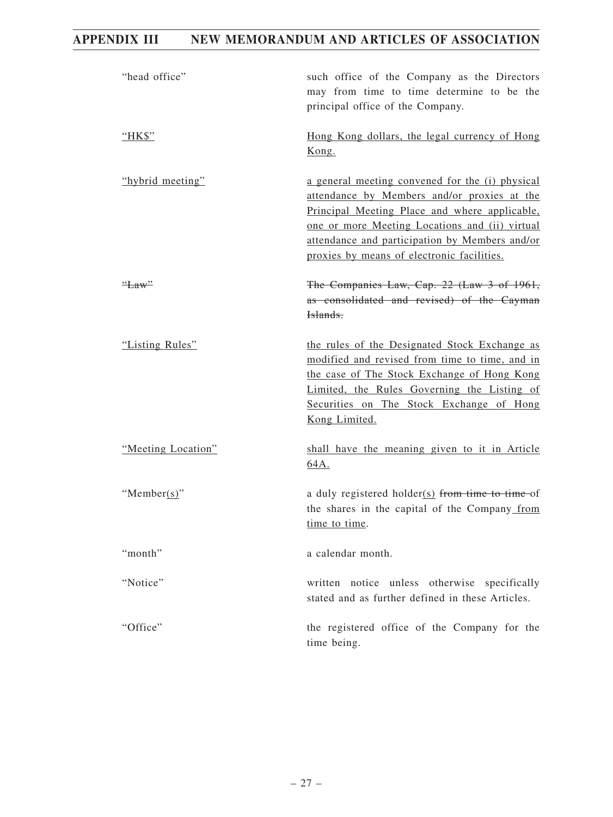| "head office"      | such office of the Company as the Directors<br>may from time to time determine to be the<br>principal office of the Company.                                                                                                                                                                      |
|--------------------|---------------------------------------------------------------------------------------------------------------------------------------------------------------------------------------------------------------------------------------------------------------------------------------------------|
| "HK\$"             | Hong Kong dollars, the legal currency of Hong<br>Kong.                                                                                                                                                                                                                                            |
| "hybrid meeting"   | a general meeting convened for the (i) physical<br>attendance by Members and/or proxies at the<br>Principal Meeting Place and where applicable,<br>one or more Meeting Locations and (ii) virtual<br>attendance and participation by Members and/or<br>proxies by means of electronic facilities. |
| "Law"              | The Companies Law, Cap. 22 (Law 3 of 1961,<br>as consolidated and revised) of the Cayman<br>Islands.                                                                                                                                                                                              |
| "Listing Rules"    | the rules of the Designated Stock Exchange as<br>modified and revised from time to time, and in<br>the case of The Stock Exchange of Hong Kong<br>Limited, the Rules Governing the Listing of<br>Securities on The Stock Exchange of Hong<br>Kong Limited.                                        |
| "Meeting Location" | shall have the meaning given to it in Article<br>64A.                                                                                                                                                                                                                                             |
| "Member(s)"        | a duly registered holder( $s$ ) from time to time-of<br>the shares in the capital of the Company from<br>time to time.                                                                                                                                                                            |
| "month"            | a calendar month.                                                                                                                                                                                                                                                                                 |
| "Notice"           | written notice unless otherwise specifically<br>stated and as further defined in these Articles.                                                                                                                                                                                                  |
| "Office"           | the registered office of the Company for the<br>time being.                                                                                                                                                                                                                                       |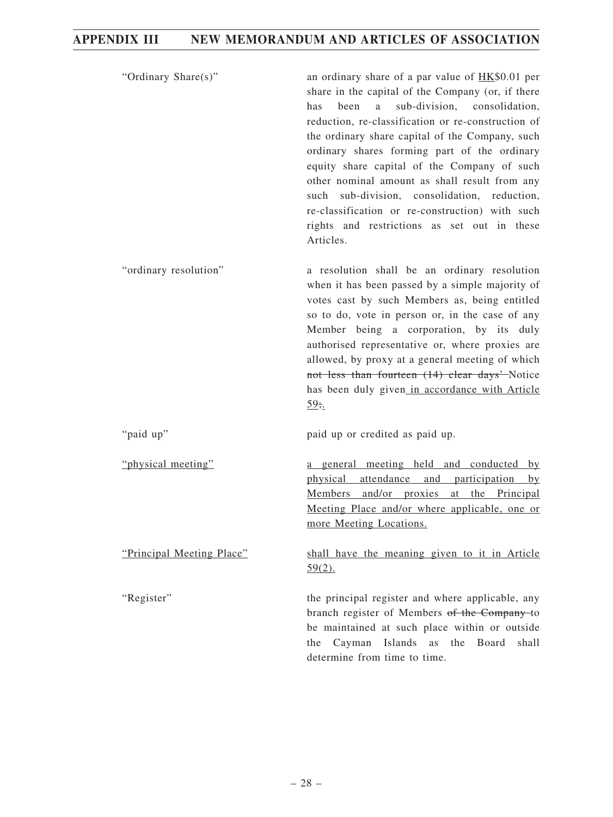| "Ordinary Share(s)"       | an ordinary share of a par value of $HK$0.01$ per<br>share in the capital of the Company (or, if there<br>sub-division, consolidation,<br>been<br>a<br>has<br>reduction, re-classification or re-construction of<br>the ordinary share capital of the Company, such<br>ordinary shares forming part of the ordinary<br>equity share capital of the Company of such<br>other nominal amount as shall result from any<br>such sub-division, consolidation, reduction,<br>re-classification or re-construction) with such<br>rights and restrictions as set out in these<br>Articles. |
|---------------------------|------------------------------------------------------------------------------------------------------------------------------------------------------------------------------------------------------------------------------------------------------------------------------------------------------------------------------------------------------------------------------------------------------------------------------------------------------------------------------------------------------------------------------------------------------------------------------------|
| "ordinary resolution"     | a resolution shall be an ordinary resolution<br>when it has been passed by a simple majority of<br>votes cast by such Members as, being entitled<br>so to do, vote in person or, in the case of any<br>Member being a corporation, by its duly<br>authorised representative or, where proxies are<br>allowed, by proxy at a general meeting of which<br>not less than fourteen (14) clear days' Notice<br>has been duly given in accordance with Article<br>59.1                                                                                                                   |
| "paid up"                 | paid up or credited as paid up.                                                                                                                                                                                                                                                                                                                                                                                                                                                                                                                                                    |
| "physical meeting"        | a general meeting held and conducted by<br>physical attendance and participation by<br>Members and/or proxies at the Principal<br>Meeting Place and/or where applicable, one or<br>more Meeting Locations.                                                                                                                                                                                                                                                                                                                                                                         |
| "Principal Meeting Place" | shall have the meaning given to it in Article<br>$59(2)$ .                                                                                                                                                                                                                                                                                                                                                                                                                                                                                                                         |
| "Register"                | the principal register and where applicable, any<br>branch register of Members of the Company-to<br>be maintained at such place within or outside<br>Cayman Islands as<br>the<br>Board<br>shall<br>the<br>determine from time to time.                                                                                                                                                                                                                                                                                                                                             |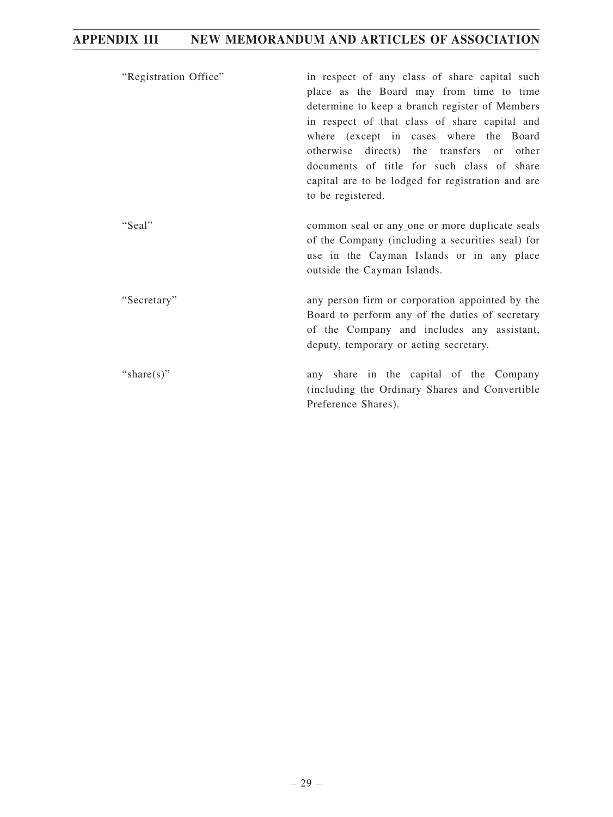| "Registration Office" | in respect of any class of share capital such<br>place as the Board may from time to time<br>determine to keep a branch register of Members<br>in respect of that class of share capital and<br>where (except in cases where the Board<br>otherwise<br>directs) the transfers or<br>other<br>documents of title for such class of share<br>capital are to be lodged for registration and are<br>to be registered. |
|-----------------------|-------------------------------------------------------------------------------------------------------------------------------------------------------------------------------------------------------------------------------------------------------------------------------------------------------------------------------------------------------------------------------------------------------------------|
| "Seal"                | common seal or any one or more duplicate seals<br>of the Company (including a securities seal) for<br>use in the Cayman Islands or in any place<br>outside the Cayman Islands.                                                                                                                                                                                                                                    |
| "Secretary"           | any person firm or corporation appointed by the<br>Board to perform any of the duties of secretary<br>of the Company and includes any assistant,<br>deputy, temporary or acting secretary.                                                                                                                                                                                                                        |
| "share(s)"            | any share in the capital of the Company<br>(including the Ordinary Shares and Convertible)<br>Preference Shares).                                                                                                                                                                                                                                                                                                 |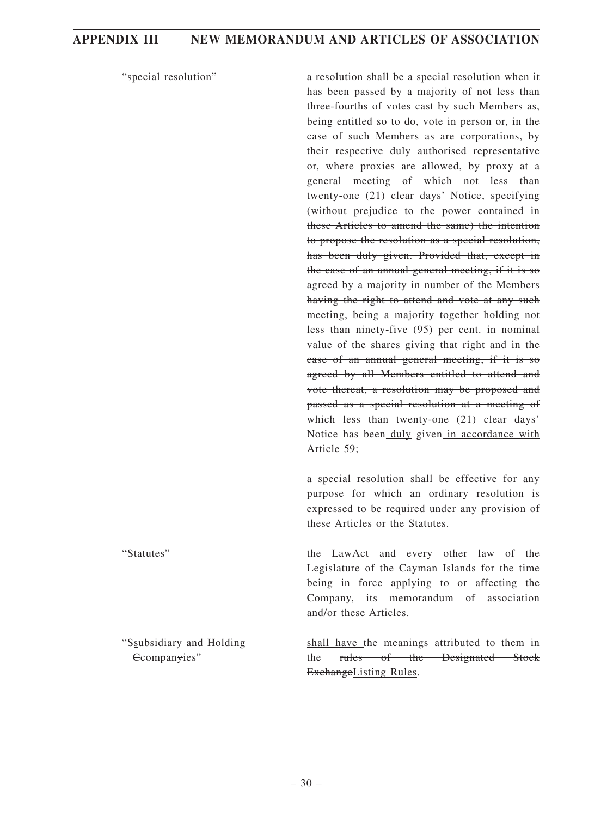Ccompanyies"

"special resolution" a resolution shall be a special resolution when it has been passed by a majority of not less than three-fourths of votes cast by such Members as, being entitled so to do, vote in person or, in the case of such Members as are corporations, by their respective duly authorised representative or, where proxies are allowed, by proxy at a general meeting of which not less than twenty-one (21) clear days' Notice, specifying (without prejudice to the power contained in these Articles to amend the same) the intention to propose the resolution as a special resolution, has been duly given. Provided that, except in the case of an annual general meeting, if it is so agreed by a majority in number of the Members having the right to attend and vote at any such meeting, being a majority together holding not less than ninety-five (95) per cent. in nominal value of the shares giving that right and in the case of an annual general meeting, if it is so agreed by all Members entitled to attend and vote thereat, a resolution may be proposed and passed as a special resolution at a meeting of which less than twenty-one (21) clear days' Notice has been duly given in accordance with Article 59;

> a special resolution shall be effective for any purpose for which an ordinary resolution is expressed to be required under any provision of these Articles or the Statutes.

"Statutes" the LawAct and every other law of the Legislature of the Cayman Islands for the time being in force applying to or affecting the Company, its memorandum of association and/or these Articles. "Ssubsidiary and Holding

shall have the meanings attributed to them in the rules of the Designated Stock ExchangeListing Rules.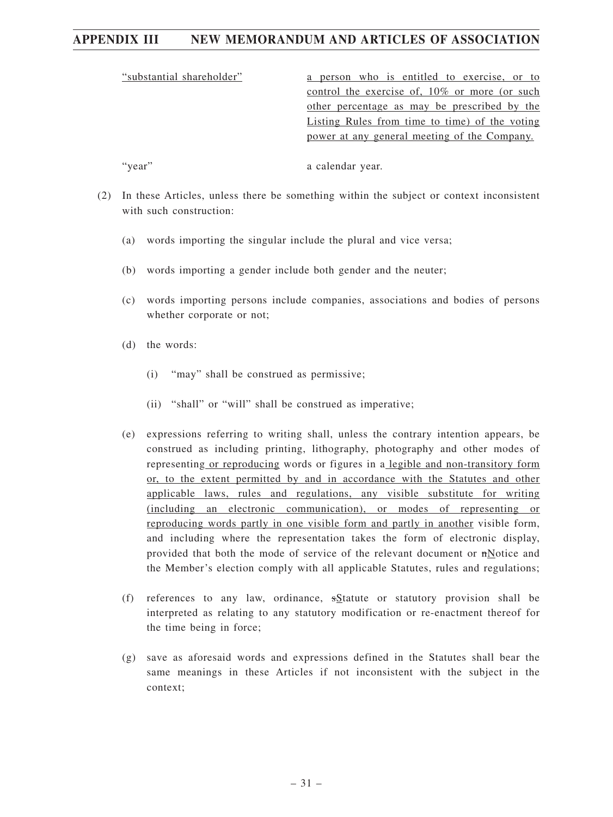"substantial shareholder" a person who is entitled to exercise, or to control the exercise of, 10% or more (or such other percentage as may be prescribed by the Listing Rules from time to time) of the voting power at any general meeting of the Company.

"year" a calendar year.

- (2) In these Articles, unless there be something within the subject or context inconsistent with such construction:
	- (a) words importing the singular include the plural and vice versa;
	- (b) words importing a gender include both gender and the neuter;
	- (c) words importing persons include companies, associations and bodies of persons whether corporate or not;
	- (d) the words:
		- (i) "may" shall be construed as permissive;
		- (ii) "shall" or "will" shall be construed as imperative;
	- (e) expressions referring to writing shall, unless the contrary intention appears, be construed as including printing, lithography, photography and other modes of representing or reproducing words or figures in a legible and non-transitory form or, to the extent permitted by and in accordance with the Statutes and other applicable laws, rules and regulations, any visible substitute for writing (including an electronic communication), or modes of representing or reproducing words partly in one visible form and partly in another visible form, and including where the representation takes the form of electronic display, provided that both the mode of service of the relevant document or nNotice and the Member's election comply with all applicable Statutes, rules and regulations;
	- (f) references to any law, ordinance, sStatute or statutory provision shall be interpreted as relating to any statutory modification or re-enactment thereof for the time being in force;
	- (g) save as aforesaid words and expressions defined in the Statutes shall bear the same meanings in these Articles if not inconsistent with the subject in the context;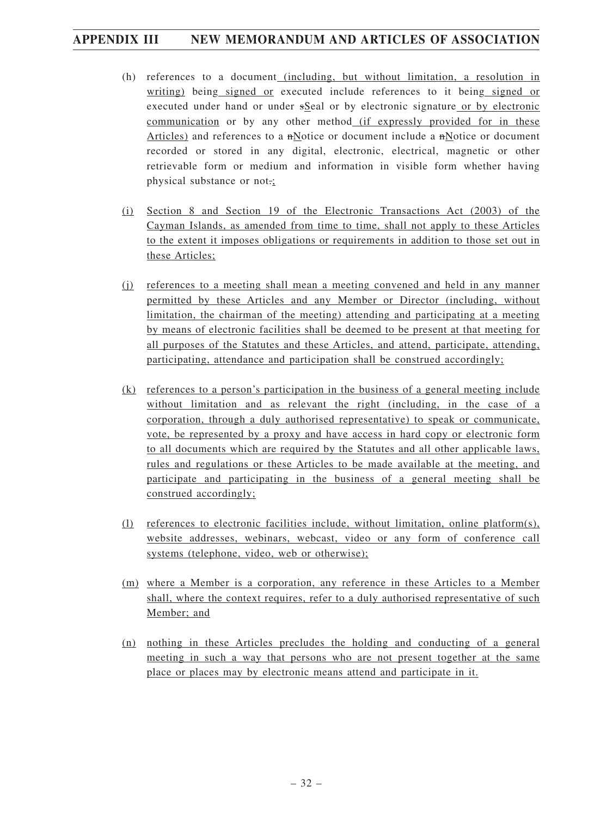- (h) references to a document (including, but without limitation, a resolution in writing) being signed or executed include references to it being signed or executed under hand or under sSeal or by electronic signature or by electronic communication or by any other method (if expressly provided for in these Articles) and references to a nNotice or document include a nNotice or document recorded or stored in any digital, electronic, electrical, magnetic or other retrievable form or medium and information in visible form whether having physical substance or not.;
- (i) Section 8 and Section 19 of the Electronic Transactions Act (2003) of the Cayman Islands, as amended from time to time, shall not apply to these Articles to the extent it imposes obligations or requirements in addition to those set out in these Articles;
- (j) references to a meeting shall mean a meeting convened and held in any manner permitted by these Articles and any Member or Director (including, without limitation, the chairman of the meeting) attending and participating at a meeting by means of electronic facilities shall be deemed to be present at that meeting for all purposes of the Statutes and these Articles, and attend, participate, attending, participating, attendance and participation shall be construed accordingly;
- (k) references to a person's participation in the business of a general meeting include without limitation and as relevant the right (including, in the case of a corporation, through a duly authorised representative) to speak or communicate, vote, be represented by a proxy and have access in hard copy or electronic form to all documents which are required by the Statutes and all other applicable laws, rules and regulations or these Articles to be made available at the meeting, and participate and participating in the business of a general meeting shall be construed accordingly;
- (l) references to electronic facilities include, without limitation, online platform(s), website addresses, webinars, webcast, video or any form of conference call systems (telephone, video, web or otherwise);
- (m) where a Member is a corporation, any reference in these Articles to a Member shall, where the context requires, refer to a duly authorised representative of such Member; and
- (n) nothing in these Articles precludes the holding and conducting of a general meeting in such a way that persons who are not present together at the same place or places may by electronic means attend and participate in it.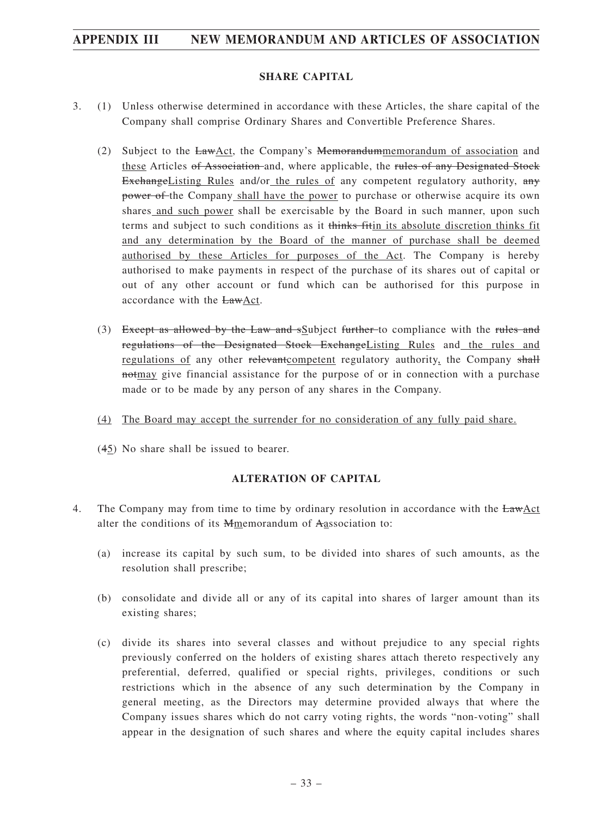### **SHARE CAPITAL**

- 3. (1) Unless otherwise determined in accordance with these Articles, the share capital of the Company shall comprise Ordinary Shares and Convertible Preference Shares.
	- (2) Subject to the LawAct, the Company's Memorandummemorandum of association and these Articles of Association and, where applicable, the rules of any Designated Stock ExchangeListing Rules and/or the rules of any competent regulatory authority,  $a_{\text{H}}$ power of the Company shall have the power to purchase or otherwise acquire its own shares and such power shall be exercisable by the Board in such manner, upon such terms and subject to such conditions as it thinks fitin its absolute discretion thinks fit and any determination by the Board of the manner of purchase shall be deemed authorised by these Articles for purposes of the Act. The Company is hereby authorised to make payments in respect of the purchase of its shares out of capital or out of any other account or fund which can be authorised for this purpose in accordance with the LawAct.
	- (3) Except as allowed by the Law and sSubject further to compliance with the rules and regulations of the Designated Stock ExchangeListing Rules and the rules and regulations of any other relevant competent regulatory authority, the Company shall notmay give financial assistance for the purpose of or in connection with a purchase made or to be made by any person of any shares in the Company.
	- (4) The Board may accept the surrender for no consideration of any fully paid share.
	- (45) No share shall be issued to bearer.

### **ALTERATION OF CAPITAL**

- 4. The Company may from time to time by ordinary resolution in accordance with the LawAct alter the conditions of its Mmemorandum of Aassociation to:
	- (a) increase its capital by such sum, to be divided into shares of such amounts, as the resolution shall prescribe;
	- (b) consolidate and divide all or any of its capital into shares of larger amount than its existing shares;
	- (c) divide its shares into several classes and without prejudice to any special rights previously conferred on the holders of existing shares attach thereto respectively any preferential, deferred, qualified or special rights, privileges, conditions or such restrictions which in the absence of any such determination by the Company in general meeting, as the Directors may determine provided always that where the Company issues shares which do not carry voting rights, the words "non-voting" shall appear in the designation of such shares and where the equity capital includes shares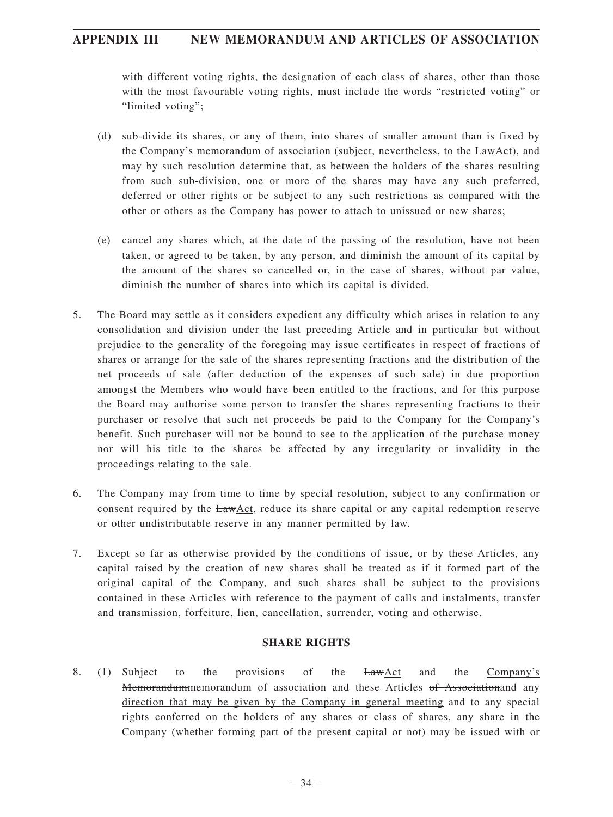with different voting rights, the designation of each class of shares, other than those with the most favourable voting rights, must include the words "restricted voting" or "limited voting":

- (d) sub-divide its shares, or any of them, into shares of smaller amount than is fixed by the Company's memorandum of association (subject, nevertheless, to the LawAct), and may by such resolution determine that, as between the holders of the shares resulting from such sub-division, one or more of the shares may have any such preferred, deferred or other rights or be subject to any such restrictions as compared with the other or others as the Company has power to attach to unissued or new shares;
- (e) cancel any shares which, at the date of the passing of the resolution, have not been taken, or agreed to be taken, by any person, and diminish the amount of its capital by the amount of the shares so cancelled or, in the case of shares, without par value, diminish the number of shares into which its capital is divided.
- 5. The Board may settle as it considers expedient any difficulty which arises in relation to any consolidation and division under the last preceding Article and in particular but without prejudice to the generality of the foregoing may issue certificates in respect of fractions of shares or arrange for the sale of the shares representing fractions and the distribution of the net proceeds of sale (after deduction of the expenses of such sale) in due proportion amongst the Members who would have been entitled to the fractions, and for this purpose the Board may authorise some person to transfer the shares representing fractions to their purchaser or resolve that such net proceeds be paid to the Company for the Company's benefit. Such purchaser will not be bound to see to the application of the purchase money nor will his title to the shares be affected by any irregularity or invalidity in the proceedings relating to the sale.
- 6. The Company may from time to time by special resolution, subject to any confirmation or consent required by the LawAct, reduce its share capital or any capital redemption reserve or other undistributable reserve in any manner permitted by law.
- 7. Except so far as otherwise provided by the conditions of issue, or by these Articles, any capital raised by the creation of new shares shall be treated as if it formed part of the original capital of the Company, and such shares shall be subject to the provisions contained in these Articles with reference to the payment of calls and instalments, transfer and transmission, forfeiture, lien, cancellation, surrender, voting and otherwise.

### **SHARE RIGHTS**

8. (1) Subject to the provisions of the  $\frac{LawAct}{A}$  and the Company's Memorandummemorandum of association and these Articles of Associationand any direction that may be given by the Company in general meeting and to any special rights conferred on the holders of any shares or class of shares, any share in the Company (whether forming part of the present capital or not) may be issued with or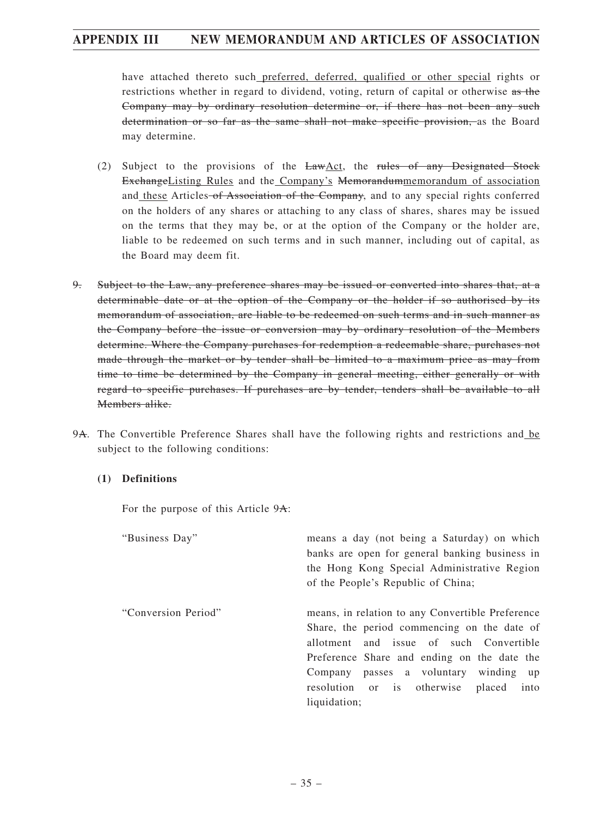have attached thereto such preferred, deferred, qualified or other special rights or restrictions whether in regard to dividend, voting, return of capital or otherwise as the Company may by ordinary resolution determine or, if there has not been any such determination or so far as the same shall not make specific provision, as the Board may determine.

- (2) Subject to the provisions of the  $LawAct$ , the rules of any Designated Stock ExchangeListing Rules and the Company's Memorandummemorandum of association and these Articles of Association of the Company, and to any special rights conferred on the holders of any shares or attaching to any class of shares, shares may be issued on the terms that they may be, or at the option of the Company or the holder are, liable to be redeemed on such terms and in such manner, including out of capital, as the Board may deem fit.
- 9. Subject to the Law, any preference shares may be issued or converted into shares that, at a determinable date or at the option of the Company or the holder if so authorised by its memorandum of association, are liable to be redeemed on such terms and in such manner as the Company before the issue or conversion may by ordinary resolution of the Members determine. Where the Company purchases for redemption a redeemable share, purchases not made through the market or by tender shall be limited to a maximum price as may from time to time be determined by the Company in general meeting, either generally or with regard to specific purchases. If purchases are by tender, tenders shall be available to all Members alike.
- 9A. The Convertible Preference Shares shall have the following rights and restrictions and be subject to the following conditions:

### **(1) Definitions**

For the purpose of this Article 9A:

| "Business Day"      | means a day (not being a Saturday) on which<br>banks are open for general banking business in<br>the Hong Kong Special Administrative Region<br>of the People's Republic of China;                                                                                                              |
|---------------------|-------------------------------------------------------------------------------------------------------------------------------------------------------------------------------------------------------------------------------------------------------------------------------------------------|
| "Conversion Period" | means, in relation to any Convertible Preference<br>Share, the period commencing on the date of<br>allotment and issue of such Convertible<br>Preference Share and ending on the date the<br>Company passes a voluntary winding up<br>resolution or is otherwise placed<br>into<br>liquidation; |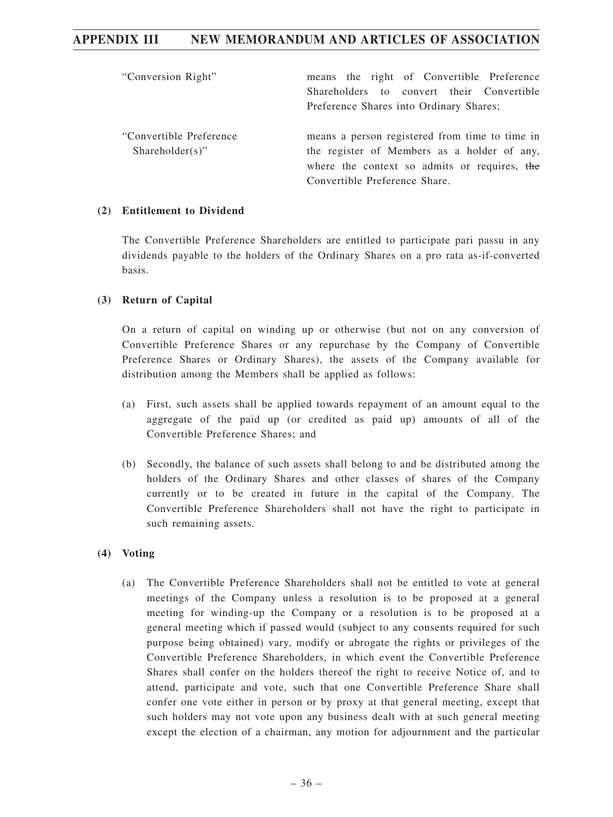| "Conversion Right"                             | means the right of Convertible Preference<br>Shareholders to convert their Convertible<br>Preference Shares into Ordinary Shares;                                              |
|------------------------------------------------|--------------------------------------------------------------------------------------------------------------------------------------------------------------------------------|
| "Convertible Preference"<br>$Shareholder(s)$ " | means a person registered from time to time in<br>the register of Members as a holder of any,<br>where the context so admits or requires, the<br>Convertible Preference Share. |

### **(2) Entitlement to Dividend**

The Convertible Preference Shareholders are entitled to participate pari passu in any dividends payable to the holders of the Ordinary Shares on a pro rata as-if-converted basis.

### **(3) Return of Capital**

On a return of capital on winding up or otherwise (but not on any conversion of Convertible Preference Shares or any repurchase by the Company of Convertible Preference Shares or Ordinary Shares), the assets of the Company available for distribution among the Members shall be applied as follows:

- (a) First, such assets shall be applied towards repayment of an amount equal to the aggregate of the paid up (or credited as paid up) amounts of all of the Convertible Preference Shares; and
- (b) Secondly, the balance of such assets shall belong to and be distributed among the holders of the Ordinary Shares and other classes of shares of the Company currently or to be created in future in the capital of the Company. The Convertible Preference Shareholders shall not have the right to participate in such remaining assets.

### **(4) Voting**

(a) The Convertible Preference Shareholders shall not be entitled to vote at general meetings of the Company unless a resolution is to be proposed at a general meeting for winding-up the Company or a resolution is to be proposed at a general meeting which if passed would (subject to any consents required for such purpose being obtained) vary, modify or abrogate the rights or privileges of the Convertible Preference Shareholders, in which event the Convertible Preference Shares shall confer on the holders thereof the right to receive Notice of, and to attend, participate and vote, such that one Convertible Preference Share shall confer one vote either in person or by proxy at that general meeting, except that such holders may not vote upon any business dealt with at such general meeting except the election of a chairman, any motion for adjournment and the particular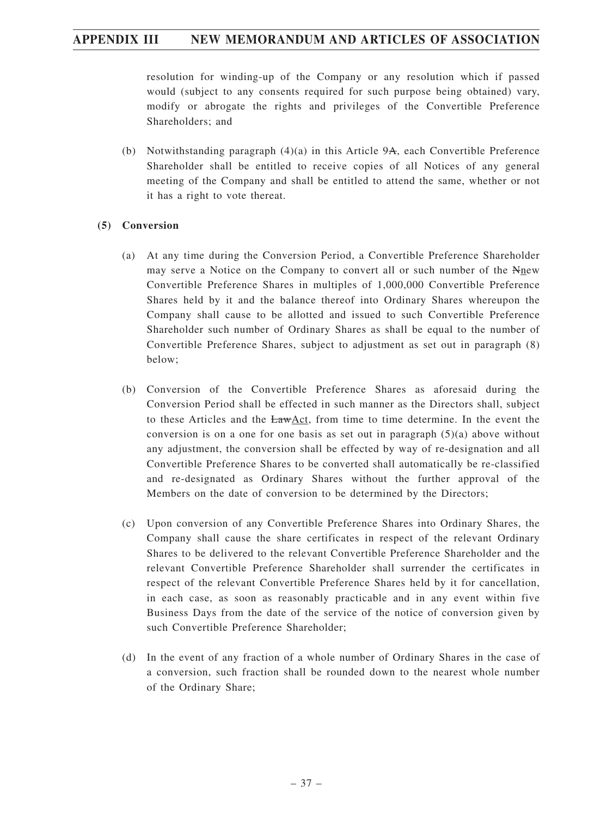resolution for winding-up of the Company or any resolution which if passed would (subject to any consents required for such purpose being obtained) vary, modify or abrogate the rights and privileges of the Convertible Preference Shareholders; and

(b) Notwithstanding paragraph  $(4)(a)$  in this Article 9A, each Convertible Preference Shareholder shall be entitled to receive copies of all Notices of any general meeting of the Company and shall be entitled to attend the same, whether or not it has a right to vote thereat.

### **(5) Conversion**

- (a) At any time during the Conversion Period, a Convertible Preference Shareholder may serve a Notice on the Company to convert all or such number of the Nnew Convertible Preference Shares in multiples of 1,000,000 Convertible Preference Shares held by it and the balance thereof into Ordinary Shares whereupon the Company shall cause to be allotted and issued to such Convertible Preference Shareholder such number of Ordinary Shares as shall be equal to the number of Convertible Preference Shares, subject to adjustment as set out in paragraph (8) below;
- (b) Conversion of the Convertible Preference Shares as aforesaid during the Conversion Period shall be effected in such manner as the Directors shall, subject to these Articles and the LawAct, from time to time determine. In the event the conversion is on a one for one basis as set out in paragraph  $(5)(a)$  above without any adjustment, the conversion shall be effected by way of re-designation and all Convertible Preference Shares to be converted shall automatically be re-classified and re-designated as Ordinary Shares without the further approval of the Members on the date of conversion to be determined by the Directors;
- (c) Upon conversion of any Convertible Preference Shares into Ordinary Shares, the Company shall cause the share certificates in respect of the relevant Ordinary Shares to be delivered to the relevant Convertible Preference Shareholder and the relevant Convertible Preference Shareholder shall surrender the certificates in respect of the relevant Convertible Preference Shares held by it for cancellation, in each case, as soon as reasonably practicable and in any event within five Business Days from the date of the service of the notice of conversion given by such Convertible Preference Shareholder;
- (d) In the event of any fraction of a whole number of Ordinary Shares in the case of a conversion, such fraction shall be rounded down to the nearest whole number of the Ordinary Share;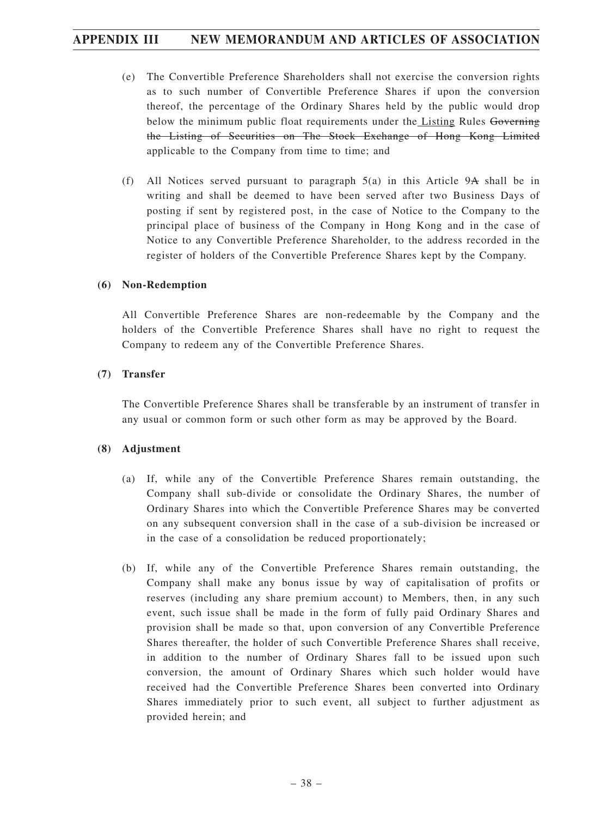- (e) The Convertible Preference Shareholders shall not exercise the conversion rights as to such number of Convertible Preference Shares if upon the conversion thereof, the percentage of the Ordinary Shares held by the public would drop below the minimum public float requirements under the Listing Rules Governing the Listing of Securities on The Stock Exchange of Hong Kong Limited applicable to the Company from time to time; and
- (f) All Notices served pursuant to paragraph 5(a) in this Article 9A shall be in writing and shall be deemed to have been served after two Business Days of posting if sent by registered post, in the case of Notice to the Company to the principal place of business of the Company in Hong Kong and in the case of Notice to any Convertible Preference Shareholder, to the address recorded in the register of holders of the Convertible Preference Shares kept by the Company.

#### **(6) Non-Redemption**

All Convertible Preference Shares are non-redeemable by the Company and the holders of the Convertible Preference Shares shall have no right to request the Company to redeem any of the Convertible Preference Shares.

### **(7) Transfer**

The Convertible Preference Shares shall be transferable by an instrument of transfer in any usual or common form or such other form as may be approved by the Board.

### **(8) Adjustment**

- (a) If, while any of the Convertible Preference Shares remain outstanding, the Company shall sub-divide or consolidate the Ordinary Shares, the number of Ordinary Shares into which the Convertible Preference Shares may be converted on any subsequent conversion shall in the case of a sub-division be increased or in the case of a consolidation be reduced proportionately;
- (b) If, while any of the Convertible Preference Shares remain outstanding, the Company shall make any bonus issue by way of capitalisation of profits or reserves (including any share premium account) to Members, then, in any such event, such issue shall be made in the form of fully paid Ordinary Shares and provision shall be made so that, upon conversion of any Convertible Preference Shares thereafter, the holder of such Convertible Preference Shares shall receive, in addition to the number of Ordinary Shares fall to be issued upon such conversion, the amount of Ordinary Shares which such holder would have received had the Convertible Preference Shares been converted into Ordinary Shares immediately prior to such event, all subject to further adjustment as provided herein; and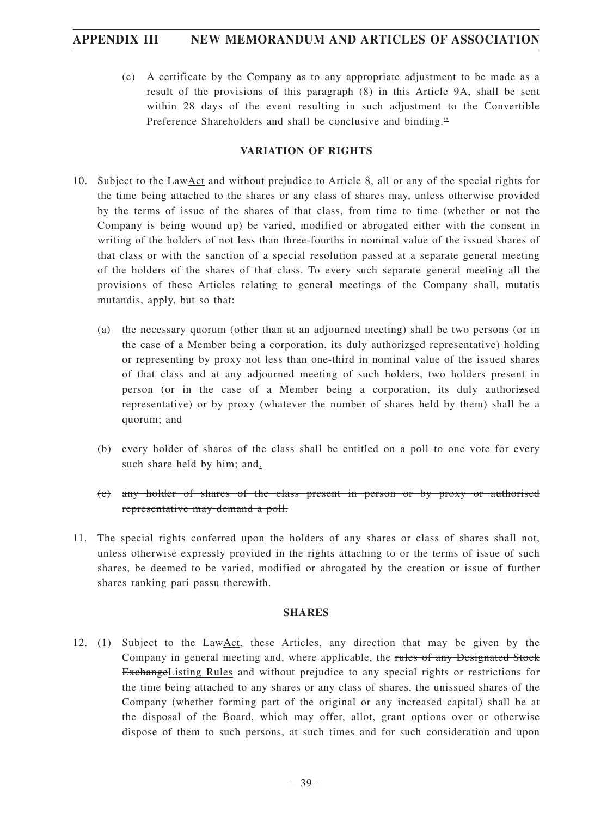(c) A certificate by the Company as to any appropriate adjustment to be made as a result of the provisions of this paragraph  $(8)$  in this Article 9A, shall be sent within 28 days of the event resulting in such adjustment to the Convertible Preference Shareholders and shall be conclusive and binding."

### **VARIATION OF RIGHTS**

- 10. Subject to the LawAct and without prejudice to Article 8, all or any of the special rights for the time being attached to the shares or any class of shares may, unless otherwise provided by the terms of issue of the shares of that class, from time to time (whether or not the Company is being wound up) be varied, modified or abrogated either with the consent in writing of the holders of not less than three-fourths in nominal value of the issued shares of that class or with the sanction of a special resolution passed at a separate general meeting of the holders of the shares of that class. To every such separate general meeting all the provisions of these Articles relating to general meetings of the Company shall, mutatis mutandis, apply, but so that:
	- (a) the necessary quorum (other than at an adjourned meeting) shall be two persons (or in the case of a Member being a corporation, its duly authorizsed representative) holding or representing by proxy not less than one-third in nominal value of the issued shares of that class and at any adjourned meeting of such holders, two holders present in person (or in the case of a Member being a corporation, its duly authorizsed representative) or by proxy (whatever the number of shares held by them) shall be a quorum; and
	- (b) every holder of shares of the class shall be entitled  $\theta$  and  $\theta$  and  $\theta$  one vote for every such share held by him; and.
	- (c) any holder of shares of the class present in person or by proxy or authorised representative may demand a poll.
- 11. The special rights conferred upon the holders of any shares or class of shares shall not, unless otherwise expressly provided in the rights attaching to or the terms of issue of such shares, be deemed to be varied, modified or abrogated by the creation or issue of further shares ranking pari passu therewith.

#### **SHARES**

12. (1) Subject to the LawAct, these Articles, any direction that may be given by the Company in general meeting and, where applicable, the rules of any Designated Stock ExchangeListing Rules and without prejudice to any special rights or restrictions for the time being attached to any shares or any class of shares, the unissued shares of the Company (whether forming part of the original or any increased capital) shall be at the disposal of the Board, which may offer, allot, grant options over or otherwise dispose of them to such persons, at such times and for such consideration and upon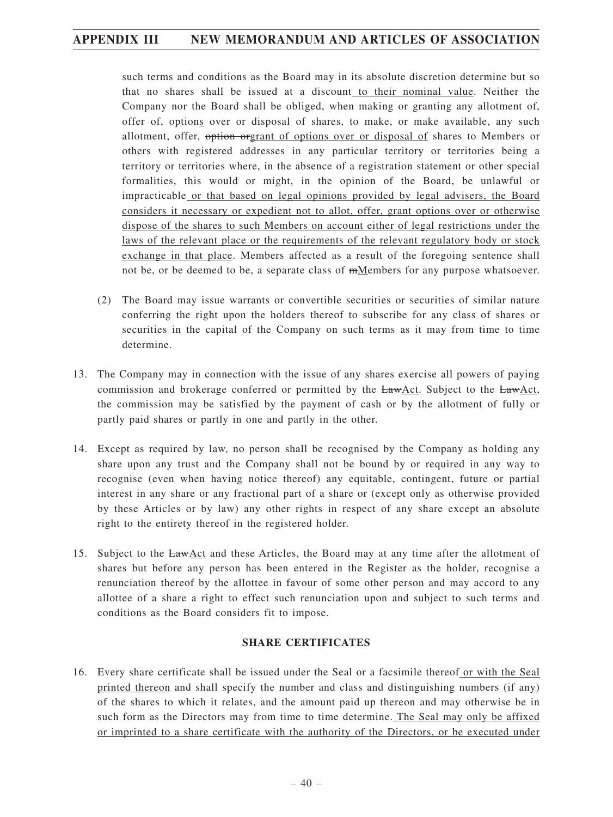such terms and conditions as the Board may in its absolute discretion determine but so that no shares shall be issued at a discount to their nominal value. Neither the Company nor the Board shall be obliged, when making or granting any allotment of, offer of, options over or disposal of shares, to make, or make available, any such allotment, offer, option orgrant of options over or disposal of shares to Members or others with registered addresses in any particular territory or territories being a territory or territories where, in the absence of a registration statement or other special formalities, this would or might, in the opinion of the Board, be unlawful or impracticable or that based on legal opinions provided by legal advisers, the Board considers it necessary or expedient not to allot, offer, grant options over or otherwise dispose of the shares to such Members on account either of legal restrictions under the laws of the relevant place or the requirements of the relevant regulatory body or stock exchange in that place. Members affected as a result of the foregoing sentence shall not be, or be deemed to be, a separate class of  $m$ Members for any purpose whatsoever.

- (2) The Board may issue warrants or convertible securities or securities of similar nature conferring the right upon the holders thereof to subscribe for any class of shares or securities in the capital of the Company on such terms as it may from time to time determine.
- 13. The Company may in connection with the issue of any shares exercise all powers of paying commission and brokerage conferred or permitted by the LawAct. Subject to the LawAct, the commission may be satisfied by the payment of cash or by the allotment of fully or partly paid shares or partly in one and partly in the other.
- 14. Except as required by law, no person shall be recognised by the Company as holding any share upon any trust and the Company shall not be bound by or required in any way to recognise (even when having notice thereof) any equitable, contingent, future or partial interest in any share or any fractional part of a share or (except only as otherwise provided by these Articles or by law) any other rights in respect of any share except an absolute right to the entirety thereof in the registered holder.
- 15. Subject to the LawAct and these Articles, the Board may at any time after the allotment of shares but before any person has been entered in the Register as the holder, recognise a renunciation thereof by the allottee in favour of some other person and may accord to any allottee of a share a right to effect such renunciation upon and subject to such terms and conditions as the Board considers fit to impose.

### **SHARE CERTIFICATES**

16. Every share certificate shall be issued under the Seal or a facsimile thereof or with the Seal printed thereon and shall specify the number and class and distinguishing numbers (if any) of the shares to which it relates, and the amount paid up thereon and may otherwise be in such form as the Directors may from time to time determine. The Seal may only be affixed or imprinted to a share certificate with the authority of the Directors, or be executed under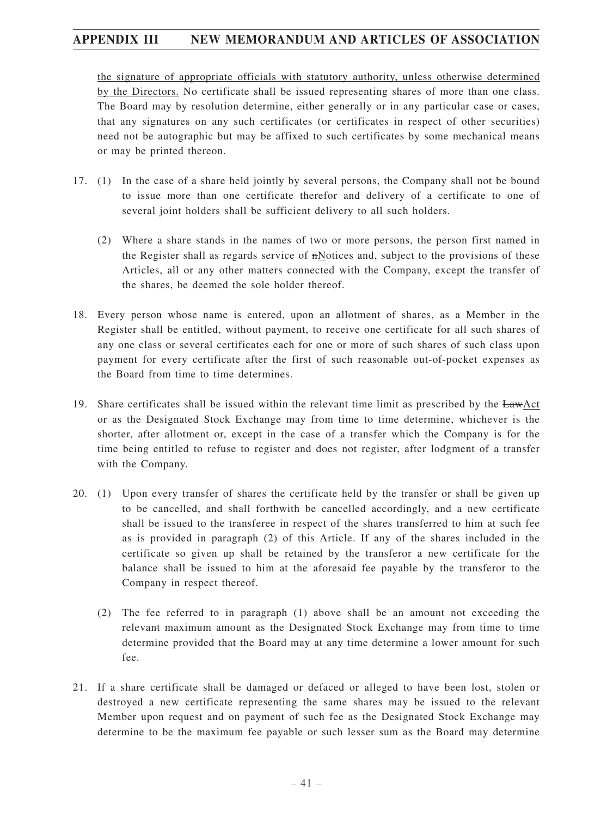the signature of appropriate officials with statutory authority, unless otherwise determined by the Directors. No certificate shall be issued representing shares of more than one class. The Board may by resolution determine, either generally or in any particular case or cases, that any signatures on any such certificates (or certificates in respect of other securities) need not be autographic but may be affixed to such certificates by some mechanical means or may be printed thereon.

- 17. (1) In the case of a share held jointly by several persons, the Company shall not be bound to issue more than one certificate therefor and delivery of a certificate to one of several joint holders shall be sufficient delivery to all such holders.
	- (2) Where a share stands in the names of two or more persons, the person first named in the Register shall as regards service of nNotices and, subject to the provisions of these Articles, all or any other matters connected with the Company, except the transfer of the shares, be deemed the sole holder thereof.
- 18. Every person whose name is entered, upon an allotment of shares, as a Member in the Register shall be entitled, without payment, to receive one certificate for all such shares of any one class or several certificates each for one or more of such shares of such class upon payment for every certificate after the first of such reasonable out-of-pocket expenses as the Board from time to time determines.
- 19. Share certificates shall be issued within the relevant time limit as prescribed by the LawAct or as the Designated Stock Exchange may from time to time determine, whichever is the shorter, after allotment or, except in the case of a transfer which the Company is for the time being entitled to refuse to register and does not register, after lodgment of a transfer with the Company.
- 20. (1) Upon every transfer of shares the certificate held by the transfer or shall be given up to be cancelled, and shall forthwith be cancelled accordingly, and a new certificate shall be issued to the transferee in respect of the shares transferred to him at such fee as is provided in paragraph (2) of this Article. If any of the shares included in the certificate so given up shall be retained by the transferor a new certificate for the balance shall be issued to him at the aforesaid fee payable by the transferor to the Company in respect thereof.
	- (2) The fee referred to in paragraph (1) above shall be an amount not exceeding the relevant maximum amount as the Designated Stock Exchange may from time to time determine provided that the Board may at any time determine a lower amount for such fee.
- 21. If a share certificate shall be damaged or defaced or alleged to have been lost, stolen or destroyed a new certificate representing the same shares may be issued to the relevant Member upon request and on payment of such fee as the Designated Stock Exchange may determine to be the maximum fee payable or such lesser sum as the Board may determine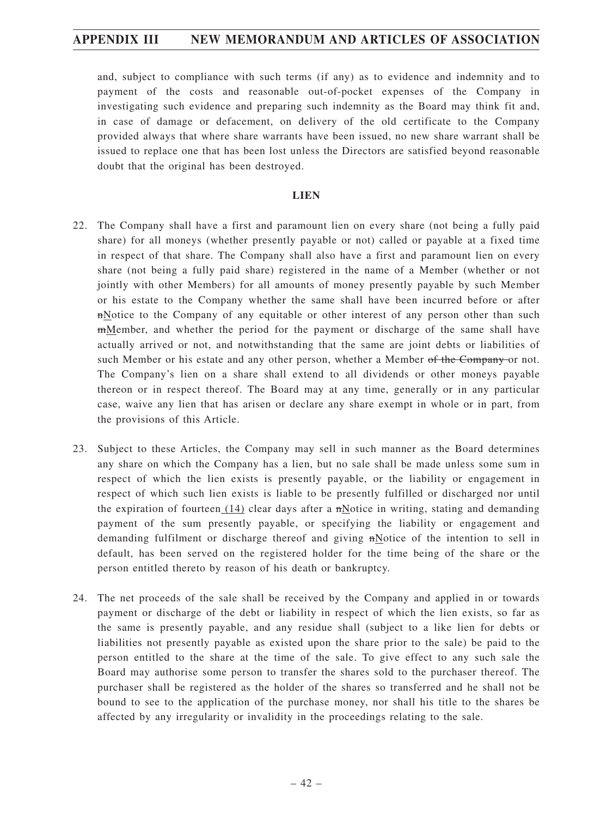and, subject to compliance with such terms (if any) as to evidence and indemnity and to payment of the costs and reasonable out-of-pocket expenses of the Company in investigating such evidence and preparing such indemnity as the Board may think fit and, in case of damage or defacement, on delivery of the old certificate to the Company provided always that where share warrants have been issued, no new share warrant shall be issued to replace one that has been lost unless the Directors are satisfied beyond reasonable doubt that the original has been destroyed.

#### **LIEN**

- 22. The Company shall have a first and paramount lien on every share (not being a fully paid share) for all moneys (whether presently payable or not) called or payable at a fixed time in respect of that share. The Company shall also have a first and paramount lien on every share (not being a fully paid share) registered in the name of a Member (whether or not jointly with other Members) for all amounts of money presently payable by such Member or his estate to the Company whether the same shall have been incurred before or after nNotice to the Company of any equitable or other interest of any person other than such mMember, and whether the period for the payment or discharge of the same shall have actually arrived or not, and notwithstanding that the same are joint debts or liabilities of such Member or his estate and any other person, whether a Member of the Company or not. The Company's lien on a share shall extend to all dividends or other moneys payable thereon or in respect thereof. The Board may at any time, generally or in any particular case, waive any lien that has arisen or declare any share exempt in whole or in part, from the provisions of this Article.
- 23. Subject to these Articles, the Company may sell in such manner as the Board determines any share on which the Company has a lien, but no sale shall be made unless some sum in respect of which the lien exists is presently payable, or the liability or engagement in respect of which such lien exists is liable to be presently fulfilled or discharged nor until the expiration of fourteen  $(14)$  clear days after a  $\pi$ Notice in writing, stating and demanding payment of the sum presently payable, or specifying the liability or engagement and demanding fulfilment or discharge thereof and giving nNotice of the intention to sell in default, has been served on the registered holder for the time being of the share or the person entitled thereto by reason of his death or bankruptcy.
- 24. The net proceeds of the sale shall be received by the Company and applied in or towards payment or discharge of the debt or liability in respect of which the lien exists, so far as the same is presently payable, and any residue shall (subject to a like lien for debts or liabilities not presently payable as existed upon the share prior to the sale) be paid to the person entitled to the share at the time of the sale. To give effect to any such sale the Board may authorise some person to transfer the shares sold to the purchaser thereof. The purchaser shall be registered as the holder of the shares so transferred and he shall not be bound to see to the application of the purchase money, nor shall his title to the shares be affected by any irregularity or invalidity in the proceedings relating to the sale.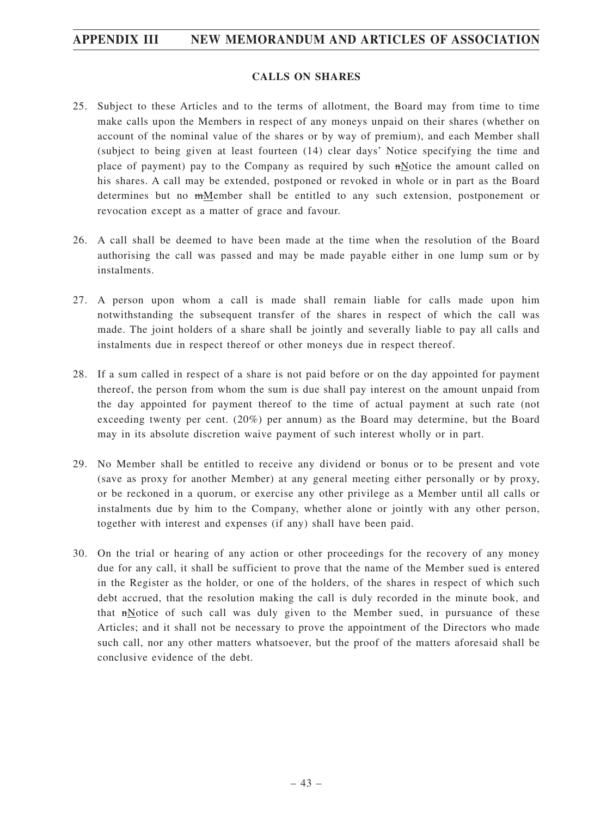### **CALLS ON SHARES**

- 25. Subject to these Articles and to the terms of allotment, the Board may from time to time make calls upon the Members in respect of any moneys unpaid on their shares (whether on account of the nominal value of the shares or by way of premium), and each Member shall (subject to being given at least fourteen (14) clear days' Notice specifying the time and place of payment) pay to the Company as required by such nNotice the amount called on his shares. A call may be extended, postponed or revoked in whole or in part as the Board determines but no mMember shall be entitled to any such extension, postponement or revocation except as a matter of grace and favour.
- 26. A call shall be deemed to have been made at the time when the resolution of the Board authorising the call was passed and may be made payable either in one lump sum or by instalments.
- 27. A person upon whom a call is made shall remain liable for calls made upon him notwithstanding the subsequent transfer of the shares in respect of which the call was made. The joint holders of a share shall be jointly and severally liable to pay all calls and instalments due in respect thereof or other moneys due in respect thereof.
- 28. If a sum called in respect of a share is not paid before or on the day appointed for payment thereof, the person from whom the sum is due shall pay interest on the amount unpaid from the day appointed for payment thereof to the time of actual payment at such rate (not exceeding twenty per cent. (20%) per annum) as the Board may determine, but the Board may in its absolute discretion waive payment of such interest wholly or in part.
- 29. No Member shall be entitled to receive any dividend or bonus or to be present and vote (save as proxy for another Member) at any general meeting either personally or by proxy, or be reckoned in a quorum, or exercise any other privilege as a Member until all calls or instalments due by him to the Company, whether alone or jointly with any other person, together with interest and expenses (if any) shall have been paid.
- 30. On the trial or hearing of any action or other proceedings for the recovery of any money due for any call, it shall be sufficient to prove that the name of the Member sued is entered in the Register as the holder, or one of the holders, of the shares in respect of which such debt accrued, that the resolution making the call is duly recorded in the minute book, and that nNotice of such call was duly given to the Member sued, in pursuance of these Articles; and it shall not be necessary to prove the appointment of the Directors who made such call, nor any other matters whatsoever, but the proof of the matters aforesaid shall be conclusive evidence of the debt.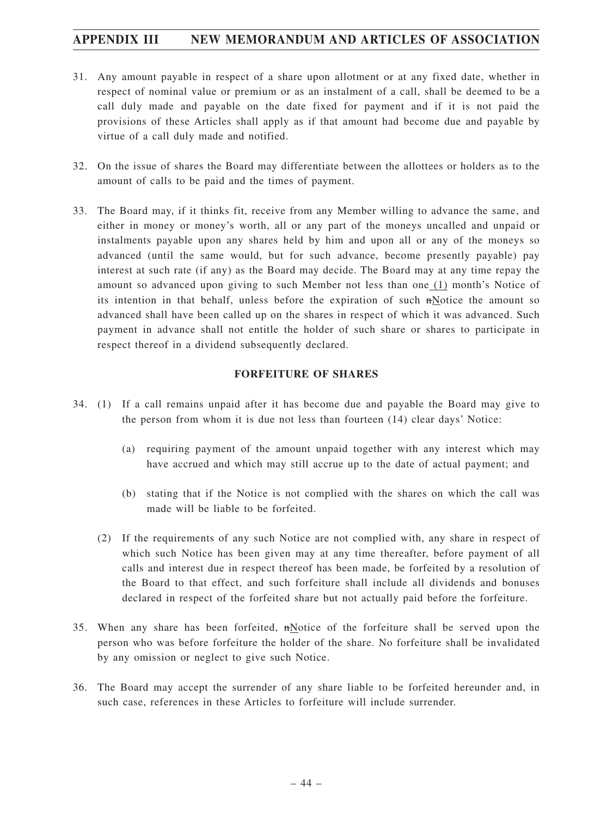- 31. Any amount payable in respect of a share upon allotment or at any fixed date, whether in respect of nominal value or premium or as an instalment of a call, shall be deemed to be a call duly made and payable on the date fixed for payment and if it is not paid the provisions of these Articles shall apply as if that amount had become due and payable by virtue of a call duly made and notified.
- 32. On the issue of shares the Board may differentiate between the allottees or holders as to the amount of calls to be paid and the times of payment.
- 33. The Board may, if it thinks fit, receive from any Member willing to advance the same, and either in money or money's worth, all or any part of the moneys uncalled and unpaid or instalments payable upon any shares held by him and upon all or any of the moneys so advanced (until the same would, but for such advance, become presently payable) pay interest at such rate (if any) as the Board may decide. The Board may at any time repay the amount so advanced upon giving to such Member not less than one (1) month's Notice of its intention in that behalf, unless before the expiration of such nNotice the amount so advanced shall have been called up on the shares in respect of which it was advanced. Such payment in advance shall not entitle the holder of such share or shares to participate in respect thereof in a dividend subsequently declared.

### **FORFEITURE OF SHARES**

- 34. (1) If a call remains unpaid after it has become due and payable the Board may give to the person from whom it is due not less than fourteen (14) clear days' Notice:
	- (a) requiring payment of the amount unpaid together with any interest which may have accrued and which may still accrue up to the date of actual payment; and
	- (b) stating that if the Notice is not complied with the shares on which the call was made will be liable to be forfeited.
	- (2) If the requirements of any such Notice are not complied with, any share in respect of which such Notice has been given may at any time thereafter, before payment of all calls and interest due in respect thereof has been made, be forfeited by a resolution of the Board to that effect, and such forfeiture shall include all dividends and bonuses declared in respect of the forfeited share but not actually paid before the forfeiture.
- 35. When any share has been forfeited, nNotice of the forfeiture shall be served upon the person who was before forfeiture the holder of the share. No forfeiture shall be invalidated by any omission or neglect to give such Notice.
- 36. The Board may accept the surrender of any share liable to be forfeited hereunder and, in such case, references in these Articles to forfeiture will include surrender.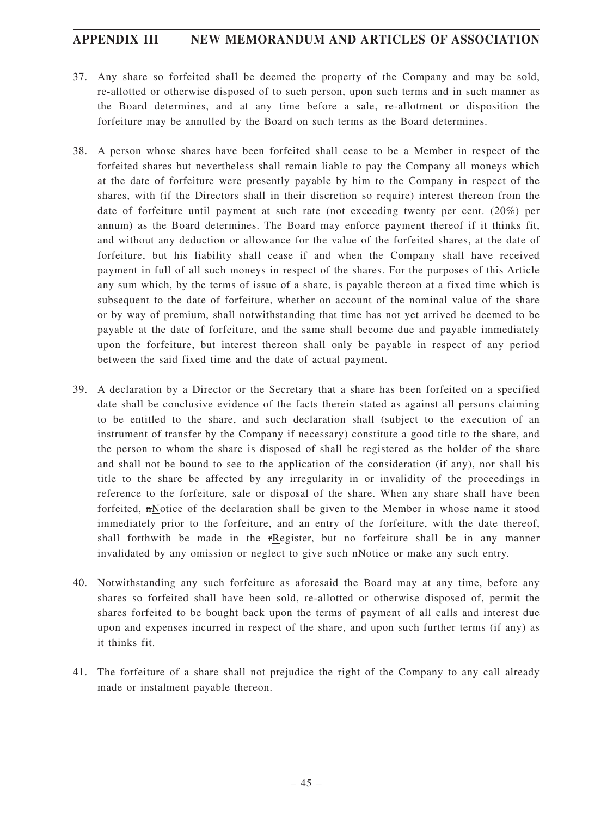- 37. Any share so forfeited shall be deemed the property of the Company and may be sold, re-allotted or otherwise disposed of to such person, upon such terms and in such manner as the Board determines, and at any time before a sale, re-allotment or disposition the forfeiture may be annulled by the Board on such terms as the Board determines.
- 38. A person whose shares have been forfeited shall cease to be a Member in respect of the forfeited shares but nevertheless shall remain liable to pay the Company all moneys which at the date of forfeiture were presently payable by him to the Company in respect of the shares, with (if the Directors shall in their discretion so require) interest thereon from the date of forfeiture until payment at such rate (not exceeding twenty per cent. (20%) per annum) as the Board determines. The Board may enforce payment thereof if it thinks fit, and without any deduction or allowance for the value of the forfeited shares, at the date of forfeiture, but his liability shall cease if and when the Company shall have received payment in full of all such moneys in respect of the shares. For the purposes of this Article any sum which, by the terms of issue of a share, is payable thereon at a fixed time which is subsequent to the date of forfeiture, whether on account of the nominal value of the share or by way of premium, shall notwithstanding that time has not yet arrived be deemed to be payable at the date of forfeiture, and the same shall become due and payable immediately upon the forfeiture, but interest thereon shall only be payable in respect of any period between the said fixed time and the date of actual payment.
- 39. A declaration by a Director or the Secretary that a share has been forfeited on a specified date shall be conclusive evidence of the facts therein stated as against all persons claiming to be entitled to the share, and such declaration shall (subject to the execution of an instrument of transfer by the Company if necessary) constitute a good title to the share, and the person to whom the share is disposed of shall be registered as the holder of the share and shall not be bound to see to the application of the consideration (if any), nor shall his title to the share be affected by any irregularity in or invalidity of the proceedings in reference to the forfeiture, sale or disposal of the share. When any share shall have been forfeited, nNotice of the declaration shall be given to the Member in whose name it stood immediately prior to the forfeiture, and an entry of the forfeiture, with the date thereof, shall forthwith be made in the rRegister, but no forfeiture shall be in any manner invalidated by any omission or neglect to give such  $\mathbf{n}$  Notice or make any such entry.
- 40. Notwithstanding any such forfeiture as aforesaid the Board may at any time, before any shares so forfeited shall have been sold, re-allotted or otherwise disposed of, permit the shares forfeited to be bought back upon the terms of payment of all calls and interest due upon and expenses incurred in respect of the share, and upon such further terms (if any) as it thinks fit.
- 41. The forfeiture of a share shall not prejudice the right of the Company to any call already made or instalment payable thereon.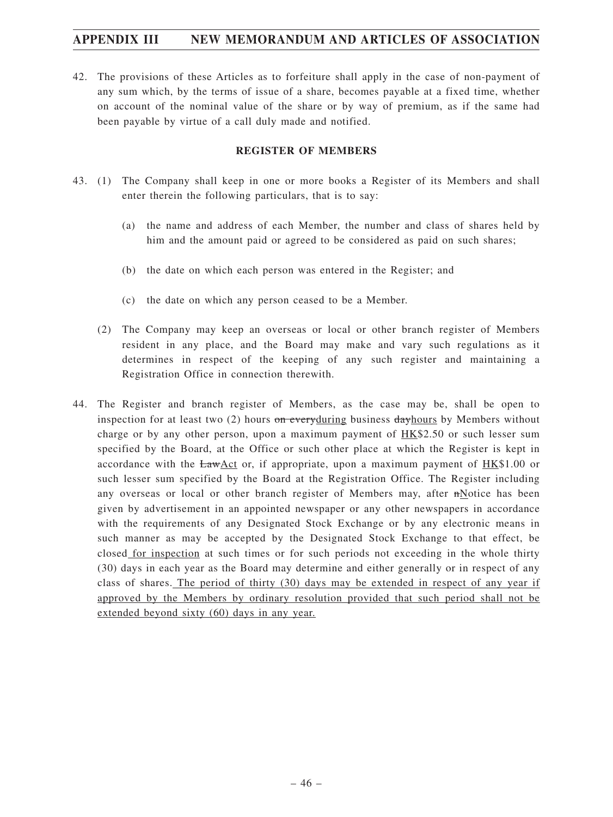42. The provisions of these Articles as to forfeiture shall apply in the case of non-payment of any sum which, by the terms of issue of a share, becomes payable at a fixed time, whether on account of the nominal value of the share or by way of premium, as if the same had been payable by virtue of a call duly made and notified.

#### **REGISTER OF MEMBERS**

- 43. (1) The Company shall keep in one or more books a Register of its Members and shall enter therein the following particulars, that is to say:
	- (a) the name and address of each Member, the number and class of shares held by him and the amount paid or agreed to be considered as paid on such shares;
	- (b) the date on which each person was entered in the Register; and
	- (c) the date on which any person ceased to be a Member.
	- (2) The Company may keep an overseas or local or other branch register of Members resident in any place, and the Board may make and vary such regulations as it determines in respect of the keeping of any such register and maintaining a Registration Office in connection therewith.
- 44. The Register and branch register of Members, as the case may be, shall be open to inspection for at least two  $(2)$  hours on everyduring business day hours by Members without charge or by any other person, upon a maximum payment of HK\$2.50 or such lesser sum specified by the Board, at the Office or such other place at which the Register is kept in accordance with the  $LawAct$  or, if appropriate, upon a maximum payment of  $HK$1.00$  or such lesser sum specified by the Board at the Registration Office. The Register including any overseas or local or other branch register of Members may, after  $m$ Notice has been given by advertisement in an appointed newspaper or any other newspapers in accordance with the requirements of any Designated Stock Exchange or by any electronic means in such manner as may be accepted by the Designated Stock Exchange to that effect, be closed for inspection at such times or for such periods not exceeding in the whole thirty (30) days in each year as the Board may determine and either generally or in respect of any class of shares. The period of thirty (30) days may be extended in respect of any year if approved by the Members by ordinary resolution provided that such period shall not be extended beyond sixty (60) days in any year.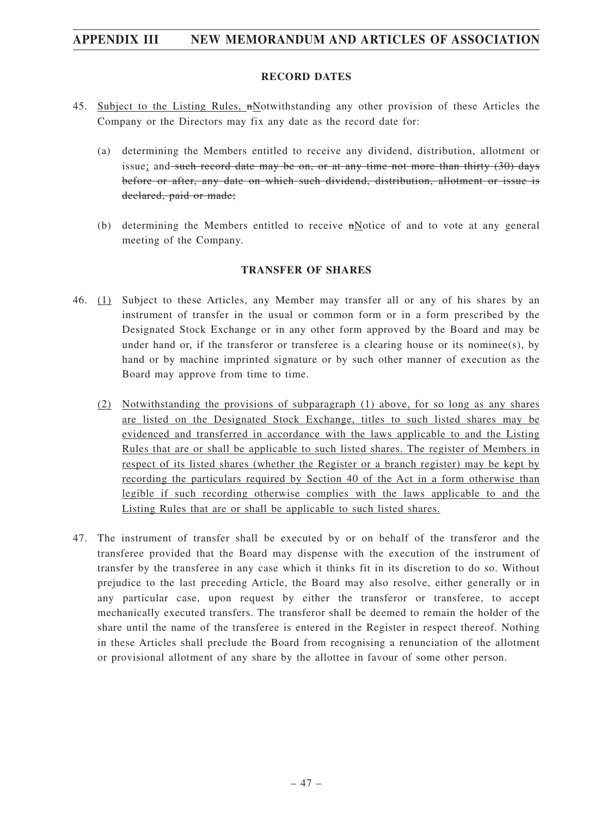#### **RECORD DATES**

- 45. Subject to the Listing Rules, nNotwithstanding any other provision of these Articles the Company or the Directors may fix any date as the record date for:
	- (a) determining the Members entitled to receive any dividend, distribution, allotment or issue; and such record date may be on, or at any time not more than thirty  $(30)$  days before or after, any date on which such dividend, distribution, allotment or issue is declared, paid or made;
	- (b) determining the Members entitled to receive nNotice of and to vote at any general meeting of the Company.

#### **TRANSFER OF SHARES**

- 46. (1) Subject to these Articles, any Member may transfer all or any of his shares by an instrument of transfer in the usual or common form or in a form prescribed by the Designated Stock Exchange or in any other form approved by the Board and may be under hand or, if the transferor or transferee is a clearing house or its nominee(s), by hand or by machine imprinted signature or by such other manner of execution as the Board may approve from time to time.
	- (2) Notwithstanding the provisions of subparagraph (1) above, for so long as any shares are listed on the Designated Stock Exchange, titles to such listed shares may be evidenced and transferred in accordance with the laws applicable to and the Listing Rules that are or shall be applicable to such listed shares. The register of Members in respect of its listed shares (whether the Register or a branch register) may be kept by recording the particulars required by Section 40 of the Act in a form otherwise than legible if such recording otherwise complies with the laws applicable to and the Listing Rules that are or shall be applicable to such listed shares.
- 47. The instrument of transfer shall be executed by or on behalf of the transferor and the transferee provided that the Board may dispense with the execution of the instrument of transfer by the transferee in any case which it thinks fit in its discretion to do so. Without prejudice to the last preceding Article, the Board may also resolve, either generally or in any particular case, upon request by either the transferor or transferee, to accept mechanically executed transfers. The transferor shall be deemed to remain the holder of the share until the name of the transferee is entered in the Register in respect thereof. Nothing in these Articles shall preclude the Board from recognising a renunciation of the allotment or provisional allotment of any share by the allottee in favour of some other person.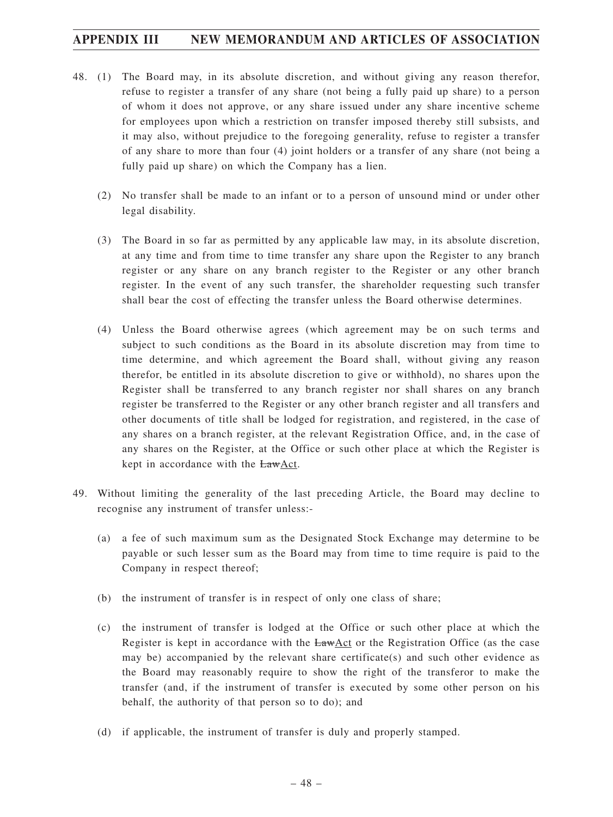- 48. (1) The Board may, in its absolute discretion, and without giving any reason therefor, refuse to register a transfer of any share (not being a fully paid up share) to a person of whom it does not approve, or any share issued under any share incentive scheme for employees upon which a restriction on transfer imposed thereby still subsists, and it may also, without prejudice to the foregoing generality, refuse to register a transfer of any share to more than four (4) joint holders or a transfer of any share (not being a fully paid up share) on which the Company has a lien.
	- (2) No transfer shall be made to an infant or to a person of unsound mind or under other legal disability.
	- (3) The Board in so far as permitted by any applicable law may, in its absolute discretion, at any time and from time to time transfer any share upon the Register to any branch register or any share on any branch register to the Register or any other branch register. In the event of any such transfer, the shareholder requesting such transfer shall bear the cost of effecting the transfer unless the Board otherwise determines.
	- (4) Unless the Board otherwise agrees (which agreement may be on such terms and subject to such conditions as the Board in its absolute discretion may from time to time determine, and which agreement the Board shall, without giving any reason therefor, be entitled in its absolute discretion to give or withhold), no shares upon the Register shall be transferred to any branch register nor shall shares on any branch register be transferred to the Register or any other branch register and all transfers and other documents of title shall be lodged for registration, and registered, in the case of any shares on a branch register, at the relevant Registration Office, and, in the case of any shares on the Register, at the Office or such other place at which the Register is kept in accordance with the **LawAct**.
- 49. Without limiting the generality of the last preceding Article, the Board may decline to recognise any instrument of transfer unless:-
	- (a) a fee of such maximum sum as the Designated Stock Exchange may determine to be payable or such lesser sum as the Board may from time to time require is paid to the Company in respect thereof;
	- (b) the instrument of transfer is in respect of only one class of share;
	- (c) the instrument of transfer is lodged at the Office or such other place at which the Register is kept in accordance with the LawAct or the Registration Office (as the case may be) accompanied by the relevant share certificate(s) and such other evidence as the Board may reasonably require to show the right of the transferor to make the transfer (and, if the instrument of transfer is executed by some other person on his behalf, the authority of that person so to do); and
	- (d) if applicable, the instrument of transfer is duly and properly stamped.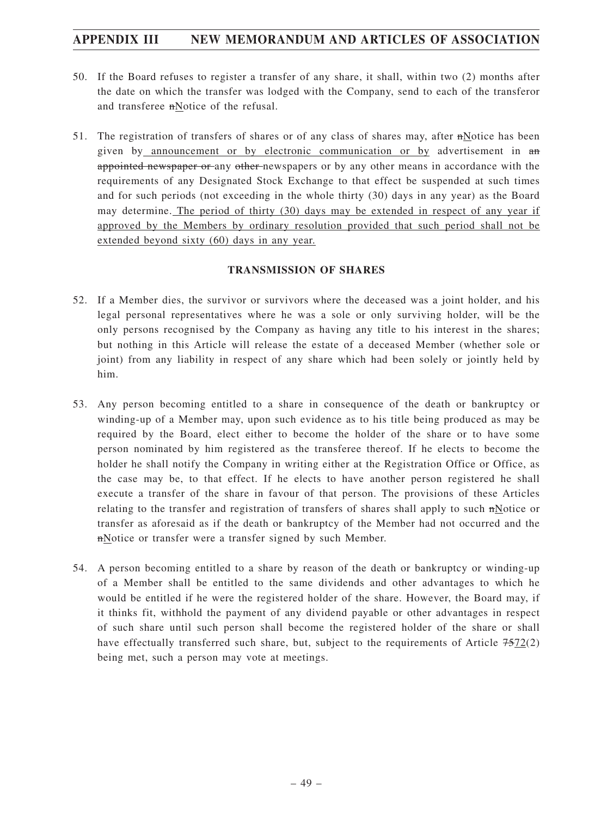- 50. If the Board refuses to register a transfer of any share, it shall, within two (2) months after the date on which the transfer was lodged with the Company, send to each of the transferor and transferee nNotice of the refusal.
- 51. The registration of transfers of shares or of any class of shares may, after nNotice has been given by announcement or by electronic communication or by advertisement in an appointed newspaper or any other newspapers or by any other means in accordance with the requirements of any Designated Stock Exchange to that effect be suspended at such times and for such periods (not exceeding in the whole thirty (30) days in any year) as the Board may determine. The period of thirty (30) days may be extended in respect of any year if approved by the Members by ordinary resolution provided that such period shall not be extended beyond sixty (60) days in any year.

### **TRANSMISSION OF SHARES**

- 52. If a Member dies, the survivor or survivors where the deceased was a joint holder, and his legal personal representatives where he was a sole or only surviving holder, will be the only persons recognised by the Company as having any title to his interest in the shares; but nothing in this Article will release the estate of a deceased Member (whether sole or joint) from any liability in respect of any share which had been solely or jointly held by him.
- 53. Any person becoming entitled to a share in consequence of the death or bankruptcy or winding-up of a Member may, upon such evidence as to his title being produced as may be required by the Board, elect either to become the holder of the share or to have some person nominated by him registered as the transferee thereof. If he elects to become the holder he shall notify the Company in writing either at the Registration Office or Office, as the case may be, to that effect. If he elects to have another person registered he shall execute a transfer of the share in favour of that person. The provisions of these Articles relating to the transfer and registration of transfers of shares shall apply to such nNotice or transfer as aforesaid as if the death or bankruptcy of the Member had not occurred and the nNotice or transfer were a transfer signed by such Member.
- 54. A person becoming entitled to a share by reason of the death or bankruptcy or winding-up of a Member shall be entitled to the same dividends and other advantages to which he would be entitled if he were the registered holder of the share. However, the Board may, if it thinks fit, withhold the payment of any dividend payable or other advantages in respect of such share until such person shall become the registered holder of the share or shall have effectually transferred such share, but, subject to the requirements of Article 7572(2) being met, such a person may vote at meetings.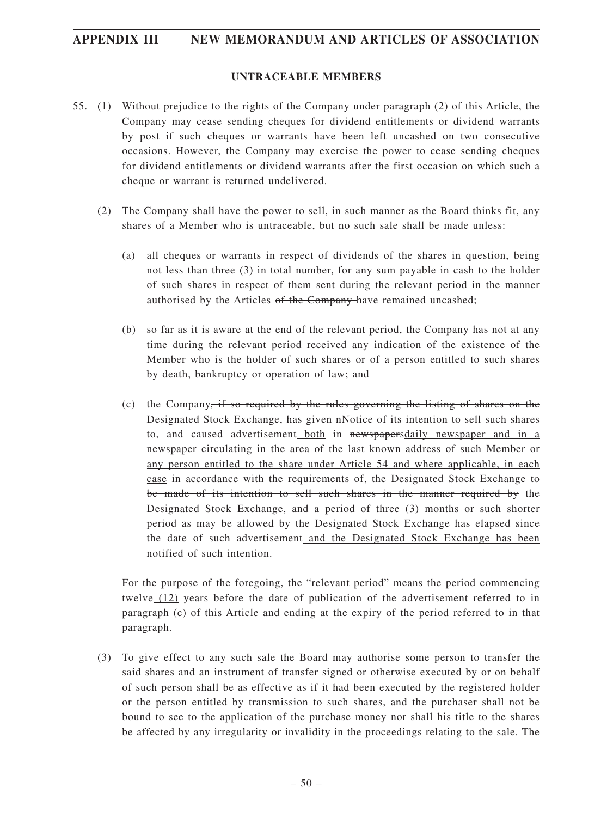#### **UNTRACEABLE MEMBERS**

- 55. (1) Without prejudice to the rights of the Company under paragraph (2) of this Article, the Company may cease sending cheques for dividend entitlements or dividend warrants by post if such cheques or warrants have been left uncashed on two consecutive occasions. However, the Company may exercise the power to cease sending cheques for dividend entitlements or dividend warrants after the first occasion on which such a cheque or warrant is returned undelivered.
	- (2) The Company shall have the power to sell, in such manner as the Board thinks fit, any shares of a Member who is untraceable, but no such sale shall be made unless:
		- (a) all cheques or warrants in respect of dividends of the shares in question, being not less than three  $(3)$  in total number, for any sum payable in cash to the holder of such shares in respect of them sent during the relevant period in the manner authorised by the Articles of the Company-have remained uncashed;
		- (b) so far as it is aware at the end of the relevant period, the Company has not at any time during the relevant period received any indication of the existence of the Member who is the holder of such shares or of a person entitled to such shares by death, bankruptcy or operation of law; and
		- (c) the Company, if so required by the rules governing the listing of shares on the Designated Stock Exchange, has given nNotice of its intention to sell such shares to, and caused advertisement both in newspapersdaily newspaper and in a newspaper circulating in the area of the last known address of such Member or any person entitled to the share under Article 54 and where applicable, in each case in accordance with the requirements of<del>, the Designated Stock Exchange to</del> be made of its intention to sell such shares in the manner required by the Designated Stock Exchange, and a period of three (3) months or such shorter period as may be allowed by the Designated Stock Exchange has elapsed since the date of such advertisement and the Designated Stock Exchange has been notified of such intention.

For the purpose of the foregoing, the "relevant period" means the period commencing twelve (12) years before the date of publication of the advertisement referred to in paragraph (c) of this Article and ending at the expiry of the period referred to in that paragraph.

(3) To give effect to any such sale the Board may authorise some person to transfer the said shares and an instrument of transfer signed or otherwise executed by or on behalf of such person shall be as effective as if it had been executed by the registered holder or the person entitled by transmission to such shares, and the purchaser shall not be bound to see to the application of the purchase money nor shall his title to the shares be affected by any irregularity or invalidity in the proceedings relating to the sale. The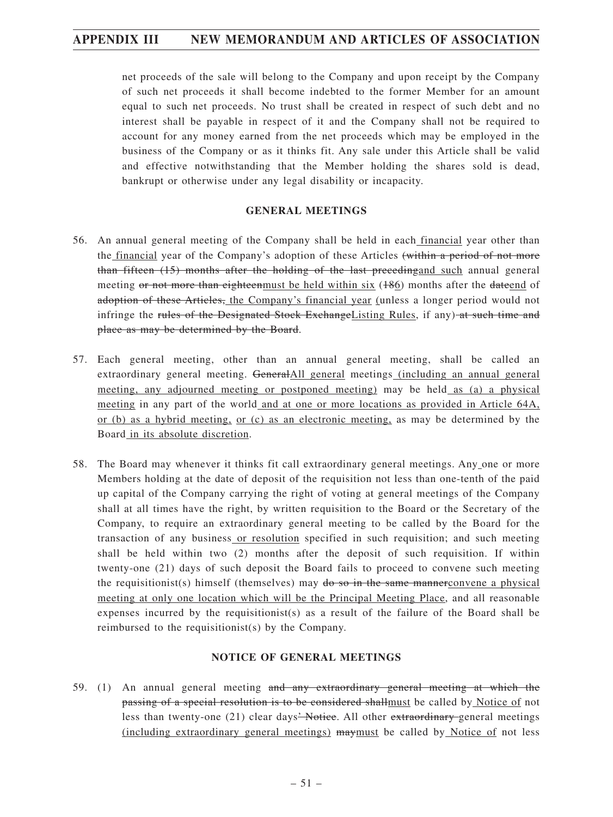net proceeds of the sale will belong to the Company and upon receipt by the Company of such net proceeds it shall become indebted to the former Member for an amount equal to such net proceeds. No trust shall be created in respect of such debt and no interest shall be payable in respect of it and the Company shall not be required to account for any money earned from the net proceeds which may be employed in the business of the Company or as it thinks fit. Any sale under this Article shall be valid and effective notwithstanding that the Member holding the shares sold is dead, bankrupt or otherwise under any legal disability or incapacity.

### **GENERAL MEETINGS**

- 56. An annual general meeting of the Company shall be held in each financial year other than the financial year of the Company's adoption of these Articles (within a period of not more than fifteen (15) months after the holding of the last preceding and such annual general meeting or not more than eighteenmust be held within six  $(186)$  months after the dateend of adoption of these Articles, the Company's financial year (unless a longer period would not infringe the rules of the Designated Stock ExchangeListing Rules, if any) at such time and place as may be determined by the Board.
- 57. Each general meeting, other than an annual general meeting, shall be called an extraordinary general meeting. GeneralAll general meetings (including an annual general meeting, any adjourned meeting or postponed meeting) may be held as (a) a physical meeting in any part of the world and at one or more locations as provided in Article 64A, or (b) as a hybrid meeting, or (c) as an electronic meeting, as may be determined by the Board in its absolute discretion.
- 58. The Board may whenever it thinks fit call extraordinary general meetings. Any one or more Members holding at the date of deposit of the requisition not less than one-tenth of the paid up capital of the Company carrying the right of voting at general meetings of the Company shall at all times have the right, by written requisition to the Board or the Secretary of the Company, to require an extraordinary general meeting to be called by the Board for the transaction of any business or resolution specified in such requisition; and such meeting shall be held within two (2) months after the deposit of such requisition. If within twenty-one (21) days of such deposit the Board fails to proceed to convene such meeting the requisitionist(s) himself (themselves) may do so in the same mannerconvene a physical meeting at only one location which will be the Principal Meeting Place, and all reasonable expenses incurred by the requisitionist(s) as a result of the failure of the Board shall be reimbursed to the requisitionist(s) by the Company.

### **NOTICE OF GENERAL MEETINGS**

59. (1) An annual general meeting and any extraordinary general meeting at which the passing of a special resolution is to be considered shallmust be called by Notice of not less than twenty-one (21) clear days<del>' Notice</del>. All other extraordinary general meetings (including extraordinary general meetings) maymust be called by Notice of not less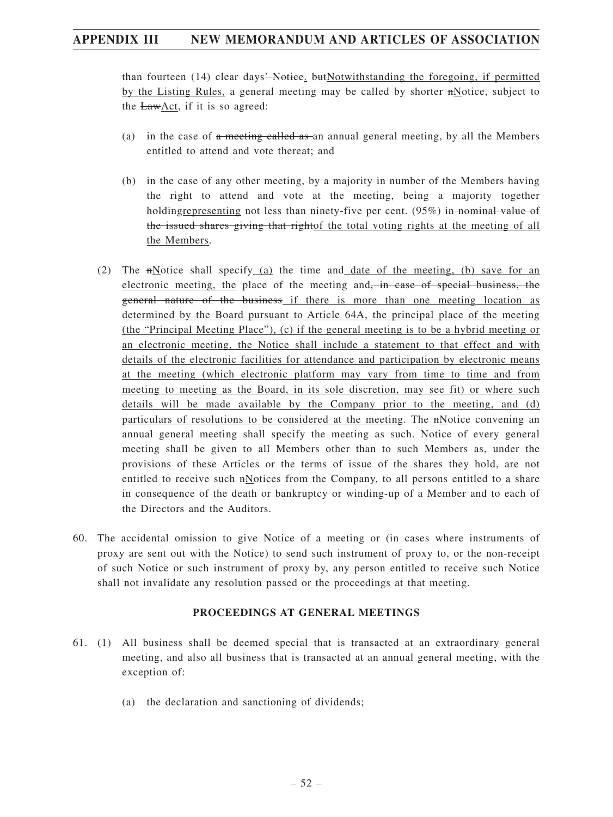than fourteen (14) clear days<sup>2</sup> Notice. butNotwithstanding the foregoing, if permitted by the Listing Rules, a general meeting may be called by shorter nNotice, subject to the  $EawAct$ , if it is so agreed:

- (a) in the case of  $\alpha$  meeting called as an annual general meeting, by all the Members entitled to attend and vote thereat; and
- (b) in the case of any other meeting, by a majority in number of the Members having the right to attend and vote at the meeting, being a majority together holding representing not less than ninety-five per cent. (95%) in nominal value of the issued shares giving that rightof the total voting rights at the meeting of all the Members.
- (2) The  $n$ Notice shall specify (a) the time and date of the meeting, (b) save for an electronic meeting, the place of the meeting and, in case of special business, the general nature of the business if there is more than one meeting location as determined by the Board pursuant to Article 64A, the principal place of the meeting (the "Principal Meeting Place"), (c) if the general meeting is to be a hybrid meeting or an electronic meeting, the Notice shall include a statement to that effect and with details of the electronic facilities for attendance and participation by electronic means at the meeting (which electronic platform may vary from time to time and from meeting to meeting as the Board, in its sole discretion, may see fit) or where such details will be made available by the Company prior to the meeting, and (d) particulars of resolutions to be considered at the meeting. The nNotice convening an annual general meeting shall specify the meeting as such. Notice of every general meeting shall be given to all Members other than to such Members as, under the provisions of these Articles or the terms of issue of the shares they hold, are not entitled to receive such nNotices from the Company, to all persons entitled to a share in consequence of the death or bankruptcy or winding-up of a Member and to each of the Directors and the Auditors.
- 60. The accidental omission to give Notice of a meeting or (in cases where instruments of proxy are sent out with the Notice) to send such instrument of proxy to, or the non-receipt of such Notice or such instrument of proxy by, any person entitled to receive such Notice shall not invalidate any resolution passed or the proceedings at that meeting.

### **PROCEEDINGS AT GENERAL MEETINGS**

- 61. (1) All business shall be deemed special that is transacted at an extraordinary general meeting, and also all business that is transacted at an annual general meeting, with the exception of:
	- (a) the declaration and sanctioning of dividends;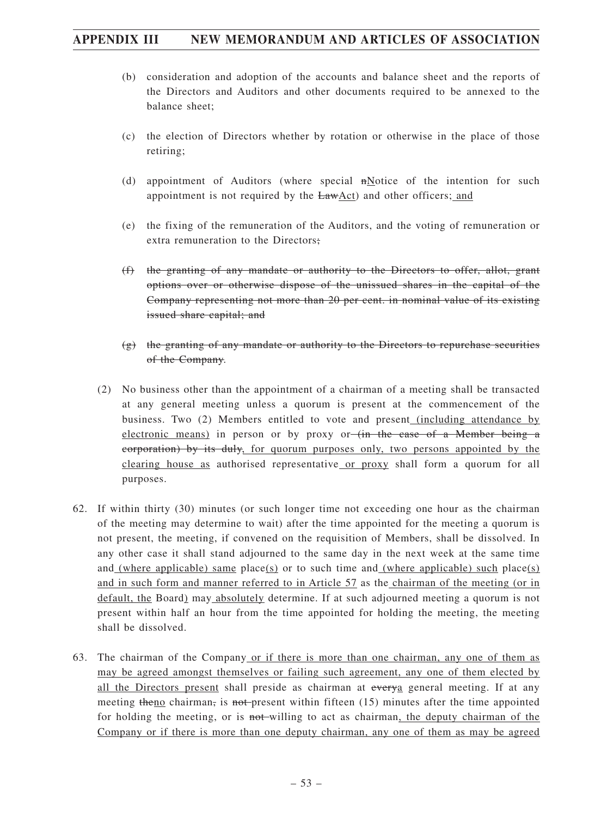- (b) consideration and adoption of the accounts and balance sheet and the reports of the Directors and Auditors and other documents required to be annexed to the balance sheet;
- (c) the election of Directors whether by rotation or otherwise in the place of those retiring;
- (d) appointment of Auditors (where special nNotice of the intention for such appointment is not required by the LawAct) and other officers; and
- (e) the fixing of the remuneration of the Auditors, and the voting of remuneration or extra remuneration to the Directors;
- (f) the granting of any mandate or authority to the Directors to offer, allot, grant options over or otherwise dispose of the unissued shares in the capital of the Company representing not more than 20 per cent. in nominal value of its existing issued share capital; and
- $(g)$  the granting of any mandate or authority to the Directors to repurchase securities of the Company.
- (2) No business other than the appointment of a chairman of a meeting shall be transacted at any general meeting unless a quorum is present at the commencement of the business. Two (2) Members entitled to vote and present (including attendance by electronic means) in person or by proxy or (in the case of a Member being a corporation) by its duly, for quorum purposes only, two persons appointed by the clearing house as authorised representative or proxy shall form a quorum for all purposes.
- 62. If within thirty (30) minutes (or such longer time not exceeding one hour as the chairman of the meeting may determine to wait) after the time appointed for the meeting a quorum is not present, the meeting, if convened on the requisition of Members, shall be dissolved. In any other case it shall stand adjourned to the same day in the next week at the same time and (where applicable) same place(s) or to such time and (where applicable) such place(s) and in such form and manner referred to in Article 57 as the chairman of the meeting (or in default, the Board) may absolutely determine. If at such adjourned meeting a quorum is not present within half an hour from the time appointed for holding the meeting, the meeting shall be dissolved.
- 63. The chairman of the Company or if there is more than one chairman, any one of them as may be agreed amongst themselves or failing such agreement, any one of them elected by all the Directors present shall preside as chairman at everya general meeting. If at any meeting theno chairman, is not present within fifteen  $(15)$  minutes after the time appointed for holding the meeting, or is not-willing to act as chairman, the deputy chairman of the Company or if there is more than one deputy chairman, any one of them as may be agreed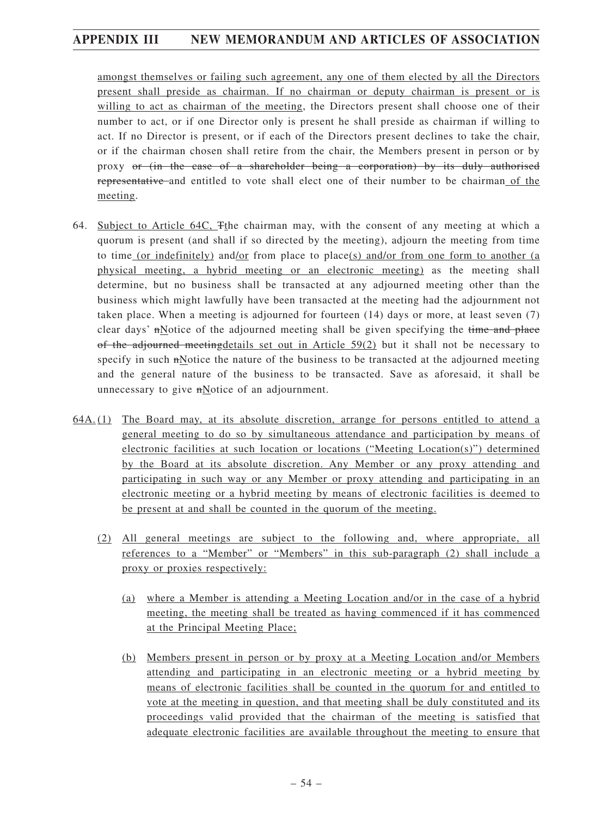amongst themselves or failing such agreement, any one of them elected by all the Directors present shall preside as chairman. If no chairman or deputy chairman is present or is willing to act as chairman of the meeting, the Directors present shall choose one of their number to act, or if one Director only is present he shall preside as chairman if willing to act. If no Director is present, or if each of the Directors present declines to take the chair, or if the chairman chosen shall retire from the chair, the Members present in person or by proxy or (in the case of a shareholder being a corporation) by its duly authorised representative and entitled to vote shall elect one of their number to be chairman of the meeting.

- 64. Subject to Article 64C, Tthe chairman may, with the consent of any meeting at which a quorum is present (and shall if so directed by the meeting), adjourn the meeting from time to time (or indefinitely) and/or from place to place(s) and/or from one form to another (a physical meeting, a hybrid meeting or an electronic meeting) as the meeting shall determine, but no business shall be transacted at any adjourned meeting other than the business which might lawfully have been transacted at the meeting had the adjournment not taken place. When a meeting is adjourned for fourteen (14) days or more, at least seven (7) clear days'  $m$  otice of the adjourned meeting shall be given specifying the time and place of the adjourned meeting details set out in Article  $59(2)$  but it shall not be necessary to specify in such nNotice the nature of the business to be transacted at the adjourned meeting and the general nature of the business to be transacted. Save as aforesaid, it shall be unnecessary to give nNotice of an adjournment.
- 64A. (1) The Board may, at its absolute discretion, arrange for persons entitled to attend a general meeting to do so by simultaneous attendance and participation by means of electronic facilities at such location or locations ("Meeting Location(s)") determined by the Board at its absolute discretion. Any Member or any proxy attending and participating in such way or any Member or proxy attending and participating in an electronic meeting or a hybrid meeting by means of electronic facilities is deemed to be present at and shall be counted in the quorum of the meeting.
	- (2) All general meetings are subject to the following and, where appropriate, all references to a "Member" or "Members" in this sub-paragraph (2) shall include a proxy or proxies respectively:
		- (a) where a Member is attending a Meeting Location and/or in the case of a hybrid meeting, the meeting shall be treated as having commenced if it has commenced at the Principal Meeting Place;
		- (b) Members present in person or by proxy at a Meeting Location and/or Members attending and participating in an electronic meeting or a hybrid meeting by means of electronic facilities shall be counted in the quorum for and entitled to vote at the meeting in question, and that meeting shall be duly constituted and its proceedings valid provided that the chairman of the meeting is satisfied that adequate electronic facilities are available throughout the meeting to ensure that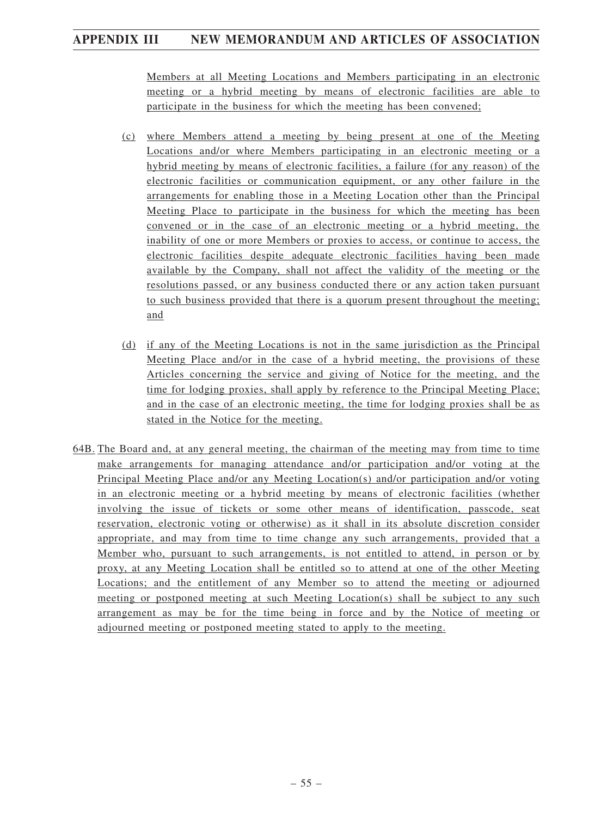Members at all Meeting Locations and Members participating in an electronic meeting or a hybrid meeting by means of electronic facilities are able to participate in the business for which the meeting has been convened;

- (c) where Members attend a meeting by being present at one of the Meeting Locations and/or where Members participating in an electronic meeting or a hybrid meeting by means of electronic facilities, a failure (for any reason) of the electronic facilities or communication equipment, or any other failure in the arrangements for enabling those in a Meeting Location other than the Principal Meeting Place to participate in the business for which the meeting has been convened or in the case of an electronic meeting or a hybrid meeting, the inability of one or more Members or proxies to access, or continue to access, the electronic facilities despite adequate electronic facilities having been made available by the Company, shall not affect the validity of the meeting or the resolutions passed, or any business conducted there or any action taken pursuant to such business provided that there is a quorum present throughout the meeting; and
- (d) if any of the Meeting Locations is not in the same jurisdiction as the Principal Meeting Place and/or in the case of a hybrid meeting, the provisions of these Articles concerning the service and giving of Notice for the meeting, and the time for lodging proxies, shall apply by reference to the Principal Meeting Place; and in the case of an electronic meeting, the time for lodging proxies shall be as stated in the Notice for the meeting.
- 64B. The Board and, at any general meeting, the chairman of the meeting may from time to time make arrangements for managing attendance and/or participation and/or voting at the Principal Meeting Place and/or any Meeting Location(s) and/or participation and/or voting in an electronic meeting or a hybrid meeting by means of electronic facilities (whether involving the issue of tickets or some other means of identification, passcode, seat reservation, electronic voting or otherwise) as it shall in its absolute discretion consider appropriate, and may from time to time change any such arrangements, provided that a Member who, pursuant to such arrangements, is not entitled to attend, in person or by proxy, at any Meeting Location shall be entitled so to attend at one of the other Meeting Locations; and the entitlement of any Member so to attend the meeting or adjourned meeting or postponed meeting at such Meeting Location(s) shall be subject to any such arrangement as may be for the time being in force and by the Notice of meeting or adjourned meeting or postponed meeting stated to apply to the meeting.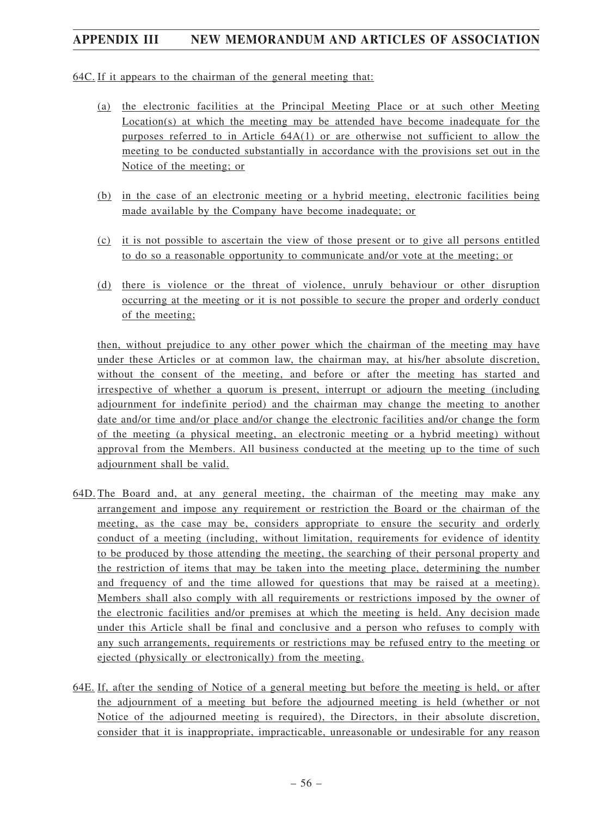64C. If it appears to the chairman of the general meeting that:

- (a) the electronic facilities at the Principal Meeting Place or at such other Meeting Location(s) at which the meeting may be attended have become inadequate for the purposes referred to in Article 64A(1) or are otherwise not sufficient to allow the meeting to be conducted substantially in accordance with the provisions set out in the Notice of the meeting; or
- (b) in the case of an electronic meeting or a hybrid meeting, electronic facilities being made available by the Company have become inadequate; or
- (c) it is not possible to ascertain the view of those present or to give all persons entitled to do so a reasonable opportunity to communicate and/or vote at the meeting; or
- (d) there is violence or the threat of violence, unruly behaviour or other disruption occurring at the meeting or it is not possible to secure the proper and orderly conduct of the meeting;

then, without prejudice to any other power which the chairman of the meeting may have under these Articles or at common law, the chairman may, at his/her absolute discretion, without the consent of the meeting, and before or after the meeting has started and irrespective of whether a quorum is present, interrupt or adjourn the meeting (including adjournment for indefinite period) and the chairman may change the meeting to another date and/or time and/or place and/or change the electronic facilities and/or change the form of the meeting (a physical meeting, an electronic meeting or a hybrid meeting) without approval from the Members. All business conducted at the meeting up to the time of such adjournment shall be valid.

- 64D. The Board and, at any general meeting, the chairman of the meeting may make any arrangement and impose any requirement or restriction the Board or the chairman of the meeting, as the case may be, considers appropriate to ensure the security and orderly conduct of a meeting (including, without limitation, requirements for evidence of identity to be produced by those attending the meeting, the searching of their personal property and the restriction of items that may be taken into the meeting place, determining the number and frequency of and the time allowed for questions that may be raised at a meeting). Members shall also comply with all requirements or restrictions imposed by the owner of the electronic facilities and/or premises at which the meeting is held. Any decision made under this Article shall be final and conclusive and a person who refuses to comply with any such arrangements, requirements or restrictions may be refused entry to the meeting or ejected (physically or electronically) from the meeting.
- 64E. If, after the sending of Notice of a general meeting but before the meeting is held, or after the adjournment of a meeting but before the adjourned meeting is held (whether or not Notice of the adjourned meeting is required), the Directors, in their absolute discretion, consider that it is inappropriate, impracticable, unreasonable or undesirable for any reason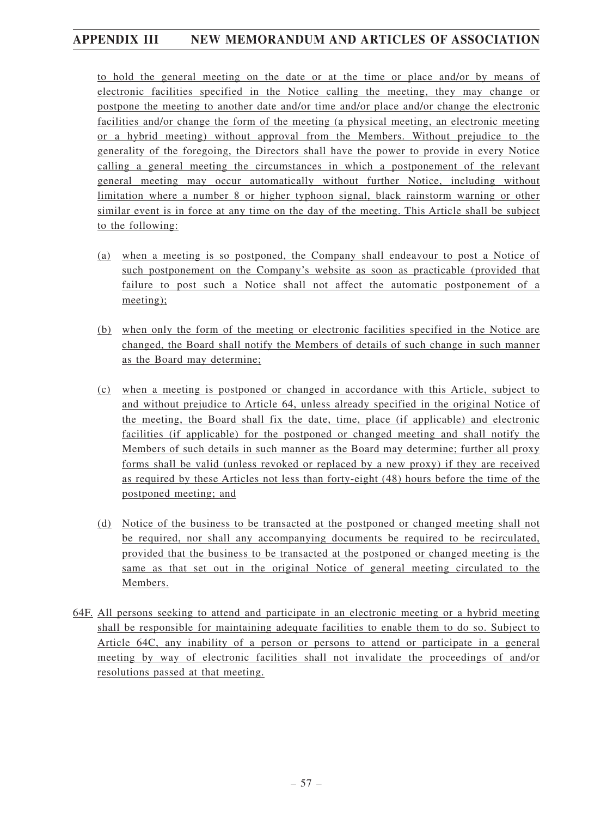to hold the general meeting on the date or at the time or place and/or by means of electronic facilities specified in the Notice calling the meeting, they may change or postpone the meeting to another date and/or time and/or place and/or change the electronic facilities and/or change the form of the meeting (a physical meeting, an electronic meeting or a hybrid meeting) without approval from the Members. Without prejudice to the generality of the foregoing, the Directors shall have the power to provide in every Notice calling a general meeting the circumstances in which a postponement of the relevant general meeting may occur automatically without further Notice, including without limitation where a number 8 or higher typhoon signal, black rainstorm warning or other similar event is in force at any time on the day of the meeting. This Article shall be subject to the following:

- (a) when a meeting is so postponed, the Company shall endeavour to post a Notice of such postponement on the Company's website as soon as practicable (provided that failure to post such a Notice shall not affect the automatic postponement of a meeting);
- (b) when only the form of the meeting or electronic facilities specified in the Notice are changed, the Board shall notify the Members of details of such change in such manner as the Board may determine;
- (c) when a meeting is postponed or changed in accordance with this Article, subject to and without prejudice to Article 64, unless already specified in the original Notice of the meeting, the Board shall fix the date, time, place (if applicable) and electronic facilities (if applicable) for the postponed or changed meeting and shall notify the Members of such details in such manner as the Board may determine; further all proxy forms shall be valid (unless revoked or replaced by a new proxy) if they are received as required by these Articles not less than forty-eight (48) hours before the time of the postponed meeting; and
- (d) Notice of the business to be transacted at the postponed or changed meeting shall not be required, nor shall any accompanying documents be required to be recirculated, provided that the business to be transacted at the postponed or changed meeting is the same as that set out in the original Notice of general meeting circulated to the Members.
- 64F. All persons seeking to attend and participate in an electronic meeting or a hybrid meeting shall be responsible for maintaining adequate facilities to enable them to do so. Subject to Article 64C, any inability of a person or persons to attend or participate in a general meeting by way of electronic facilities shall not invalidate the proceedings of and/or resolutions passed at that meeting.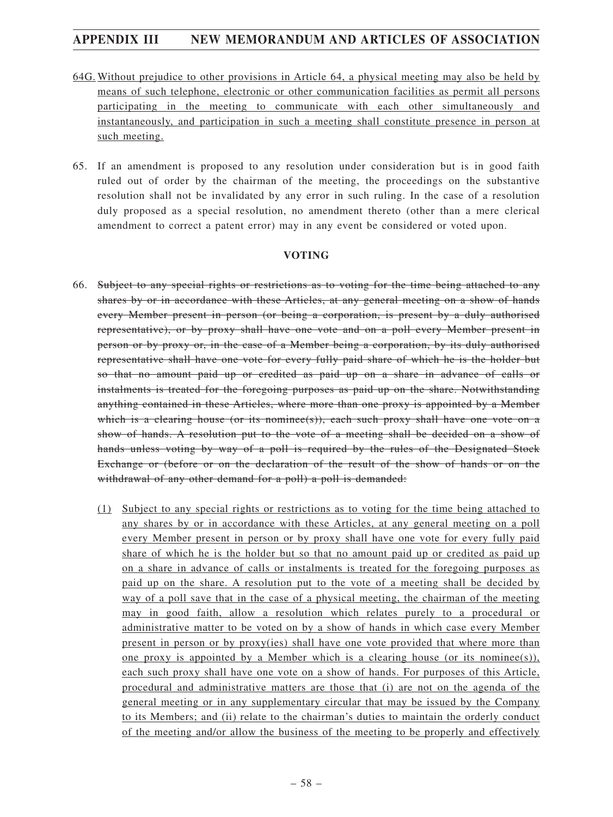- 64G. Without prejudice to other provisions in Article 64, a physical meeting may also be held by means of such telephone, electronic or other communication facilities as permit all persons participating in the meeting to communicate with each other simultaneously and instantaneously, and participation in such a meeting shall constitute presence in person at such meeting.
- 65. If an amendment is proposed to any resolution under consideration but is in good faith ruled out of order by the chairman of the meeting, the proceedings on the substantive resolution shall not be invalidated by any error in such ruling. In the case of a resolution duly proposed as a special resolution, no amendment thereto (other than a mere clerical amendment to correct a patent error) may in any event be considered or voted upon.

### **VOTING**

- 66. Subject to any special rights or restrictions as to voting for the time being attached to any shares by or in accordance with these Articles, at any general meeting on a show of hands every Member present in person (or being a corporation, is present by a duly authorised representative), or by proxy shall have one vote and on a poll every Member present in person or by proxy or, in the case of a Member being a corporation, by its duly authorised representative shall have one vote for every fully paid share of which he is the holder but so that no amount paid up or credited as paid up on a share in advance of calls or instalments is treated for the foregoing purposes as paid up on the share. Notwithstanding anything contained in these Articles, where more than one proxy is appointed by a Member which is a clearing house (or its nomines(s)), each such proxy shall have one vote on a show of hands. A resolution put to the vote of a meeting shall be decided on a show of hands unless voting by way of a poll is required by the rules of the Designated Stock Exchange or (before or on the declaration of the result of the show of hands or on the withdrawal of any other demand for a poll) a poll is demanded:
	- (1) Subject to any special rights or restrictions as to voting for the time being attached to any shares by or in accordance with these Articles, at any general meeting on a poll every Member present in person or by proxy shall have one vote for every fully paid share of which he is the holder but so that no amount paid up or credited as paid up on a share in advance of calls or instalments is treated for the foregoing purposes as paid up on the share. A resolution put to the vote of a meeting shall be decided by way of a poll save that in the case of a physical meeting, the chairman of the meeting may in good faith, allow a resolution which relates purely to a procedural or administrative matter to be voted on by a show of hands in which case every Member present in person or by proxy(ies) shall have one vote provided that where more than one proxy is appointed by a Member which is a clearing house (or its nominee(s)), each such proxy shall have one vote on a show of hands. For purposes of this Article, procedural and administrative matters are those that (i) are not on the agenda of the general meeting or in any supplementary circular that may be issued by the Company to its Members; and (ii) relate to the chairman's duties to maintain the orderly conduct of the meeting and/or allow the business of the meeting to be properly and effectively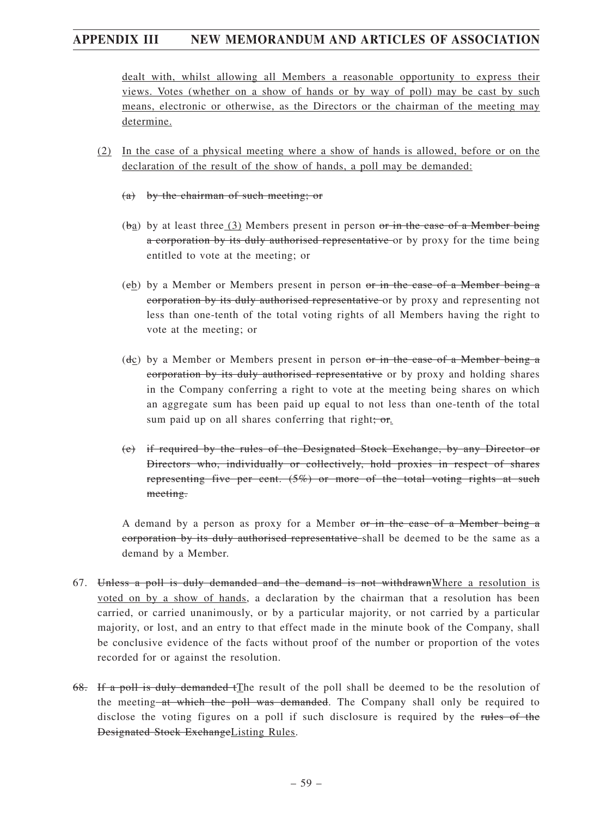dealt with, whilst allowing all Members a reasonable opportunity to express their views. Votes (whether on a show of hands or by way of poll) may be cast by such means, electronic or otherwise, as the Directors or the chairman of the meeting may determine.

- (2) In the case of a physical meeting where a show of hands is allowed, before or on the declaration of the result of the show of hands, a poll may be demanded:
	- (a) by the chairman of such meeting; or
	- $(ba)$  by at least three  $(3)$  Members present in person or in the case of a Member being a corporation by its duly authorised representative or by proxy for the time being entitled to vote at the meeting; or
	- (cb) by a Member or Members present in person or in the case of a Member being a corporation by its duly authorised representative or by proxy and representing not less than one-tenth of the total voting rights of all Members having the right to vote at the meeting; or
	- $(d_{\mathcal{C}})$  by a Member or Members present in person or in the case of a Member being a corporation by its duly authorised representative or by proxy and holding shares in the Company conferring a right to vote at the meeting being shares on which an aggregate sum has been paid up equal to not less than one-tenth of the total sum paid up on all shares conferring that right;  $or$ .
	- (e) if required by the rules of the Designated Stock Exchange, by any Director or Directors who, individually or collectively, hold proxies in respect of shares representing five per cent.  $(5\%)$  or more of the total voting rights at such meeting.

A demand by a person as proxy for a Member or in the case of a Member being a corporation by its duly authorised representative shall be deemed to be the same as a demand by a Member.

- 67. Unless a poll is duly demanded and the demand is not withdrawnWhere a resolution is voted on by a show of hands, a declaration by the chairman that a resolution has been carried, or carried unanimously, or by a particular majority, or not carried by a particular majority, or lost, and an entry to that effect made in the minute book of the Company, shall be conclusive evidence of the facts without proof of the number or proportion of the votes recorded for or against the resolution.
- 68. If a poll is duly demanded tThe result of the poll shall be deemed to be the resolution of the meeting at which the poll was demanded. The Company shall only be required to disclose the voting figures on a poll if such disclosure is required by the rules of the Designated Stock ExchangeListing Rules.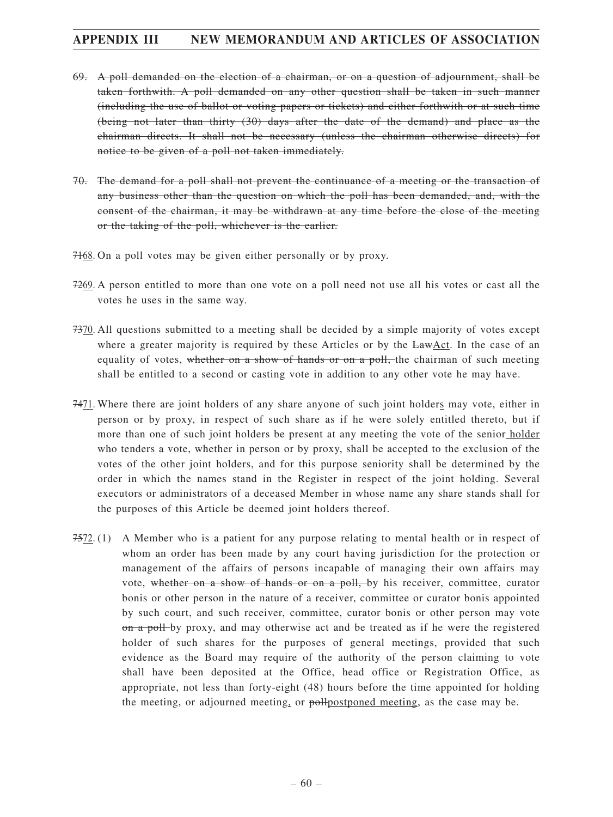- 69. A poll demanded on the election of a chairman, or on a question of adjournment, shall be taken forthwith. A poll demanded on any other question shall be taken in such manner (including the use of ballot or voting papers or tickets) and either forthwith or at such time (being not later than thirty (30) days after the date of the demand) and place as the chairman directs. It shall not be necessary (unless the chairman otherwise directs) for notice to be given of a poll not taken immediately.
- 70. The demand for a poll shall not prevent the continuance of a meeting or the transaction of any business other than the question on which the poll has been demanded, and, with the consent of the chairman, it may be withdrawn at any time before the close of the meeting or the taking of the poll, whichever is the earlier.
- 7168. On a poll votes may be given either personally or by proxy.
- 7269. A person entitled to more than one vote on a poll need not use all his votes or cast all the votes he uses in the same way.
- 7370. All questions submitted to a meeting shall be decided by a simple majority of votes except where a greater majority is required by these Articles or by the LawAct. In the case of an equality of votes, whether on a show of hands or on a poll, the chairman of such meeting shall be entitled to a second or casting vote in addition to any other vote he may have.
- 7471. Where there are joint holders of any share anyone of such joint holders may vote, either in person or by proxy, in respect of such share as if he were solely entitled thereto, but if more than one of such joint holders be present at any meeting the vote of the senior holder who tenders a vote, whether in person or by proxy, shall be accepted to the exclusion of the votes of the other joint holders, and for this purpose seniority shall be determined by the order in which the names stand in the Register in respect of the joint holding. Several executors or administrators of a deceased Member in whose name any share stands shall for the purposes of this Article be deemed joint holders thereof.
- 7572. (1) A Member who is a patient for any purpose relating to mental health or in respect of whom an order has been made by any court having jurisdiction for the protection or management of the affairs of persons incapable of managing their own affairs may vote, whether on a show of hands or on a poll, by his receiver, committee, curator bonis or other person in the nature of a receiver, committee or curator bonis appointed by such court, and such receiver, committee, curator bonis or other person may vote on a poll-by proxy, and may otherwise act and be treated as if he were the registered holder of such shares for the purposes of general meetings, provided that such evidence as the Board may require of the authority of the person claiming to vote shall have been deposited at the Office, head office or Registration Office, as appropriate, not less than forty-eight (48) hours before the time appointed for holding the meeting, or adjourned meeting, or pollpostponed meeting, as the case may be.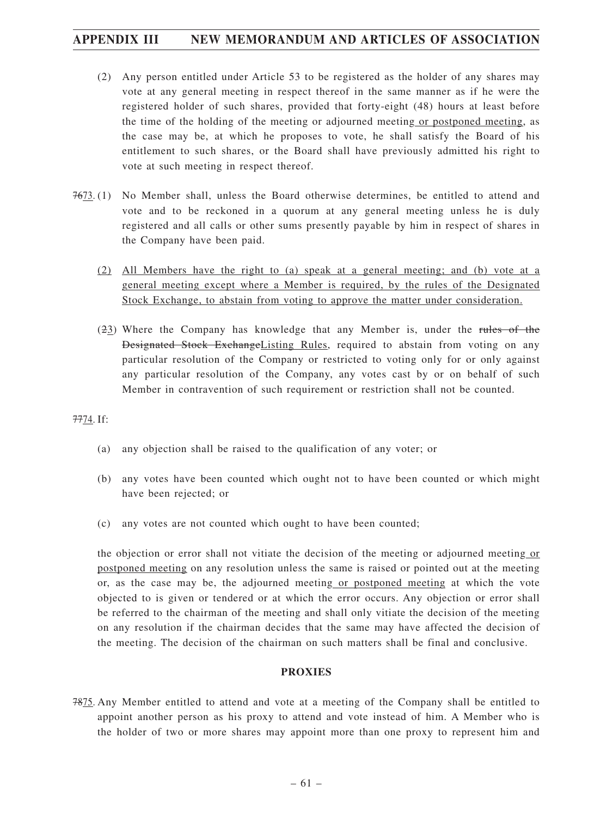- (2) Any person entitled under Article 53 to be registered as the holder of any shares may vote at any general meeting in respect thereof in the same manner as if he were the registered holder of such shares, provided that forty-eight (48) hours at least before the time of the holding of the meeting or adjourned meeting or postponed meeting, as the case may be, at which he proposes to vote, he shall satisfy the Board of his entitlement to such shares, or the Board shall have previously admitted his right to vote at such meeting in respect thereof.
- 7673. (1) No Member shall, unless the Board otherwise determines, be entitled to attend and vote and to be reckoned in a quorum at any general meeting unless he is duly registered and all calls or other sums presently payable by him in respect of shares in the Company have been paid.
	- (2) All Members have the right to (a) speak at a general meeting; and (b) vote at a general meeting except where a Member is required, by the rules of the Designated Stock Exchange, to abstain from voting to approve the matter under consideration.
	- (23) Where the Company has knowledge that any Member is, under the rules of the Designated Stock ExchangeListing Rules, required to abstain from voting on any particular resolution of the Company or restricted to voting only for or only against any particular resolution of the Company, any votes cast by or on behalf of such Member in contravention of such requirement or restriction shall not be counted.

#### 7774. If:

- (a) any objection shall be raised to the qualification of any voter; or
- (b) any votes have been counted which ought not to have been counted or which might have been rejected; or
- (c) any votes are not counted which ought to have been counted;

the objection or error shall not vitiate the decision of the meeting or adjourned meeting or postponed meeting on any resolution unless the same is raised or pointed out at the meeting or, as the case may be, the adjourned meeting or postponed meeting at which the vote objected to is given or tendered or at which the error occurs. Any objection or error shall be referred to the chairman of the meeting and shall only vitiate the decision of the meeting on any resolution if the chairman decides that the same may have affected the decision of the meeting. The decision of the chairman on such matters shall be final and conclusive.

#### **PROXIES**

7875. Any Member entitled to attend and vote at a meeting of the Company shall be entitled to appoint another person as his proxy to attend and vote instead of him. A Member who is the holder of two or more shares may appoint more than one proxy to represent him and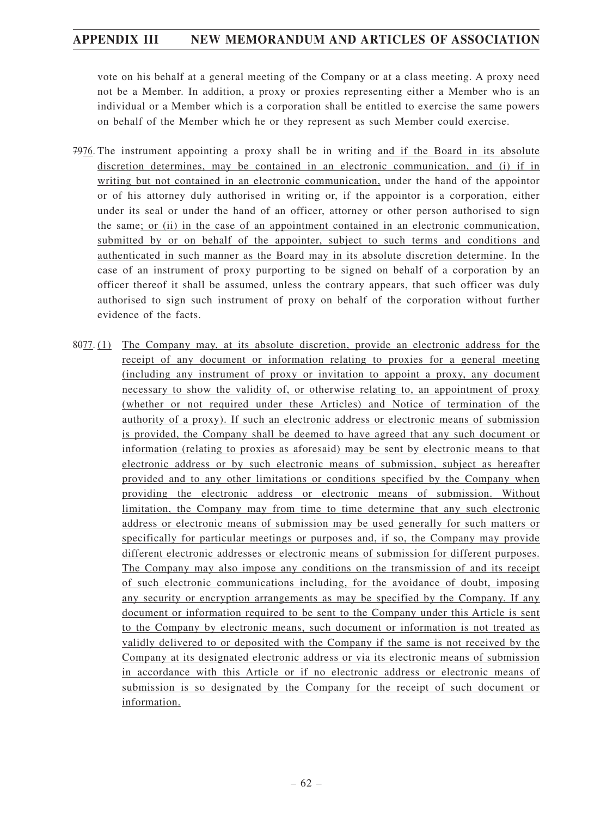vote on his behalf at a general meeting of the Company or at a class meeting. A proxy need not be a Member. In addition, a proxy or proxies representing either a Member who is an individual or a Member which is a corporation shall be entitled to exercise the same powers on behalf of the Member which he or they represent as such Member could exercise.

- 7976. The instrument appointing a proxy shall be in writing and if the Board in its absolute discretion determines, may be contained in an electronic communication, and (i) if in writing but not contained in an electronic communication, under the hand of the appointor or of his attorney duly authorised in writing or, if the appointor is a corporation, either under its seal or under the hand of an officer, attorney or other person authorised to sign the same; or (ii) in the case of an appointment contained in an electronic communication, submitted by or on behalf of the appointer, subject to such terms and conditions and authenticated in such manner as the Board may in its absolute discretion determine. In the case of an instrument of proxy purporting to be signed on behalf of a corporation by an officer thereof it shall be assumed, unless the contrary appears, that such officer was duly authorised to sign such instrument of proxy on behalf of the corporation without further evidence of the facts.
- 8077. (1) The Company may, at its absolute discretion, provide an electronic address for the receipt of any document or information relating to proxies for a general meeting (including any instrument of proxy or invitation to appoint a proxy, any document necessary to show the validity of, or otherwise relating to, an appointment of proxy (whether or not required under these Articles) and Notice of termination of the authority of a proxy). If such an electronic address or electronic means of submission is provided, the Company shall be deemed to have agreed that any such document or information (relating to proxies as aforesaid) may be sent by electronic means to that electronic address or by such electronic means of submission, subject as hereafter provided and to any other limitations or conditions specified by the Company when providing the electronic address or electronic means of submission. Without limitation, the Company may from time to time determine that any such electronic address or electronic means of submission may be used generally for such matters or specifically for particular meetings or purposes and, if so, the Company may provide different electronic addresses or electronic means of submission for different purposes. The Company may also impose any conditions on the transmission of and its receipt of such electronic communications including, for the avoidance of doubt, imposing any security or encryption arrangements as may be specified by the Company. If any document or information required to be sent to the Company under this Article is sent to the Company by electronic means, such document or information is not treated as validly delivered to or deposited with the Company if the same is not received by the Company at its designated electronic address or via its electronic means of submission in accordance with this Article or if no electronic address or electronic means of submission is so designated by the Company for the receipt of such document or information.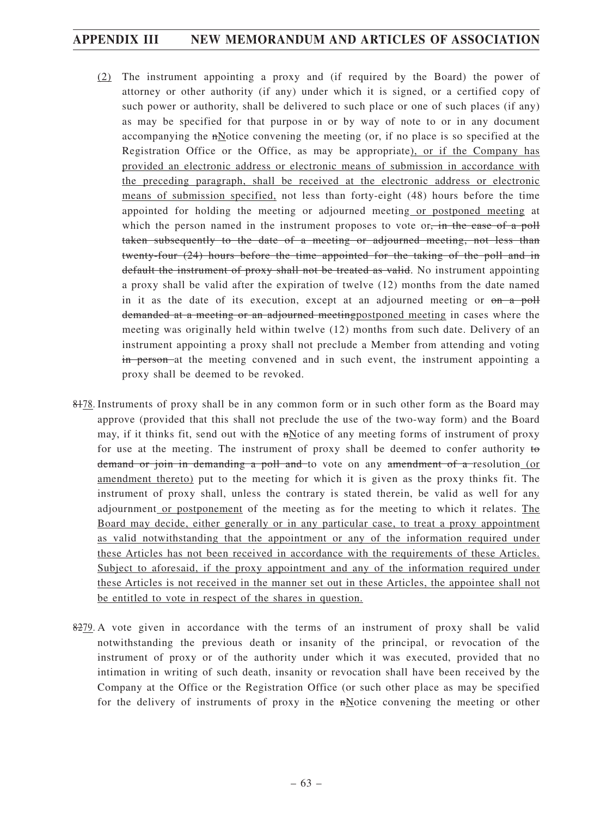- (2) The instrument appointing a proxy and (if required by the Board) the power of attorney or other authority (if any) under which it is signed, or a certified copy of such power or authority, shall be delivered to such place or one of such places (if any) as may be specified for that purpose in or by way of note to or in any document accompanying the nNotice convening the meeting (or, if no place is so specified at the Registration Office or the Office, as may be appropriate), or if the Company has provided an electronic address or electronic means of submission in accordance with the preceding paragraph, shall be received at the electronic address or electronic means of submission specified, not less than forty-eight (48) hours before the time appointed for holding the meeting or adjourned meeting or postponed meeting at which the person named in the instrument proposes to vote or, in the case of a poll taken subsequently to the date of a meeting or adjourned meeting, not less than twenty-four (24) hours before the time appointed for the taking of the poll and in default the instrument of proxy shall not be treated as valid. No instrument appointing a proxy shall be valid after the expiration of twelve (12) months from the date named in it as the date of its execution, except at an adjourned meeting or  $\theta$  a poll demanded at a meeting or an adjourned meetingpostponed meeting in cases where the meeting was originally held within twelve (12) months from such date. Delivery of an instrument appointing a proxy shall not preclude a Member from attending and voting in person at the meeting convened and in such event, the instrument appointing a proxy shall be deemed to be revoked.
- 8478. Instruments of proxy shall be in any common form or in such other form as the Board may approve (provided that this shall not preclude the use of the two-way form) and the Board may, if it thinks fit, send out with the nNotice of any meeting forms of instrument of proxy for use at the meeting. The instrument of proxy shall be deemed to confer authority to demand or join in demanding a poll and to vote on any amendment of a resolution (or amendment thereto) put to the meeting for which it is given as the proxy thinks fit. The instrument of proxy shall, unless the contrary is stated therein, be valid as well for any adjournment or postponement of the meeting as for the meeting to which it relates. The Board may decide, either generally or in any particular case, to treat a proxy appointment as valid notwithstanding that the appointment or any of the information required under these Articles has not been received in accordance with the requirements of these Articles. Subject to aforesaid, if the proxy appointment and any of the information required under these Articles is not received in the manner set out in these Articles, the appointee shall not be entitled to vote in respect of the shares in question.
- 8279. A vote given in accordance with the terms of an instrument of proxy shall be valid notwithstanding the previous death or insanity of the principal, or revocation of the instrument of proxy or of the authority under which it was executed, provided that no intimation in writing of such death, insanity or revocation shall have been received by the Company at the Office or the Registration Office (or such other place as may be specified for the delivery of instruments of proxy in the nNotice convening the meeting or other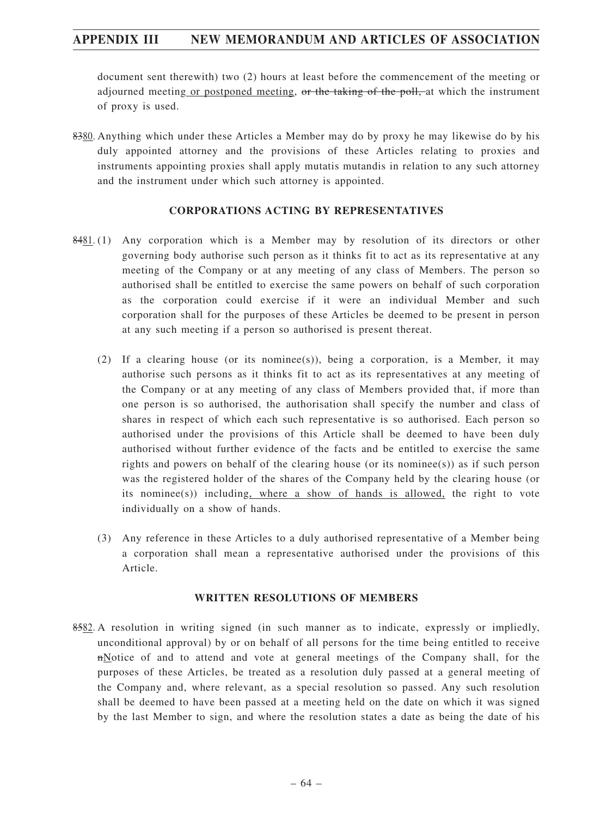document sent therewith) two (2) hours at least before the commencement of the meeting or adjourned meeting or postponed meeting, or the taking of the poll, at which the instrument of proxy is used.

8380. Anything which under these Articles a Member may do by proxy he may likewise do by his duly appointed attorney and the provisions of these Articles relating to proxies and instruments appointing proxies shall apply mutatis mutandis in relation to any such attorney and the instrument under which such attorney is appointed.

### **CORPORATIONS ACTING BY REPRESENTATIVES**

- 8481. (1) Any corporation which is a Member may by resolution of its directors or other governing body authorise such person as it thinks fit to act as its representative at any meeting of the Company or at any meeting of any class of Members. The person so authorised shall be entitled to exercise the same powers on behalf of such corporation as the corporation could exercise if it were an individual Member and such corporation shall for the purposes of these Articles be deemed to be present in person at any such meeting if a person so authorised is present thereat.
	- (2) If a clearing house (or its nominee(s)), being a corporation, is a Member, it may authorise such persons as it thinks fit to act as its representatives at any meeting of the Company or at any meeting of any class of Members provided that, if more than one person is so authorised, the authorisation shall specify the number and class of shares in respect of which each such representative is so authorised. Each person so authorised under the provisions of this Article shall be deemed to have been duly authorised without further evidence of the facts and be entitled to exercise the same rights and powers on behalf of the clearing house (or its nominee(s)) as if such person was the registered holder of the shares of the Company held by the clearing house (or its nominee(s)) including, where a show of hands is allowed, the right to vote individually on a show of hands.
	- (3) Any reference in these Articles to a duly authorised representative of a Member being a corporation shall mean a representative authorised under the provisions of this Article.

#### **WRITTEN RESOLUTIONS OF MEMBERS**

8582. A resolution in writing signed (in such manner as to indicate, expressly or impliedly, unconditional approval) by or on behalf of all persons for the time being entitled to receive nNotice of and to attend and vote at general meetings of the Company shall, for the purposes of these Articles, be treated as a resolution duly passed at a general meeting of the Company and, where relevant, as a special resolution so passed. Any such resolution shall be deemed to have been passed at a meeting held on the date on which it was signed by the last Member to sign, and where the resolution states a date as being the date of his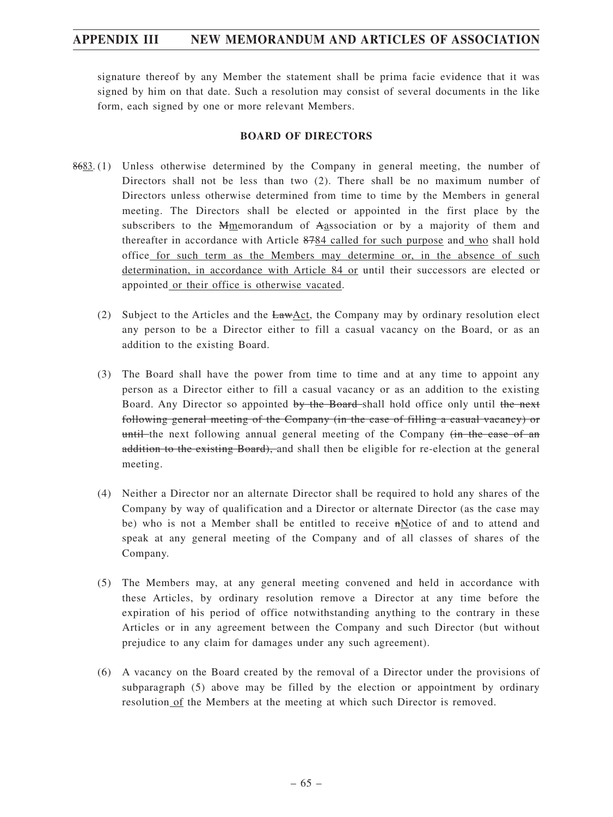signature thereof by any Member the statement shall be prima facie evidence that it was signed by him on that date. Such a resolution may consist of several documents in the like form, each signed by one or more relevant Members.

#### **BOARD OF DIRECTORS**

- 8683. (1) Unless otherwise determined by the Company in general meeting, the number of Directors shall not be less than two (2). There shall be no maximum number of Directors unless otherwise determined from time to time by the Members in general meeting. The Directors shall be elected or appointed in the first place by the subscribers to the Mmemorandum of Aassociation or by a majority of them and thereafter in accordance with Article 8784 called for such purpose and who shall hold office for such term as the Members may determine or, in the absence of such determination, in accordance with Article 84 or until their successors are elected or appointed or their office is otherwise vacated.
	- (2) Subject to the Articles and the LawAct, the Company may by ordinary resolution elect any person to be a Director either to fill a casual vacancy on the Board, or as an addition to the existing Board.
	- (3) The Board shall have the power from time to time and at any time to appoint any person as a Director either to fill a casual vacancy or as an addition to the existing Board. Any Director so appointed by the Board-shall hold office only until the next following general meeting of the Company (in the case of filling a casual vacancy) or until the next following annual general meeting of the Company (in the case of an addition to the existing Board), and shall then be eligible for re-election at the general meeting.
	- (4) Neither a Director nor an alternate Director shall be required to hold any shares of the Company by way of qualification and a Director or alternate Director (as the case may be) who is not a Member shall be entitled to receive nNotice of and to attend and speak at any general meeting of the Company and of all classes of shares of the Company.
	- (5) The Members may, at any general meeting convened and held in accordance with these Articles, by ordinary resolution remove a Director at any time before the expiration of his period of office notwithstanding anything to the contrary in these Articles or in any agreement between the Company and such Director (but without prejudice to any claim for damages under any such agreement).
	- (6) A vacancy on the Board created by the removal of a Director under the provisions of subparagraph (5) above may be filled by the election or appointment by ordinary resolution of the Members at the meeting at which such Director is removed.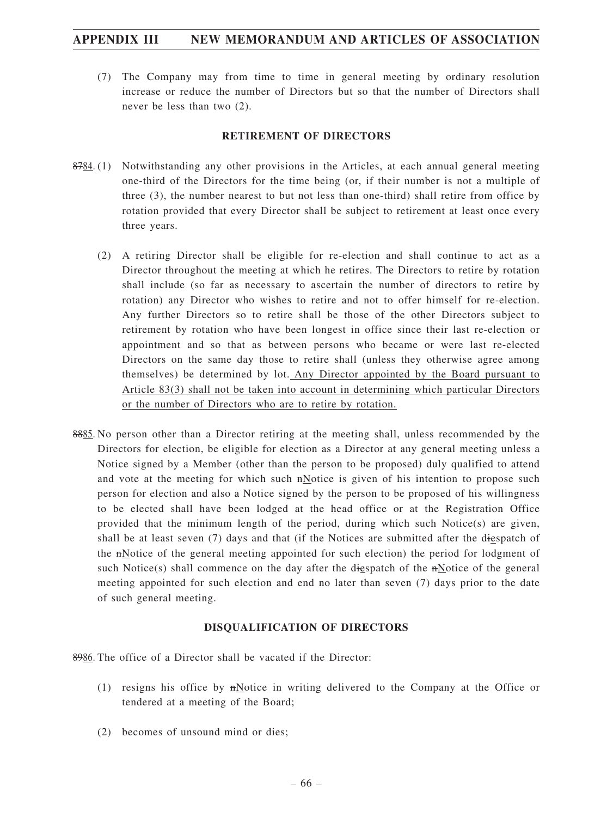(7) The Company may from time to time in general meeting by ordinary resolution increase or reduce the number of Directors but so that the number of Directors shall never be less than two (2).

### **RETIREMENT OF DIRECTORS**

- 8784. (1) Notwithstanding any other provisions in the Articles, at each annual general meeting one-third of the Directors for the time being (or, if their number is not a multiple of three (3), the number nearest to but not less than one-third) shall retire from office by rotation provided that every Director shall be subject to retirement at least once every three years.
	- (2) A retiring Director shall be eligible for re-election and shall continue to act as a Director throughout the meeting at which he retires. The Directors to retire by rotation shall include (so far as necessary to ascertain the number of directors to retire by rotation) any Director who wishes to retire and not to offer himself for re-election. Any further Directors so to retire shall be those of the other Directors subject to retirement by rotation who have been longest in office since their last re-election or appointment and so that as between persons who became or were last re-elected Directors on the same day those to retire shall (unless they otherwise agree among themselves) be determined by lot. Any Director appointed by the Board pursuant to Article 83(3) shall not be taken into account in determining which particular Directors or the number of Directors who are to retire by rotation.
- 8885. No person other than a Director retiring at the meeting shall, unless recommended by the Directors for election, be eligible for election as a Director at any general meeting unless a Notice signed by a Member (other than the person to be proposed) duly qualified to attend and vote at the meeting for which such nNotice is given of his intention to propose such person for election and also a Notice signed by the person to be proposed of his willingness to be elected shall have been lodged at the head office or at the Registration Office provided that the minimum length of the period, during which such Notice(s) are given, shall be at least seven (7) days and that (if the Notices are submitted after the diespatch of the nNotice of the general meeting appointed for such election) the period for lodgment of such Notice(s) shall commence on the day after the digspatch of the  $n$ Notice of the general meeting appointed for such election and end no later than seven (7) days prior to the date of such general meeting.

### **DISQUALIFICATION OF DIRECTORS**

8986. The office of a Director shall be vacated if the Director:

- (1) resigns his office by nNotice in writing delivered to the Company at the Office or tendered at a meeting of the Board;
- (2) becomes of unsound mind or dies;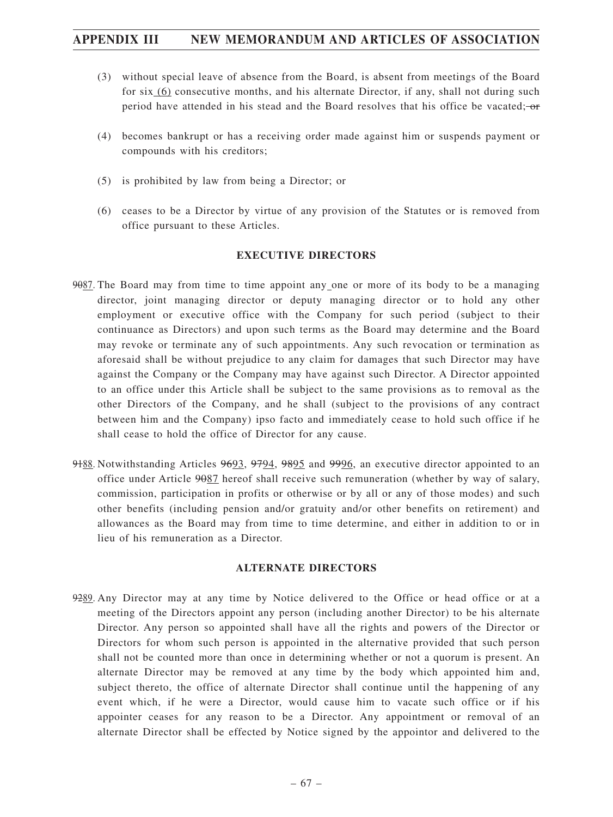- (3) without special leave of absence from the Board, is absent from meetings of the Board for six (6) consecutive months, and his alternate Director, if any, shall not during such period have attended in his stead and the Board resolves that his office be vacated: $-\sigma$
- (4) becomes bankrupt or has a receiving order made against him or suspends payment or compounds with his creditors;
- (5) is prohibited by law from being a Director; or
- (6) ceases to be a Director by virtue of any provision of the Statutes or is removed from office pursuant to these Articles.

#### **EXECUTIVE DIRECTORS**

- 9087. The Board may from time to time appoint any one or more of its body to be a managing director, joint managing director or deputy managing director or to hold any other employment or executive office with the Company for such period (subject to their continuance as Directors) and upon such terms as the Board may determine and the Board may revoke or terminate any of such appointments. Any such revocation or termination as aforesaid shall be without prejudice to any claim for damages that such Director may have against the Company or the Company may have against such Director. A Director appointed to an office under this Article shall be subject to the same provisions as to removal as the other Directors of the Company, and he shall (subject to the provisions of any contract between him and the Company) ipso facto and immediately cease to hold such office if he shall cease to hold the office of Director for any cause.
- 9188. Notwithstanding Articles 9693, 9794, 9895 and 9996, an executive director appointed to an office under Article 9087 hereof shall receive such remuneration (whether by way of salary, commission, participation in profits or otherwise or by all or any of those modes) and such other benefits (including pension and/or gratuity and/or other benefits on retirement) and allowances as the Board may from time to time determine, and either in addition to or in lieu of his remuneration as a Director.

#### **ALTERNATE DIRECTORS**

9289. Any Director may at any time by Notice delivered to the Office or head office or at a meeting of the Directors appoint any person (including another Director) to be his alternate Director. Any person so appointed shall have all the rights and powers of the Director or Directors for whom such person is appointed in the alternative provided that such person shall not be counted more than once in determining whether or not a quorum is present. An alternate Director may be removed at any time by the body which appointed him and, subject thereto, the office of alternate Director shall continue until the happening of any event which, if he were a Director, would cause him to vacate such office or if his appointer ceases for any reason to be a Director. Any appointment or removal of an alternate Director shall be effected by Notice signed by the appointor and delivered to the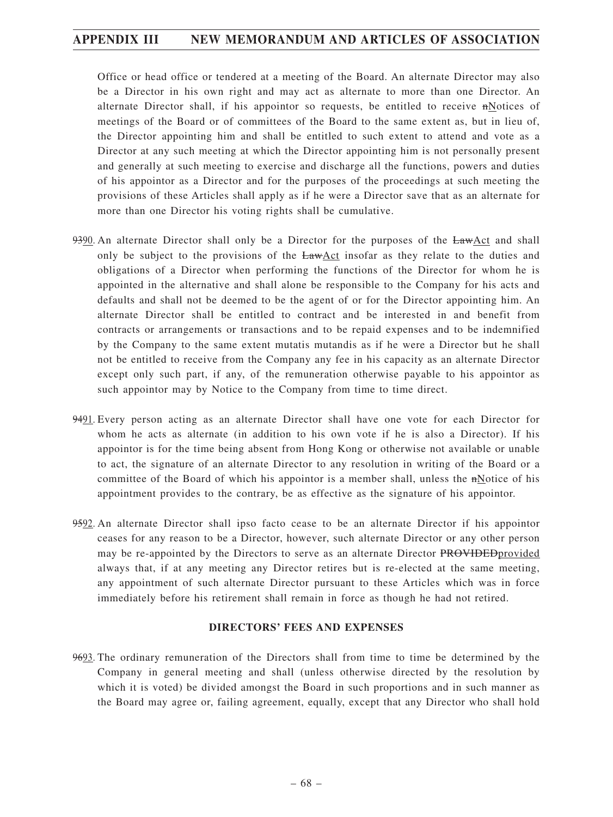Office or head office or tendered at a meeting of the Board. An alternate Director may also be a Director in his own right and may act as alternate to more than one Director. An alternate Director shall, if his appointor so requests, be entitled to receive nNotices of meetings of the Board or of committees of the Board to the same extent as, but in lieu of, the Director appointing him and shall be entitled to such extent to attend and vote as a Director at any such meeting at which the Director appointing him is not personally present and generally at such meeting to exercise and discharge all the functions, powers and duties of his appointor as a Director and for the purposes of the proceedings at such meeting the provisions of these Articles shall apply as if he were a Director save that as an alternate for more than one Director his voting rights shall be cumulative.

- 9390. An alternate Director shall only be a Director for the purposes of the LawAct and shall only be subject to the provisions of the LawAct insofar as they relate to the duties and obligations of a Director when performing the functions of the Director for whom he is appointed in the alternative and shall alone be responsible to the Company for his acts and defaults and shall not be deemed to be the agent of or for the Director appointing him. An alternate Director shall be entitled to contract and be interested in and benefit from contracts or arrangements or transactions and to be repaid expenses and to be indemnified by the Company to the same extent mutatis mutandis as if he were a Director but he shall not be entitled to receive from the Company any fee in his capacity as an alternate Director except only such part, if any, of the remuneration otherwise payable to his appointor as such appointor may by Notice to the Company from time to time direct.
- 9491. Every person acting as an alternate Director shall have one vote for each Director for whom he acts as alternate (in addition to his own vote if he is also a Director). If his appointor is for the time being absent from Hong Kong or otherwise not available or unable to act, the signature of an alternate Director to any resolution in writing of the Board or a committee of the Board of which his appointor is a member shall, unless the nNotice of his appointment provides to the contrary, be as effective as the signature of his appointor.
- 9592. An alternate Director shall ipso facto cease to be an alternate Director if his appointor ceases for any reason to be a Director, however, such alternate Director or any other person may be re-appointed by the Directors to serve as an alternate Director PROVIDED provided always that, if at any meeting any Director retires but is re-elected at the same meeting, any appointment of such alternate Director pursuant to these Articles which was in force immediately before his retirement shall remain in force as though he had not retired.

#### **DIRECTORS' FEES AND EXPENSES**

9693. The ordinary remuneration of the Directors shall from time to time be determined by the Company in general meeting and shall (unless otherwise directed by the resolution by which it is voted) be divided amongst the Board in such proportions and in such manner as the Board may agree or, failing agreement, equally, except that any Director who shall hold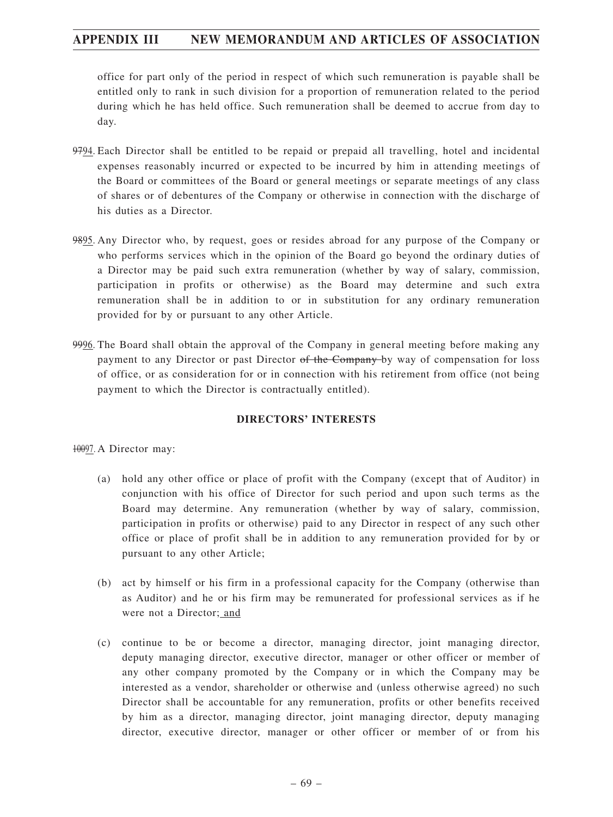office for part only of the period in respect of which such remuneration is payable shall be entitled only to rank in such division for a proportion of remuneration related to the period during which he has held office. Such remuneration shall be deemed to accrue from day to day.

- 9794. Each Director shall be entitled to be repaid or prepaid all travelling, hotel and incidental expenses reasonably incurred or expected to be incurred by him in attending meetings of the Board or committees of the Board or general meetings or separate meetings of any class of shares or of debentures of the Company or otherwise in connection with the discharge of his duties as a Director.
- 9895. Any Director who, by request, goes or resides abroad for any purpose of the Company or who performs services which in the opinion of the Board go beyond the ordinary duties of a Director may be paid such extra remuneration (whether by way of salary, commission, participation in profits or otherwise) as the Board may determine and such extra remuneration shall be in addition to or in substitution for any ordinary remuneration provided for by or pursuant to any other Article.
- 9996. The Board shall obtain the approval of the Company in general meeting before making any payment to any Director or past Director of the Company by way of compensation for loss of office, or as consideration for or in connection with his retirement from office (not being payment to which the Director is contractually entitled).

### **DIRECTORS' INTERESTS**

10097. A Director may:

- (a) hold any other office or place of profit with the Company (except that of Auditor) in conjunction with his office of Director for such period and upon such terms as the Board may determine. Any remuneration (whether by way of salary, commission, participation in profits or otherwise) paid to any Director in respect of any such other office or place of profit shall be in addition to any remuneration provided for by or pursuant to any other Article;
- (b) act by himself or his firm in a professional capacity for the Company (otherwise than as Auditor) and he or his firm may be remunerated for professional services as if he were not a Director; and
- (c) continue to be or become a director, managing director, joint managing director, deputy managing director, executive director, manager or other officer or member of any other company promoted by the Company or in which the Company may be interested as a vendor, shareholder or otherwise and (unless otherwise agreed) no such Director shall be accountable for any remuneration, profits or other benefits received by him as a director, managing director, joint managing director, deputy managing director, executive director, manager or other officer or member of or from his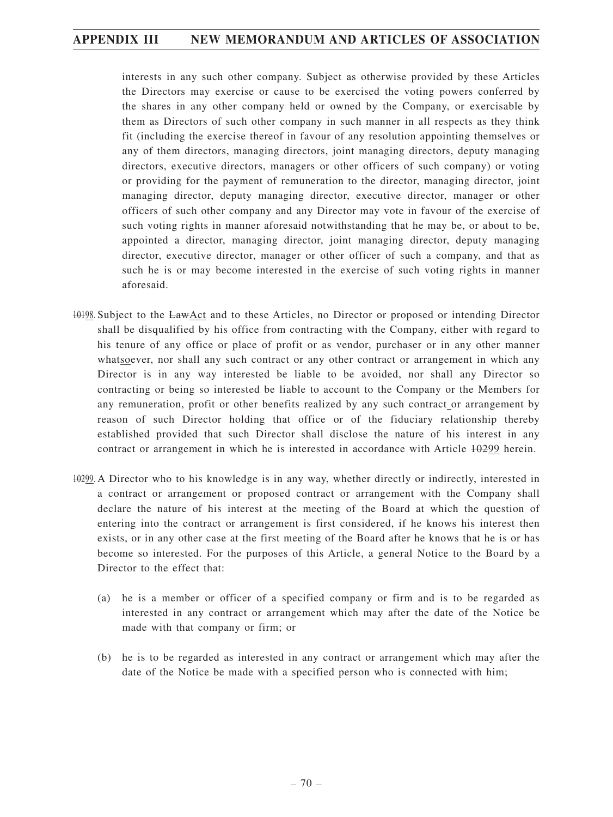interests in any such other company. Subject as otherwise provided by these Articles the Directors may exercise or cause to be exercised the voting powers conferred by the shares in any other company held or owned by the Company, or exercisable by them as Directors of such other company in such manner in all respects as they think fit (including the exercise thereof in favour of any resolution appointing themselves or any of them directors, managing directors, joint managing directors, deputy managing directors, executive directors, managers or other officers of such company) or voting or providing for the payment of remuneration to the director, managing director, joint managing director, deputy managing director, executive director, manager or other officers of such other company and any Director may vote in favour of the exercise of such voting rights in manner aforesaid notwithstanding that he may be, or about to be, appointed a director, managing director, joint managing director, deputy managing director, executive director, manager or other officer of such a company, and that as such he is or may become interested in the exercise of such voting rights in manner aforesaid.

- 10198. Subject to the LawAct and to these Articles, no Director or proposed or intending Director shall be disqualified by his office from contracting with the Company, either with regard to his tenure of any office or place of profit or as vendor, purchaser or in any other manner whatsoever, nor shall any such contract or any other contract or arrangement in which any Director is in any way interested be liable to be avoided, nor shall any Director so contracting or being so interested be liable to account to the Company or the Members for any remuneration, profit or other benefits realized by any such contract or arrangement by reason of such Director holding that office or of the fiduciary relationship thereby established provided that such Director shall disclose the nature of his interest in any contract or arrangement in which he is interested in accordance with Article  $\theta$  +  $\theta$ 299 herein.
- 10299. A Director who to his knowledge is in any way, whether directly or indirectly, interested in a contract or arrangement or proposed contract or arrangement with the Company shall declare the nature of his interest at the meeting of the Board at which the question of entering into the contract or arrangement is first considered, if he knows his interest then exists, or in any other case at the first meeting of the Board after he knows that he is or has become so interested. For the purposes of this Article, a general Notice to the Board by a Director to the effect that:
	- (a) he is a member or officer of a specified company or firm and is to be regarded as interested in any contract or arrangement which may after the date of the Notice be made with that company or firm; or
	- (b) he is to be regarded as interested in any contract or arrangement which may after the date of the Notice be made with a specified person who is connected with him;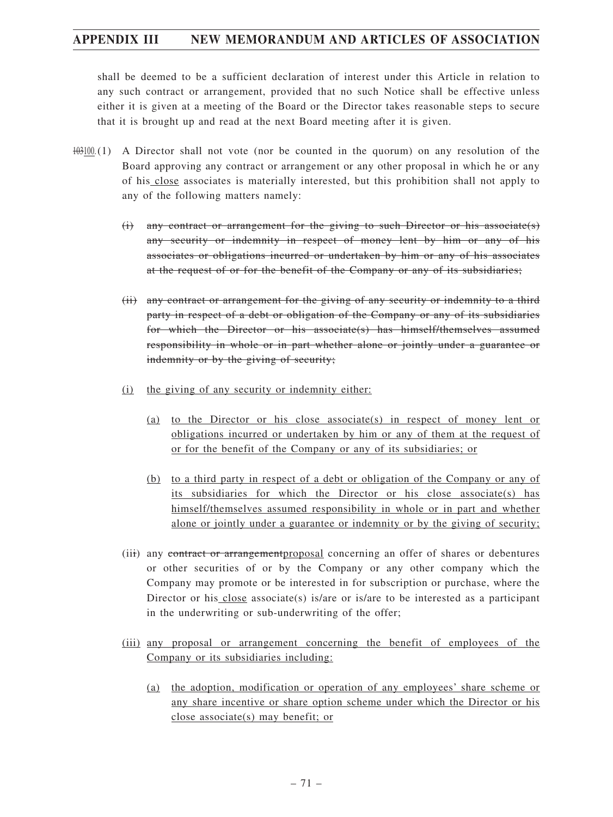shall be deemed to be a sufficient declaration of interest under this Article in relation to any such contract or arrangement, provided that no such Notice shall be effective unless either it is given at a meeting of the Board or the Director takes reasonable steps to secure that it is brought up and read at the next Board meeting after it is given.

- $103100(1)$  A Director shall not vote (nor be counted in the quorum) on any resolution of the Board approving any contract or arrangement or any other proposal in which he or any of his close associates is materially interested, but this prohibition shall not apply to any of the following matters namely:
	- (i) any contract or arrangement for the giving to such Director or his associate(s) any security or indemnity in respect of money lent by him or any of his associates or obligations incurred or undertaken by him or any of his associates at the request of or for the benefit of the Company or any of its subsidiaries;
	- (ii) any contract or arrangement for the giving of any security or indemnity to a third party in respect of a debt or obligation of the Company or any of its subsidiaries for which the Director or his associate(s) has himself/themselves assumed responsibility in whole or in part whether alone or jointly under a guarantee or indemnity or by the giving of security;
	- (i) the giving of any security or indemnity either:
		- (a) to the Director or his close associate(s) in respect of money lent or obligations incurred or undertaken by him or any of them at the request of or for the benefit of the Company or any of its subsidiaries; or
		- (b) to a third party in respect of a debt or obligation of the Company or any of its subsidiaries for which the Director or his close associate(s) has himself/themselves assumed responsibility in whole or in part and whether alone or jointly under a guarantee or indemnity or by the giving of security;
	- (iii) any contract or arrangement proposal concerning an offer of shares or debentures or other securities of or by the Company or any other company which the Company may promote or be interested in for subscription or purchase, where the Director or his close associate(s) is/are or is/are to be interested as a participant in the underwriting or sub-underwriting of the offer;
	- (iii) any proposal or arrangement concerning the benefit of employees of the Company or its subsidiaries including:
		- (a) the adoption, modification or operation of any employees' share scheme or any share incentive or share option scheme under which the Director or his close associate(s) may benefit; or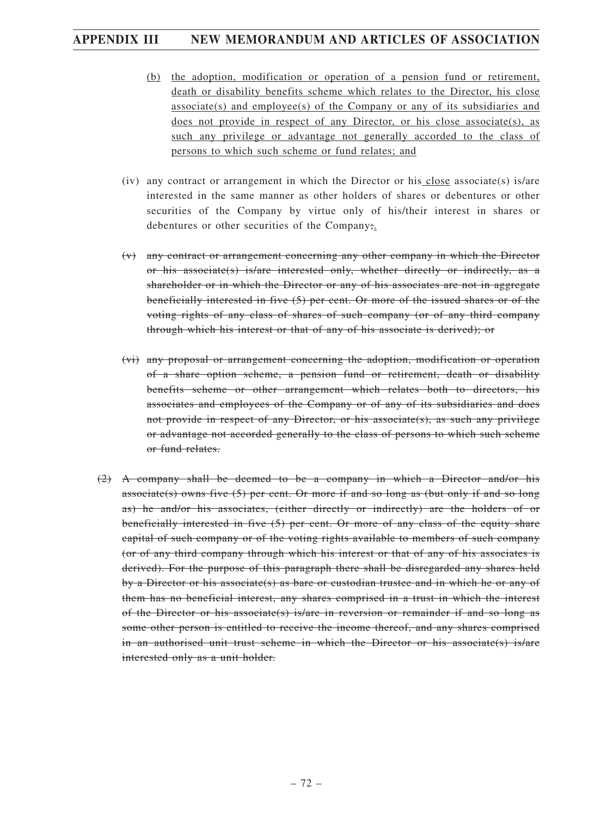- (b) the adoption, modification or operation of a pension fund or retirement, death or disability benefits scheme which relates to the Director, his close  $associate(s)$  and employee $(s)$  of the Company or any of its subsidiaries and does not provide in respect of any Director, or his close associate(s), as such any privilege or advantage not generally accorded to the class of persons to which such scheme or fund relates; and
- (iv) any contract or arrangement in which the Director or his close associate(s) is/are interested in the same manner as other holders of shares or debentures or other securities of the Company by virtue only of his/their interest in shares or debentures or other securities of the Company;.
- (v) any contract or arrangement concerning any other company in which the Director or his associate(s) is/are interested only, whether directly or indirectly, as a shareholder or in which the Director or any of his associates are not in aggregate beneficially interested in five (5) per cent. Or more of the issued shares or of the voting rights of any class of shares of such company (or of any third company through which his interest or that of any of his associate is derived); or
- (vi) any proposal or arrangement concerning the adoption, modification or operation of a share option scheme, a pension fund or retirement, death or disability benefits scheme or other arrangement which relates both to directors, his associates and employees of the Company or of any of its subsidiaries and does not provide in respect of any Director, or his associate(s), as such any privilege or advantage not accorded generally to the class of persons to which such scheme or fund relates.
- (2) A company shall be deemed to be a company in which a Director and/or his associate(s) owns five  $(5)$  per cent. Or more if and so long as (but only if and so long as) he and/or his associates, (either directly or indirectly) are the holders of or beneficially interested in five (5) per cent. Or more of any class of the equity share capital of such company or of the voting rights available to members of such company (or of any third company through which his interest or that of any of his associates is derived). For the purpose of this paragraph there shall be disregarded any shares held by a Director or his associate(s) as bare or custodian trustee and in which he or any of them has no beneficial interest, any shares comprised in a trust in which the interest of the Director or his associate(s) is/are in reversion or remainder if and so long as some other person is entitled to receive the income thereof, and any shares comprised in an authorised unit trust scheme in which the Director or his associate(s) is/are interested only as a unit holder.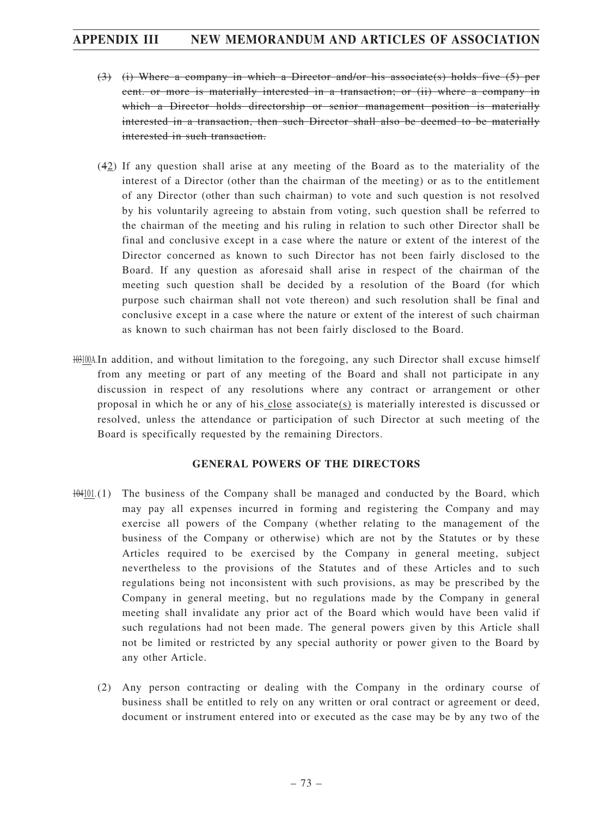- (3) (i) Where a company in which a Director and/or his associate(s) holds five (5) per cent. or more is materially interested in a transaction; or (ii) where a company in which a Director holds directorship or senior management position is materially interested in a transaction, then such Director shall also be deemed to be materially interested in such transaction.
- (42) If any question shall arise at any meeting of the Board as to the materiality of the interest of a Director (other than the chairman of the meeting) or as to the entitlement of any Director (other than such chairman) to vote and such question is not resolved by his voluntarily agreeing to abstain from voting, such question shall be referred to the chairman of the meeting and his ruling in relation to such other Director shall be final and conclusive except in a case where the nature or extent of the interest of the Director concerned as known to such Director has not been fairly disclosed to the Board. If any question as aforesaid shall arise in respect of the chairman of the meeting such question shall be decided by a resolution of the Board (for which purpose such chairman shall not vote thereon) and such resolution shall be final and conclusive except in a case where the nature or extent of the interest of such chairman as known to such chairman has not been fairly disclosed to the Board.
- 103100A.In addition, and without limitation to the foregoing, any such Director shall excuse himself from any meeting or part of any meeting of the Board and shall not participate in any discussion in respect of any resolutions where any contract or arrangement or other proposal in which he or any of his close associate(s) is materially interested is discussed or resolved, unless the attendance or participation of such Director at such meeting of the Board is specifically requested by the remaining Directors.

#### **GENERAL POWERS OF THE DIRECTORS**

- $104101(1)$  The business of the Company shall be managed and conducted by the Board, which may pay all expenses incurred in forming and registering the Company and may exercise all powers of the Company (whether relating to the management of the business of the Company or otherwise) which are not by the Statutes or by these Articles required to be exercised by the Company in general meeting, subject nevertheless to the provisions of the Statutes and of these Articles and to such regulations being not inconsistent with such provisions, as may be prescribed by the Company in general meeting, but no regulations made by the Company in general meeting shall invalidate any prior act of the Board which would have been valid if such regulations had not been made. The general powers given by this Article shall not be limited or restricted by any special authority or power given to the Board by any other Article.
	- (2) Any person contracting or dealing with the Company in the ordinary course of business shall be entitled to rely on any written or oral contract or agreement or deed, document or instrument entered into or executed as the case may be by any two of the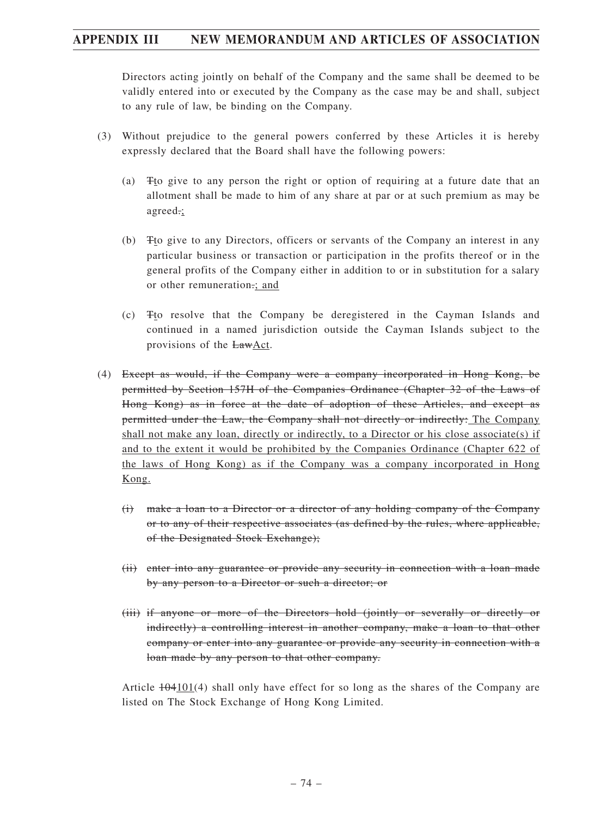Directors acting jointly on behalf of the Company and the same shall be deemed to be validly entered into or executed by the Company as the case may be and shall, subject to any rule of law, be binding on the Company.

- (3) Without prejudice to the general powers conferred by these Articles it is hereby expressly declared that the Board shall have the following powers:
	- (a) Tto give to any person the right or option of requiring at a future date that an allotment shall be made to him of any share at par or at such premium as may be agreed.;
	- (b) Tto give to any Directors, officers or servants of the Company an interest in any particular business or transaction or participation in the profits thereof or in the general profits of the Company either in addition to or in substitution for a salary or other remuneration.; and
	- (c) Tto resolve that the Company be deregistered in the Cayman Islands and continued in a named jurisdiction outside the Cayman Islands subject to the provisions of the LawAct.
- (4) Except as would, if the Company were a company incorporated in Hong Kong, be permitted by Section 157H of the Companies Ordinance (Chapter 32 of the Laws of Hong Kong) as in force at the date of adoption of these Articles, and except as permitted under the Law, the Company shall not directly or indirectly: The Company shall not make any loan, directly or indirectly, to a Director or his close associate(s) if and to the extent it would be prohibited by the Companies Ordinance (Chapter 622 of the laws of Hong Kong) as if the Company was a company incorporated in Hong Kong.
	- (i) make a loan to a Director or a director of any holding company of the Company or to any of their respective associates (as defined by the rules, where applicable, of the Designated Stock Exchange);
	- (ii) enter into any guarantee or provide any security in connection with a loan made by any person to a Director or such a director; or
	- (iii) if anyone or more of the Directors hold (jointly or severally or directly or indirectly) a controlling interest in another company, make a loan to that other company or enter into any guarantee or provide any security in connection with a loan made by any person to that other company.

Article  $\frac{104101}{4}$  shall only have effect for so long as the shares of the Company are listed on The Stock Exchange of Hong Kong Limited.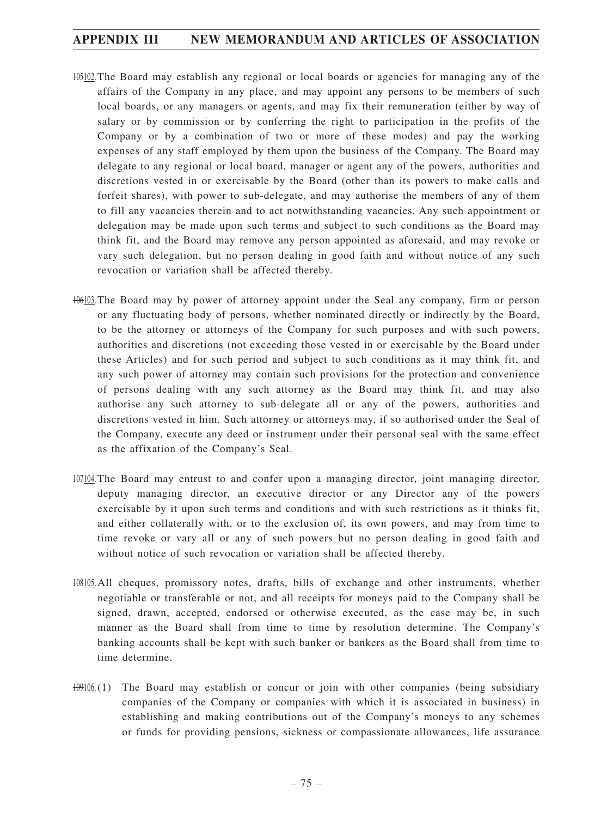- 105102. The Board may establish any regional or local boards or agencies for managing any of the affairs of the Company in any place, and may appoint any persons to be members of such local boards, or any managers or agents, and may fix their remuneration (either by way of salary or by commission or by conferring the right to participation in the profits of the Company or by a combination of two or more of these modes) and pay the working expenses of any staff employed by them upon the business of the Company. The Board may delegate to any regional or local board, manager or agent any of the powers, authorities and discretions vested in or exercisable by the Board (other than its powers to make calls and forfeit shares), with power to sub-delegate, and may authorise the members of any of them to fill any vacancies therein and to act notwithstanding vacancies. Any such appointment or delegation may be made upon such terms and subject to such conditions as the Board may think fit, and the Board may remove any person appointed as aforesaid, and may revoke or vary such delegation, but no person dealing in good faith and without notice of any such revocation or variation shall be affected thereby.
- 106103. The Board may by power of attorney appoint under the Seal any company, firm or person or any fluctuating body of persons, whether nominated directly or indirectly by the Board, to be the attorney or attorneys of the Company for such purposes and with such powers, authorities and discretions (not exceeding those vested in or exercisable by the Board under these Articles) and for such period and subject to such conditions as it may think fit, and any such power of attorney may contain such provisions for the protection and convenience of persons dealing with any such attorney as the Board may think fit, and may also authorise any such attorney to sub-delegate all or any of the powers, authorities and discretions vested in him. Such attorney or attorneys may, if so authorised under the Seal of the Company, execute any deed or instrument under their personal seal with the same effect as the affixation of the Company's Seal.
- $107104$ . The Board may entrust to and confer upon a managing director, joint managing director, deputy managing director, an executive director or any Director any of the powers exercisable by it upon such terms and conditions and with such restrictions as it thinks fit, and either collaterally with, or to the exclusion of, its own powers, and may from time to time revoke or vary all or any of such powers but no person dealing in good faith and without notice of such revocation or variation shall be affected thereby.
- 108105. All cheques, promissory notes, drafts, bills of exchange and other instruments, whether negotiable or transferable or not, and all receipts for moneys paid to the Company shall be signed, drawn, accepted, endorsed or otherwise executed, as the case may be, in such manner as the Board shall from time to time by resolution determine. The Company's banking accounts shall be kept with such banker or bankers as the Board shall from time to time determine.
- $1000(1)$  The Board may establish or concur or join with other companies (being subsidiary companies of the Company or companies with which it is associated in business) in establishing and making contributions out of the Company's moneys to any schemes or funds for providing pensions, sickness or compassionate allowances, life assurance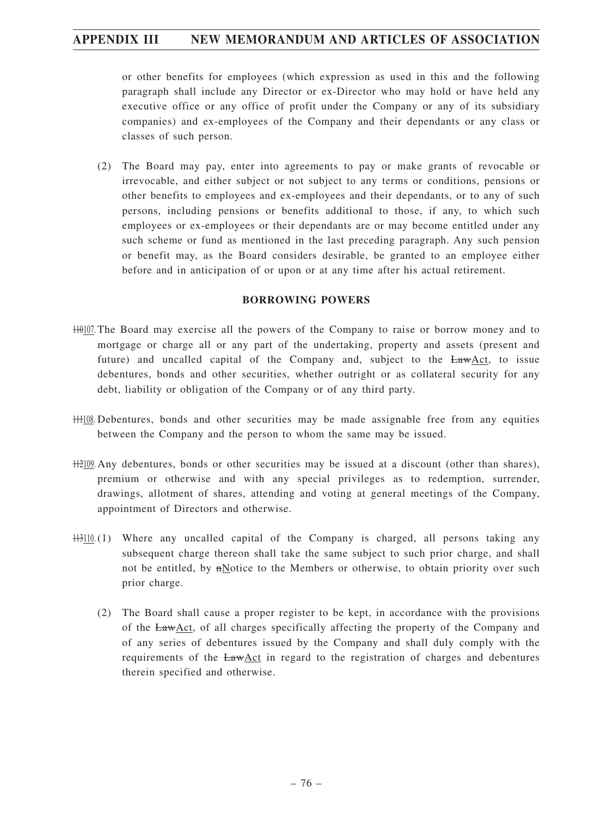or other benefits for employees (which expression as used in this and the following paragraph shall include any Director or ex-Director who may hold or have held any executive office or any office of profit under the Company or any of its subsidiary companies) and ex-employees of the Company and their dependants or any class or classes of such person.

(2) The Board may pay, enter into agreements to pay or make grants of revocable or irrevocable, and either subject or not subject to any terms or conditions, pensions or other benefits to employees and ex-employees and their dependants, or to any of such persons, including pensions or benefits additional to those, if any, to which such employees or ex-employees or their dependants are or may become entitled under any such scheme or fund as mentioned in the last preceding paragraph. Any such pension or benefit may, as the Board considers desirable, be granted to an employee either before and in anticipation of or upon or at any time after his actual retirement.

#### **BORROWING POWERS**

- 110107. The Board may exercise all the powers of the Company to raise or borrow money and to mortgage or charge all or any part of the undertaking, property and assets (present and future) and uncalled capital of the Company and, subject to the  $Law \Delta ct$ , to issue debentures, bonds and other securities, whether outright or as collateral security for any debt, liability or obligation of the Company or of any third party.
- 111108. Debentures, bonds and other securities may be made assignable free from any equities between the Company and the person to whom the same may be issued.
- 112109. Any debentures, bonds or other securities may be issued at a discount (other than shares), premium or otherwise and with any special privileges as to redemption, surrender, drawings, allotment of shares, attending and voting at general meetings of the Company, appointment of Directors and otherwise.
- $\frac{113110}{11}$ . Where any uncalled capital of the Company is charged, all persons taking any subsequent charge thereon shall take the same subject to such prior charge, and shall not be entitled, by  $n$ Notice to the Members or otherwise, to obtain priority over such prior charge.
	- (2) The Board shall cause a proper register to be kept, in accordance with the provisions of the LawAct, of all charges specifically affecting the property of the Company and of any series of debentures issued by the Company and shall duly comply with the requirements of the LawAct in regard to the registration of charges and debentures therein specified and otherwise.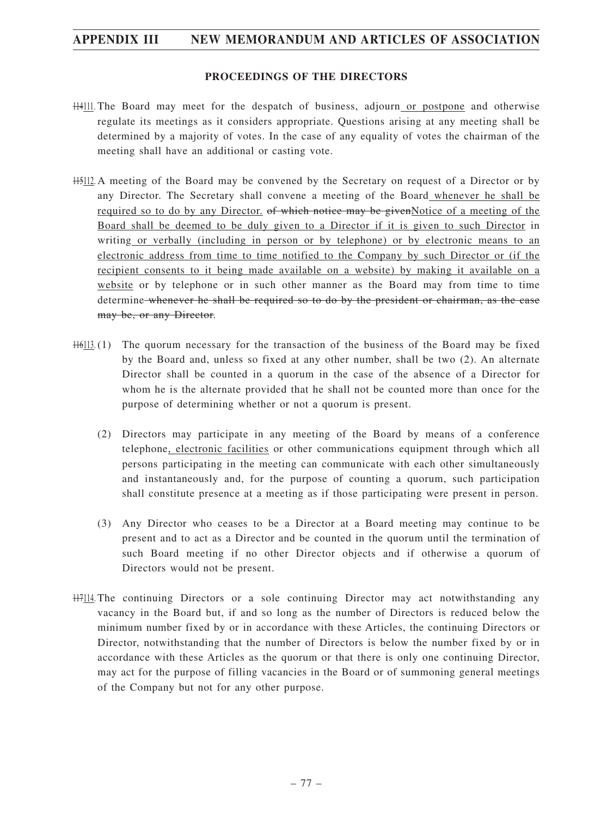#### **PROCEEDINGS OF THE DIRECTORS**

- 114111. The Board may meet for the despatch of business, adjourn or postpone and otherwise regulate its meetings as it considers appropriate. Questions arising at any meeting shall be determined by a majority of votes. In the case of any equality of votes the chairman of the meeting shall have an additional or casting vote.
- 115112. A meeting of the Board may be convened by the Secretary on request of a Director or by any Director. The Secretary shall convene a meeting of the Board whenever he shall be required so to do by any Director. of which notice may be given Notice of a meeting of the Board shall be deemed to be duly given to a Director if it is given to such Director in writing or verbally (including in person or by telephone) or by electronic means to an electronic address from time to time notified to the Company by such Director or (if the recipient consents to it being made available on a website) by making it available on a website or by telephone or in such other manner as the Board may from time to time determine whenever he shall be required so to do by the president or chairman, as the case may be, or any Director.
- 116113. (1) The quorum necessary for the transaction of the business of the Board may be fixed by the Board and, unless so fixed at any other number, shall be two (2). An alternate Director shall be counted in a quorum in the case of the absence of a Director for whom he is the alternate provided that he shall not be counted more than once for the purpose of determining whether or not a quorum is present.
	- (2) Directors may participate in any meeting of the Board by means of a conference telephone, electronic facilities or other communications equipment through which all persons participating in the meeting can communicate with each other simultaneously and instantaneously and, for the purpose of counting a quorum, such participation shall constitute presence at a meeting as if those participating were present in person.
	- (3) Any Director who ceases to be a Director at a Board meeting may continue to be present and to act as a Director and be counted in the quorum until the termination of such Board meeting if no other Director objects and if otherwise a quorum of Directors would not be present.
- 117114. The continuing Directors or a sole continuing Director may act notwithstanding any vacancy in the Board but, if and so long as the number of Directors is reduced below the minimum number fixed by or in accordance with these Articles, the continuing Directors or Director, notwithstanding that the number of Directors is below the number fixed by or in accordance with these Articles as the quorum or that there is only one continuing Director, may act for the purpose of filling vacancies in the Board or of summoning general meetings of the Company but not for any other purpose.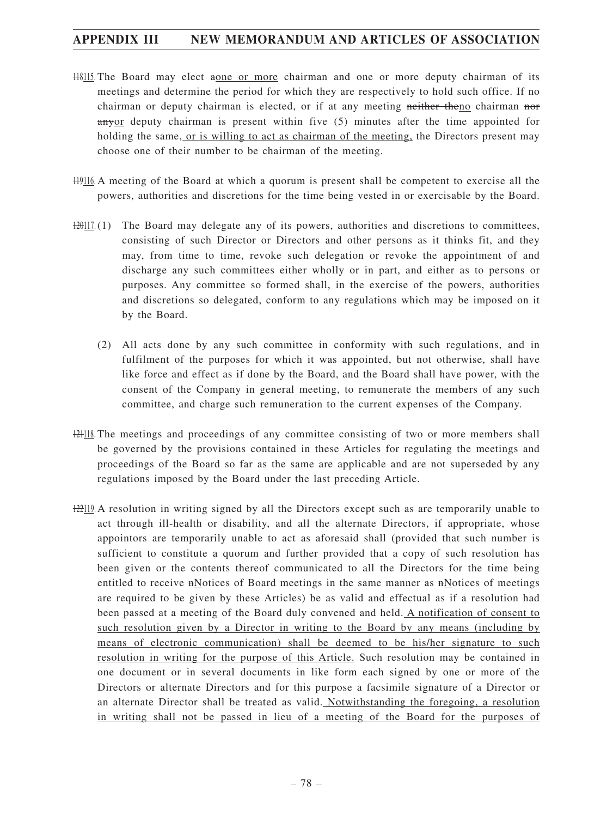- 118115. The Board may elect aone or more chairman and one or more deputy chairman of its meetings and determine the period for which they are respectively to hold such office. If no chairman or deputy chairman is elected, or if at any meeting neither theno chairman nor anyor deputy chairman is present within five (5) minutes after the time appointed for holding the same, or is willing to act as chairman of the meeting, the Directors present may choose one of their number to be chairman of the meeting.
- 119116. A meeting of the Board at which a quorum is present shall be competent to exercise all the powers, authorities and discretions for the time being vested in or exercisable by the Board.
- $120117(1)$  The Board may delegate any of its powers, authorities and discretions to committees, consisting of such Director or Directors and other persons as it thinks fit, and they may, from time to time, revoke such delegation or revoke the appointment of and discharge any such committees either wholly or in part, and either as to persons or purposes. Any committee so formed shall, in the exercise of the powers, authorities and discretions so delegated, conform to any regulations which may be imposed on it by the Board.
	- (2) All acts done by any such committee in conformity with such regulations, and in fulfilment of the purposes for which it was appointed, but not otherwise, shall have like force and effect as if done by the Board, and the Board shall have power, with the consent of the Company in general meeting, to remunerate the members of any such committee, and charge such remuneration to the current expenses of the Company.
- 121118. The meetings and proceedings of any committee consisting of two or more members shall be governed by the provisions contained in these Articles for regulating the meetings and proceedings of the Board so far as the same are applicable and are not superseded by any regulations imposed by the Board under the last preceding Article.
- 122119. A resolution in writing signed by all the Directors except such as are temporarily unable to act through ill-health or disability, and all the alternate Directors, if appropriate, whose appointors are temporarily unable to act as aforesaid shall (provided that such number is sufficient to constitute a quorum and further provided that a copy of such resolution has been given or the contents thereof communicated to all the Directors for the time being entitled to receive nNotices of Board meetings in the same manner as nNotices of meetings are required to be given by these Articles) be as valid and effectual as if a resolution had been passed at a meeting of the Board duly convened and held. A notification of consent to such resolution given by a Director in writing to the Board by any means (including by means of electronic communication) shall be deemed to be his/her signature to such resolution in writing for the purpose of this Article. Such resolution may be contained in one document or in several documents in like form each signed by one or more of the Directors or alternate Directors and for this purpose a facsimile signature of a Director or an alternate Director shall be treated as valid. Notwithstanding the foregoing, a resolution in writing shall not be passed in lieu of a meeting of the Board for the purposes of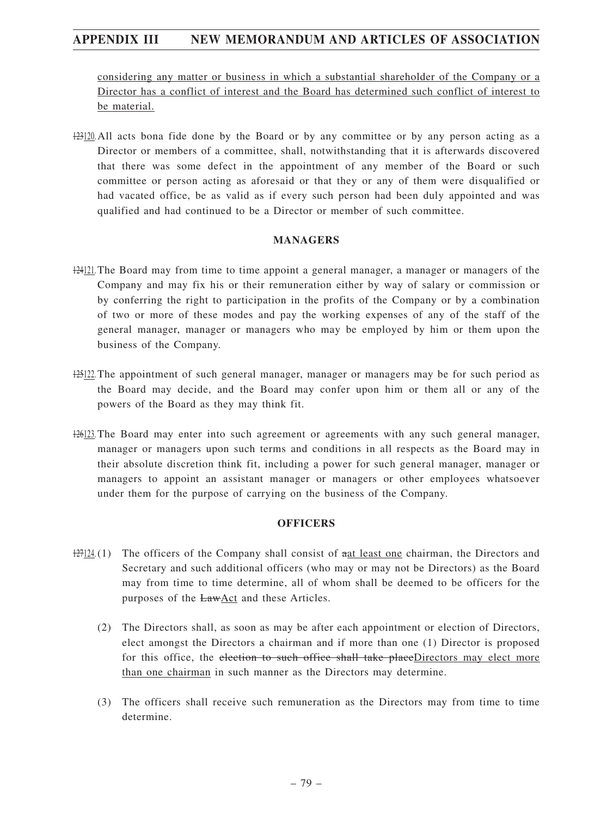considering any matter or business in which a substantial shareholder of the Company or a Director has a conflict of interest and the Board has determined such conflict of interest to be material.

123120. All acts bona fide done by the Board or by any committee or by any person acting as a Director or members of a committee, shall, notwithstanding that it is afterwards discovered that there was some defect in the appointment of any member of the Board or such committee or person acting as aforesaid or that they or any of them were disqualified or had vacated office, be as valid as if every such person had been duly appointed and was qualified and had continued to be a Director or member of such committee.

#### **MANAGERS**

- 124121. The Board may from time to time appoint a general manager, a manager or managers of the Company and may fix his or their remuneration either by way of salary or commission or by conferring the right to participation in the profits of the Company or by a combination of two or more of these modes and pay the working expenses of any of the staff of the general manager, manager or managers who may be employed by him or them upon the business of the Company.
- 125122. The appointment of such general manager, manager or managers may be for such period as the Board may decide, and the Board may confer upon him or them all or any of the powers of the Board as they may think fit.
- 126123. The Board may enter into such agreement or agreements with any such general manager, manager or managers upon such terms and conditions in all respects as the Board may in their absolute discretion think fit, including a power for such general manager, manager or managers to appoint an assistant manager or managers or other employees whatsoever under them for the purpose of carrying on the business of the Company.

#### **OFFICERS**

- 127124.(1) The officers of the Company shall consist of aat least one chairman, the Directors and Secretary and such additional officers (who may or may not be Directors) as the Board may from time to time determine, all of whom shall be deemed to be officers for the purposes of the LawAct and these Articles.
	- (2) The Directors shall, as soon as may be after each appointment or election of Directors, elect amongst the Directors a chairman and if more than one (1) Director is proposed for this office, the election to such office shall take placeDirectors may elect more than one chairman in such manner as the Directors may determine.
	- (3) The officers shall receive such remuneration as the Directors may from time to time determine.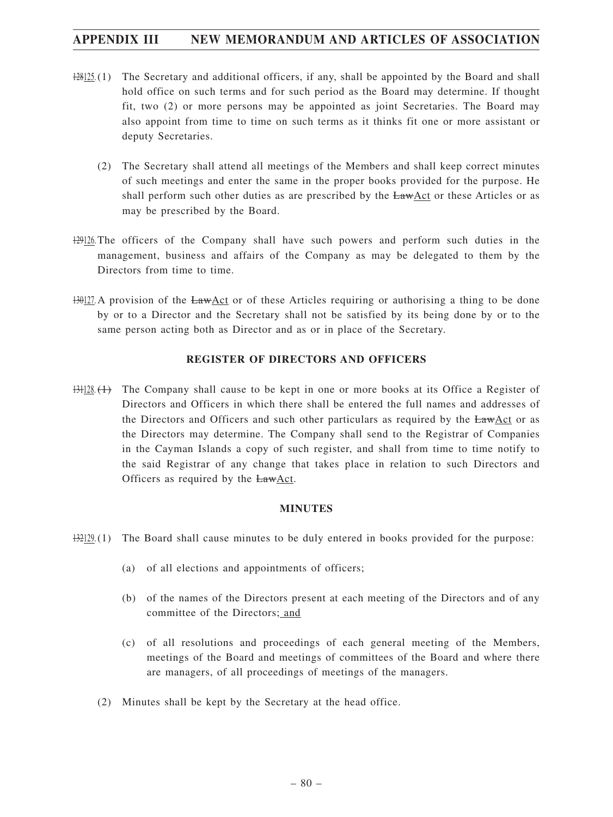- 128125.(1) The Secretary and additional officers, if any, shall be appointed by the Board and shall hold office on such terms and for such period as the Board may determine. If thought fit, two (2) or more persons may be appointed as joint Secretaries. The Board may also appoint from time to time on such terms as it thinks fit one or more assistant or deputy Secretaries.
	- (2) The Secretary shall attend all meetings of the Members and shall keep correct minutes of such meetings and enter the same in the proper books provided for the purpose. He shall perform such other duties as are prescribed by the LawAct or these Articles or as may be prescribed by the Board.
- 129126. The officers of the Company shall have such powers and perform such duties in the management, business and affairs of the Company as may be delegated to them by the Directors from time to time.
- 130127. A provision of the LawAct or of these Articles requiring or authorising a thing to be done by or to a Director and the Secretary shall not be satisfied by its being done by or to the same person acting both as Director and as or in place of the Secretary.

#### **REGISTER OF DIRECTORS AND OFFICERS**

131128. (1) The Company shall cause to be kept in one or more books at its Office a Register of Directors and Officers in which there shall be entered the full names and addresses of the Directors and Officers and such other particulars as required by the LawAct or as the Directors may determine. The Company shall send to the Registrar of Companies in the Cayman Islands a copy of such register, and shall from time to time notify to the said Registrar of any change that takes place in relation to such Directors and Officers as required by the **LawAct**.

#### **MINUTES**

- $\frac{132129}{132129}$ .(1) The Board shall cause minutes to be duly entered in books provided for the purpose:
	- (a) of all elections and appointments of officers;
	- (b) of the names of the Directors present at each meeting of the Directors and of any committee of the Directors; and
	- (c) of all resolutions and proceedings of each general meeting of the Members, meetings of the Board and meetings of committees of the Board and where there are managers, of all proceedings of meetings of the managers.
	- (2) Minutes shall be kept by the Secretary at the head office.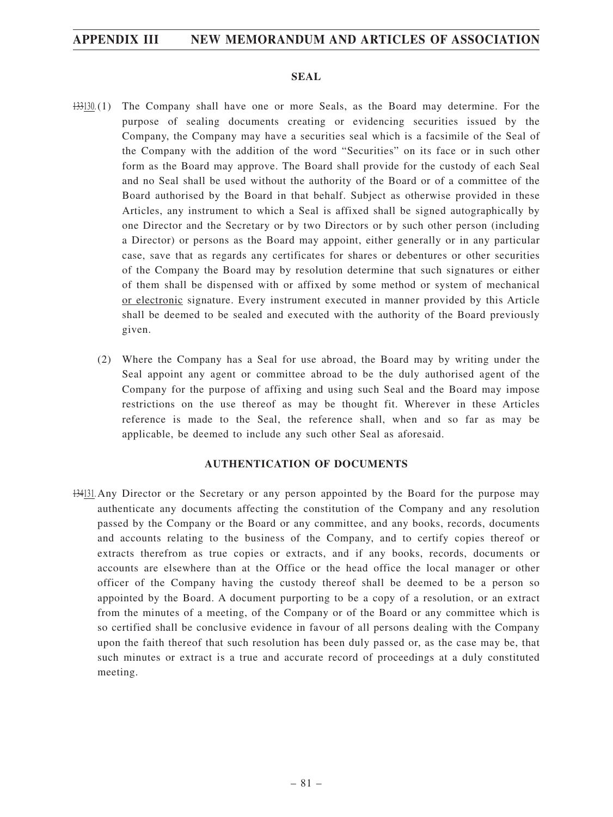#### **SEAL**

- 133130.(1) The Company shall have one or more Seals, as the Board may determine. For the purpose of sealing documents creating or evidencing securities issued by the Company, the Company may have a securities seal which is a facsimile of the Seal of the Company with the addition of the word "Securities" on its face or in such other form as the Board may approve. The Board shall provide for the custody of each Seal and no Seal shall be used without the authority of the Board or of a committee of the Board authorised by the Board in that behalf. Subject as otherwise provided in these Articles, any instrument to which a Seal is affixed shall be signed autographically by one Director and the Secretary or by two Directors or by such other person (including a Director) or persons as the Board may appoint, either generally or in any particular case, save that as regards any certificates for shares or debentures or other securities of the Company the Board may by resolution determine that such signatures or either of them shall be dispensed with or affixed by some method or system of mechanical or electronic signature. Every instrument executed in manner provided by this Article shall be deemed to be sealed and executed with the authority of the Board previously given.
	- (2) Where the Company has a Seal for use abroad, the Board may by writing under the Seal appoint any agent or committee abroad to be the duly authorised agent of the Company for the purpose of affixing and using such Seal and the Board may impose restrictions on the use thereof as may be thought fit. Wherever in these Articles reference is made to the Seal, the reference shall, when and so far as may be applicable, be deemed to include any such other Seal as aforesaid.

#### **AUTHENTICATION OF DOCUMENTS**

134131. Any Director or the Secretary or any person appointed by the Board for the purpose may authenticate any documents affecting the constitution of the Company and any resolution passed by the Company or the Board or any committee, and any books, records, documents and accounts relating to the business of the Company, and to certify copies thereof or extracts therefrom as true copies or extracts, and if any books, records, documents or accounts are elsewhere than at the Office or the head office the local manager or other officer of the Company having the custody thereof shall be deemed to be a person so appointed by the Board. A document purporting to be a copy of a resolution, or an extract from the minutes of a meeting, of the Company or of the Board or any committee which is so certified shall be conclusive evidence in favour of all persons dealing with the Company upon the faith thereof that such resolution has been duly passed or, as the case may be, that such minutes or extract is a true and accurate record of proceedings at a duly constituted meeting.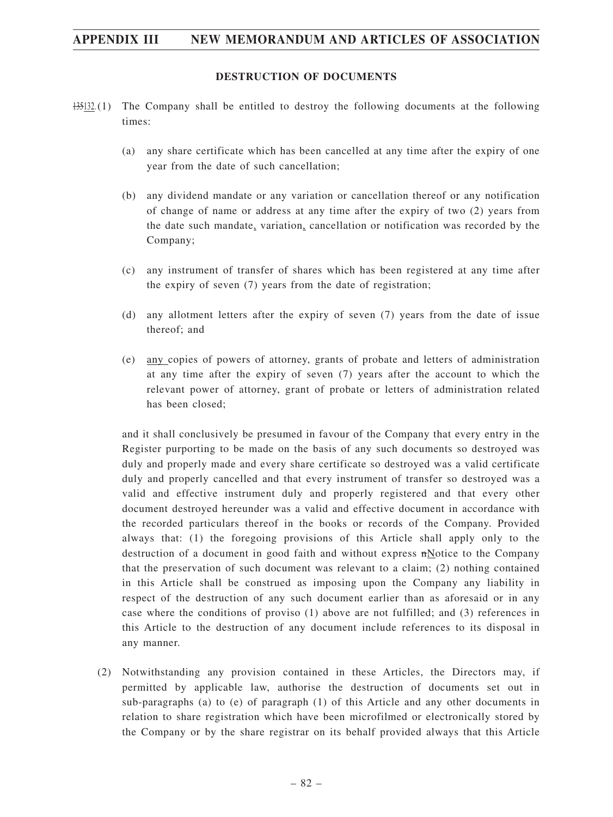#### **DESTRUCTION OF DOCUMENTS**

- 135132.(1) The Company shall be entitled to destroy the following documents at the following times:
	- (a) any share certificate which has been cancelled at any time after the expiry of one year from the date of such cancellation;
	- (b) any dividend mandate or any variation or cancellation thereof or any notification of change of name or address at any time after the expiry of two (2) years from the date such mandate, variation, cancellation or notification was recorded by the Company;
	- (c) any instrument of transfer of shares which has been registered at any time after the expiry of seven (7) years from the date of registration;
	- (d) any allotment letters after the expiry of seven (7) years from the date of issue thereof; and
	- (e) any copies of powers of attorney, grants of probate and letters of administration at any time after the expiry of seven (7) years after the account to which the relevant power of attorney, grant of probate or letters of administration related has been closed;

and it shall conclusively be presumed in favour of the Company that every entry in the Register purporting to be made on the basis of any such documents so destroyed was duly and properly made and every share certificate so destroyed was a valid certificate duly and properly cancelled and that every instrument of transfer so destroyed was a valid and effective instrument duly and properly registered and that every other document destroyed hereunder was a valid and effective document in accordance with the recorded particulars thereof in the books or records of the Company. Provided always that: (1) the foregoing provisions of this Article shall apply only to the destruction of a document in good faith and without express  $nN$ otice to the Company that the preservation of such document was relevant to a claim; (2) nothing contained in this Article shall be construed as imposing upon the Company any liability in respect of the destruction of any such document earlier than as aforesaid or in any case where the conditions of proviso (1) above are not fulfilled; and (3) references in this Article to the destruction of any document include references to its disposal in any manner.

(2) Notwithstanding any provision contained in these Articles, the Directors may, if permitted by applicable law, authorise the destruction of documents set out in sub-paragraphs (a) to (e) of paragraph (1) of this Article and any other documents in relation to share registration which have been microfilmed or electronically stored by the Company or by the share registrar on its behalf provided always that this Article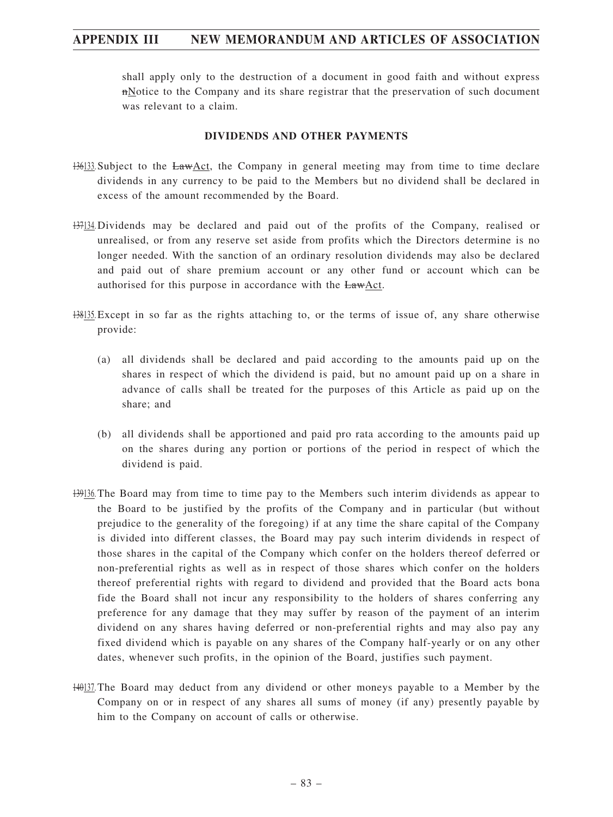shall apply only to the destruction of a document in good faith and without express nNotice to the Company and its share registrar that the preservation of such document was relevant to a claim.

#### **DIVIDENDS AND OTHER PAYMENTS**

- 136133. Subject to the LawAct, the Company in general meeting may from time to time declare dividends in any currency to be paid to the Members but no dividend shall be declared in excess of the amount recommended by the Board.
- 137134. Dividends may be declared and paid out of the profits of the Company, realised or unrealised, or from any reserve set aside from profits which the Directors determine is no longer needed. With the sanction of an ordinary resolution dividends may also be declared and paid out of share premium account or any other fund or account which can be authorised for this purpose in accordance with the LawAct.
- 138135. Except in so far as the rights attaching to, or the terms of issue of, any share otherwise provide:
	- (a) all dividends shall be declared and paid according to the amounts paid up on the shares in respect of which the dividend is paid, but no amount paid up on a share in advance of calls shall be treated for the purposes of this Article as paid up on the share; and
	- (b) all dividends shall be apportioned and paid pro rata according to the amounts paid up on the shares during any portion or portions of the period in respect of which the dividend is paid.
- 139136. The Board may from time to time pay to the Members such interim dividends as appear to the Board to be justified by the profits of the Company and in particular (but without prejudice to the generality of the foregoing) if at any time the share capital of the Company is divided into different classes, the Board may pay such interim dividends in respect of those shares in the capital of the Company which confer on the holders thereof deferred or non-preferential rights as well as in respect of those shares which confer on the holders thereof preferential rights with regard to dividend and provided that the Board acts bona fide the Board shall not incur any responsibility to the holders of shares conferring any preference for any damage that they may suffer by reason of the payment of an interim dividend on any shares having deferred or non-preferential rights and may also pay any fixed dividend which is payable on any shares of the Company half-yearly or on any other dates, whenever such profits, in the opinion of the Board, justifies such payment.
- 140137. The Board may deduct from any dividend or other moneys payable to a Member by the Company on or in respect of any shares all sums of money (if any) presently payable by him to the Company on account of calls or otherwise.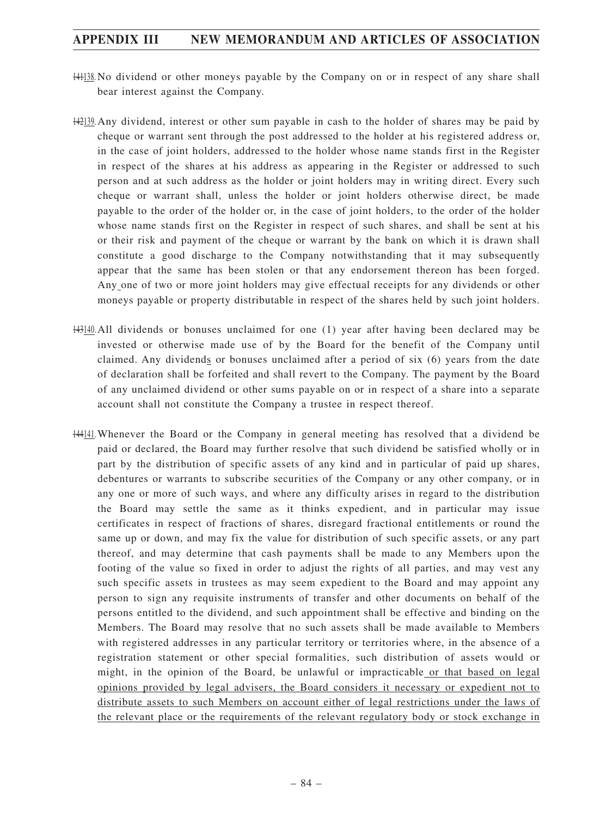- 141138. No dividend or other moneys payable by the Company on or in respect of any share shall bear interest against the Company.
- 142139. Any dividend, interest or other sum payable in cash to the holder of shares may be paid by cheque or warrant sent through the post addressed to the holder at his registered address or, in the case of joint holders, addressed to the holder whose name stands first in the Register in respect of the shares at his address as appearing in the Register or addressed to such person and at such address as the holder or joint holders may in writing direct. Every such cheque or warrant shall, unless the holder or joint holders otherwise direct, be made payable to the order of the holder or, in the case of joint holders, to the order of the holder whose name stands first on the Register in respect of such shares, and shall be sent at his or their risk and payment of the cheque or warrant by the bank on which it is drawn shall constitute a good discharge to the Company notwithstanding that it may subsequently appear that the same has been stolen or that any endorsement thereon has been forged. Any one of two or more joint holders may give effectual receipts for any dividends or other moneys payable or property distributable in respect of the shares held by such joint holders.
- 143140. All dividends or bonuses unclaimed for one (1) year after having been declared may be invested or otherwise made use of by the Board for the benefit of the Company until claimed. Any dividends or bonuses unclaimed after a period of six (6) years from the date of declaration shall be forfeited and shall revert to the Company. The payment by the Board of any unclaimed dividend or other sums payable on or in respect of a share into a separate account shall not constitute the Company a trustee in respect thereof.
- 144141.Whenever the Board or the Company in general meeting has resolved that a dividend be paid or declared, the Board may further resolve that such dividend be satisfied wholly or in part by the distribution of specific assets of any kind and in particular of paid up shares, debentures or warrants to subscribe securities of the Company or any other company, or in any one or more of such ways, and where any difficulty arises in regard to the distribution the Board may settle the same as it thinks expedient, and in particular may issue certificates in respect of fractions of shares, disregard fractional entitlements or round the same up or down, and may fix the value for distribution of such specific assets, or any part thereof, and may determine that cash payments shall be made to any Members upon the footing of the value so fixed in order to adjust the rights of all parties, and may vest any such specific assets in trustees as may seem expedient to the Board and may appoint any person to sign any requisite instruments of transfer and other documents on behalf of the persons entitled to the dividend, and such appointment shall be effective and binding on the Members. The Board may resolve that no such assets shall be made available to Members with registered addresses in any particular territory or territories where, in the absence of a registration statement or other special formalities, such distribution of assets would or might, in the opinion of the Board, be unlawful or impracticable or that based on legal opinions provided by legal advisers, the Board considers it necessary or expedient not to distribute assets to such Members on account either of legal restrictions under the laws of the relevant place or the requirements of the relevant regulatory body or stock exchange in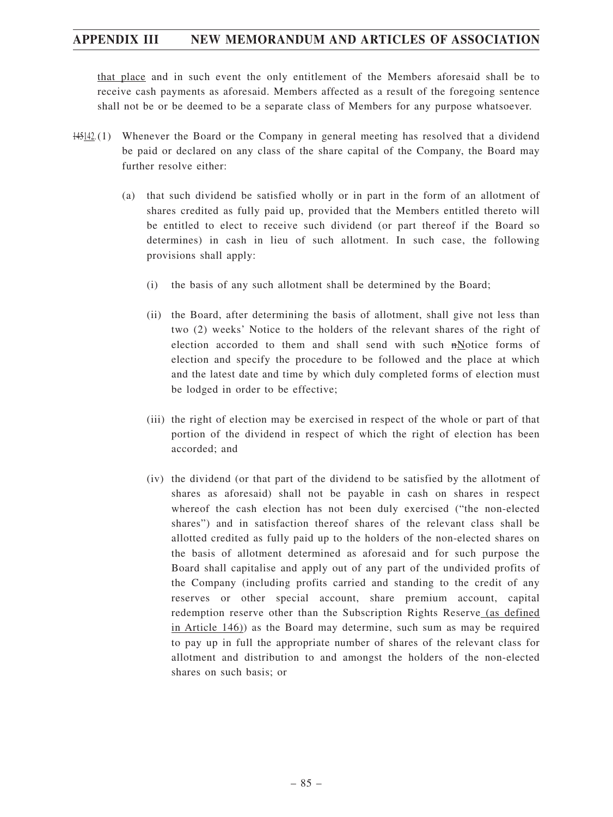that place and in such event the only entitlement of the Members aforesaid shall be to receive cash payments as aforesaid. Members affected as a result of the foregoing sentence shall not be or be deemed to be a separate class of Members for any purpose whatsoever.

- 145142.(1) Whenever the Board or the Company in general meeting has resolved that a dividend be paid or declared on any class of the share capital of the Company, the Board may further resolve either:
	- (a) that such dividend be satisfied wholly or in part in the form of an allotment of shares credited as fully paid up, provided that the Members entitled thereto will be entitled to elect to receive such dividend (or part thereof if the Board so determines) in cash in lieu of such allotment. In such case, the following provisions shall apply:
		- (i) the basis of any such allotment shall be determined by the Board;
		- (ii) the Board, after determining the basis of allotment, shall give not less than two (2) weeks' Notice to the holders of the relevant shares of the right of election accorded to them and shall send with such nNotice forms of election and specify the procedure to be followed and the place at which and the latest date and time by which duly completed forms of election must be lodged in order to be effective;
		- (iii) the right of election may be exercised in respect of the whole or part of that portion of the dividend in respect of which the right of election has been accorded; and
		- (iv) the dividend (or that part of the dividend to be satisfied by the allotment of shares as aforesaid) shall not be payable in cash on shares in respect whereof the cash election has not been duly exercised ("the non-elected shares") and in satisfaction thereof shares of the relevant class shall be allotted credited as fully paid up to the holders of the non-elected shares on the basis of allotment determined as aforesaid and for such purpose the Board shall capitalise and apply out of any part of the undivided profits of the Company (including profits carried and standing to the credit of any reserves or other special account, share premium account, capital redemption reserve other than the Subscription Rights Reserve (as defined in Article 146)) as the Board may determine, such sum as may be required to pay up in full the appropriate number of shares of the relevant class for allotment and distribution to and amongst the holders of the non-elected shares on such basis; or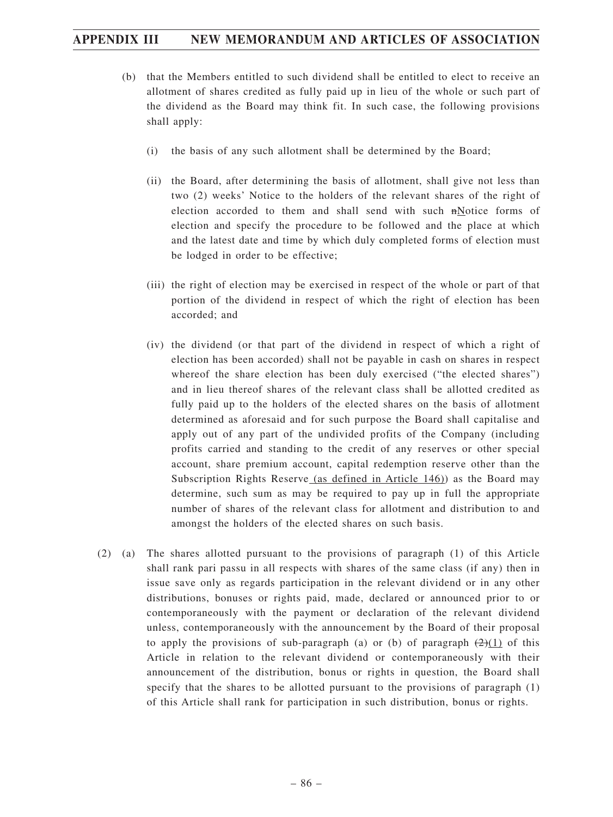- (b) that the Members entitled to such dividend shall be entitled to elect to receive an allotment of shares credited as fully paid up in lieu of the whole or such part of the dividend as the Board may think fit. In such case, the following provisions shall apply:
	- (i) the basis of any such allotment shall be determined by the Board;
	- (ii) the Board, after determining the basis of allotment, shall give not less than two (2) weeks' Notice to the holders of the relevant shares of the right of election accorded to them and shall send with such nNotice forms of election and specify the procedure to be followed and the place at which and the latest date and time by which duly completed forms of election must be lodged in order to be effective;
	- (iii) the right of election may be exercised in respect of the whole or part of that portion of the dividend in respect of which the right of election has been accorded; and
	- (iv) the dividend (or that part of the dividend in respect of which a right of election has been accorded) shall not be payable in cash on shares in respect whereof the share election has been duly exercised ("the elected shares") and in lieu thereof shares of the relevant class shall be allotted credited as fully paid up to the holders of the elected shares on the basis of allotment determined as aforesaid and for such purpose the Board shall capitalise and apply out of any part of the undivided profits of the Company (including profits carried and standing to the credit of any reserves or other special account, share premium account, capital redemption reserve other than the Subscription Rights Reserve (as defined in Article 146)) as the Board may determine, such sum as may be required to pay up in full the appropriate number of shares of the relevant class for allotment and distribution to and amongst the holders of the elected shares on such basis.
- (2) (a) The shares allotted pursuant to the provisions of paragraph (1) of this Article shall rank pari passu in all respects with shares of the same class (if any) then in issue save only as regards participation in the relevant dividend or in any other distributions, bonuses or rights paid, made, declared or announced prior to or contemporaneously with the payment or declaration of the relevant dividend unless, contemporaneously with the announcement by the Board of their proposal to apply the provisions of sub-paragraph (a) or (b) of paragraph  $(2)(1)$  of this Article in relation to the relevant dividend or contemporaneously with their announcement of the distribution, bonus or rights in question, the Board shall specify that the shares to be allotted pursuant to the provisions of paragraph (1) of this Article shall rank for participation in such distribution, bonus or rights.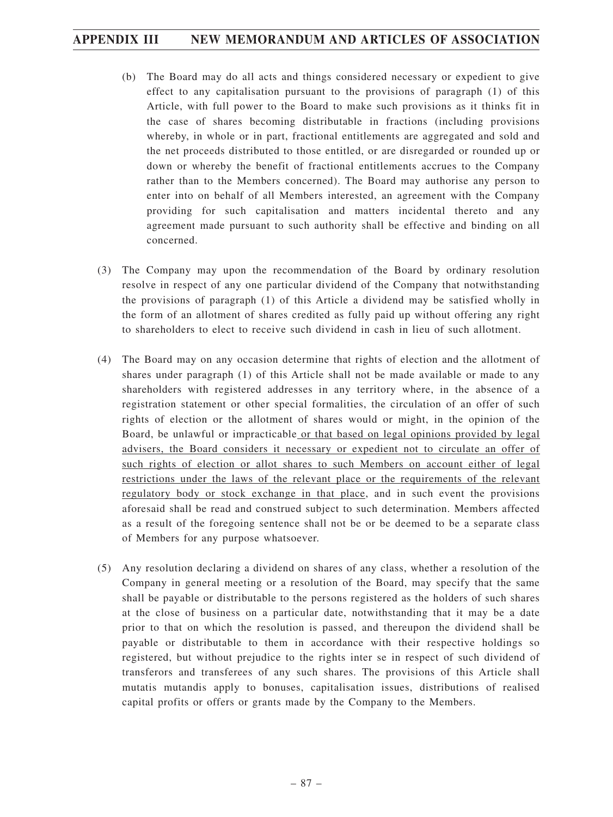- (b) The Board may do all acts and things considered necessary or expedient to give effect to any capitalisation pursuant to the provisions of paragraph (1) of this Article, with full power to the Board to make such provisions as it thinks fit in the case of shares becoming distributable in fractions (including provisions whereby, in whole or in part, fractional entitlements are aggregated and sold and the net proceeds distributed to those entitled, or are disregarded or rounded up or down or whereby the benefit of fractional entitlements accrues to the Company rather than to the Members concerned). The Board may authorise any person to enter into on behalf of all Members interested, an agreement with the Company providing for such capitalisation and matters incidental thereto and any agreement made pursuant to such authority shall be effective and binding on all concerned.
- (3) The Company may upon the recommendation of the Board by ordinary resolution resolve in respect of any one particular dividend of the Company that notwithstanding the provisions of paragraph (1) of this Article a dividend may be satisfied wholly in the form of an allotment of shares credited as fully paid up without offering any right to shareholders to elect to receive such dividend in cash in lieu of such allotment.
- (4) The Board may on any occasion determine that rights of election and the allotment of shares under paragraph (1) of this Article shall not be made available or made to any shareholders with registered addresses in any territory where, in the absence of a registration statement or other special formalities, the circulation of an offer of such rights of election or the allotment of shares would or might, in the opinion of the Board, be unlawful or impracticable or that based on legal opinions provided by legal advisers, the Board considers it necessary or expedient not to circulate an offer of such rights of election or allot shares to such Members on account either of legal restrictions under the laws of the relevant place or the requirements of the relevant regulatory body or stock exchange in that place, and in such event the provisions aforesaid shall be read and construed subject to such determination. Members affected as a result of the foregoing sentence shall not be or be deemed to be a separate class of Members for any purpose whatsoever.
- (5) Any resolution declaring a dividend on shares of any class, whether a resolution of the Company in general meeting or a resolution of the Board, may specify that the same shall be payable or distributable to the persons registered as the holders of such shares at the close of business on a particular date, notwithstanding that it may be a date prior to that on which the resolution is passed, and thereupon the dividend shall be payable or distributable to them in accordance with their respective holdings so registered, but without prejudice to the rights inter se in respect of such dividend of transferors and transferees of any such shares. The provisions of this Article shall mutatis mutandis apply to bonuses, capitalisation issues, distributions of realised capital profits or offers or grants made by the Company to the Members.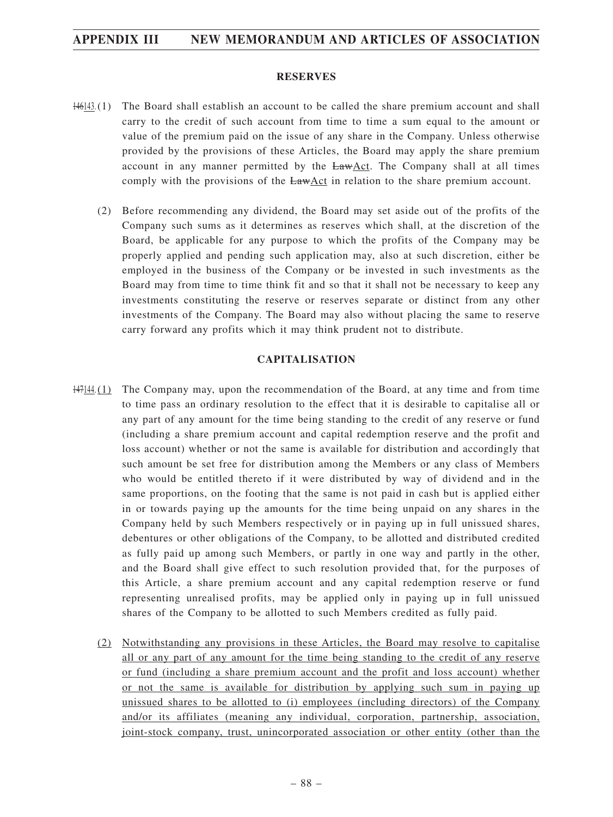#### **RESERVES**

- 146143.(1) The Board shall establish an account to be called the share premium account and shall carry to the credit of such account from time to time a sum equal to the amount or value of the premium paid on the issue of any share in the Company. Unless otherwise provided by the provisions of these Articles, the Board may apply the share premium account in any manner permitted by the LawAct. The Company shall at all times comply with the provisions of the LawAct in relation to the share premium account.
	- (2) Before recommending any dividend, the Board may set aside out of the profits of the Company such sums as it determines as reserves which shall, at the discretion of the Board, be applicable for any purpose to which the profits of the Company may be properly applied and pending such application may, also at such discretion, either be employed in the business of the Company or be invested in such investments as the Board may from time to time think fit and so that it shall not be necessary to keep any investments constituting the reserve or reserves separate or distinct from any other investments of the Company. The Board may also without placing the same to reserve carry forward any profits which it may think prudent not to distribute.

#### **CAPITALISATION**

- 147144.(1) The Company may, upon the recommendation of the Board, at any time and from time to time pass an ordinary resolution to the effect that it is desirable to capitalise all or any part of any amount for the time being standing to the credit of any reserve or fund (including a share premium account and capital redemption reserve and the profit and loss account) whether or not the same is available for distribution and accordingly that such amount be set free for distribution among the Members or any class of Members who would be entitled thereto if it were distributed by way of dividend and in the same proportions, on the footing that the same is not paid in cash but is applied either in or towards paying up the amounts for the time being unpaid on any shares in the Company held by such Members respectively or in paying up in full unissued shares, debentures or other obligations of the Company, to be allotted and distributed credited as fully paid up among such Members, or partly in one way and partly in the other, and the Board shall give effect to such resolution provided that, for the purposes of this Article, a share premium account and any capital redemption reserve or fund representing unrealised profits, may be applied only in paying up in full unissued shares of the Company to be allotted to such Members credited as fully paid.
	- (2) Notwithstanding any provisions in these Articles, the Board may resolve to capitalise all or any part of any amount for the time being standing to the credit of any reserve or fund (including a share premium account and the profit and loss account) whether or not the same is available for distribution by applying such sum in paying up unissued shares to be allotted to (i) employees (including directors) of the Company and/or its affiliates (meaning any individual, corporation, partnership, association, joint-stock company, trust, unincorporated association or other entity (other than the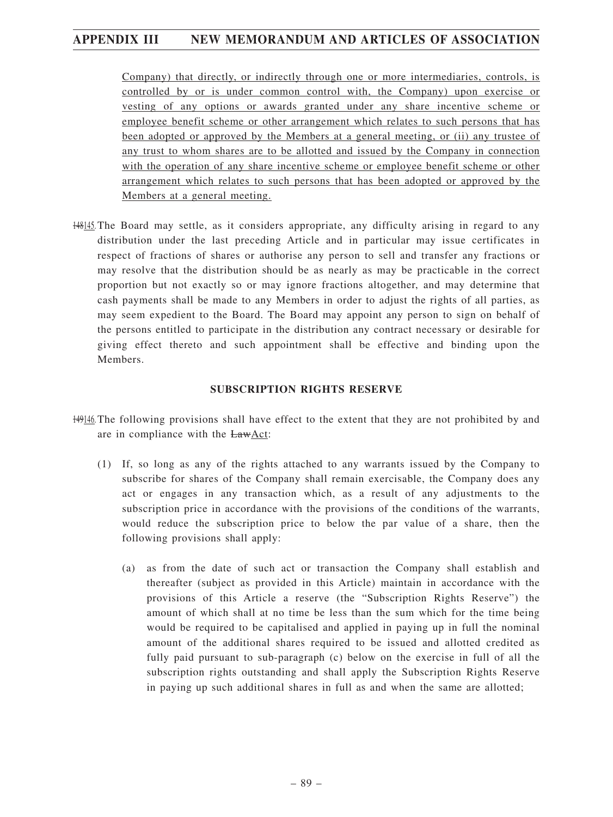Company) that directly, or indirectly through one or more intermediaries, controls, is controlled by or is under common control with, the Company) upon exercise or vesting of any options or awards granted under any share incentive scheme or employee benefit scheme or other arrangement which relates to such persons that has been adopted or approved by the Members at a general meeting, or (ii) any trustee of any trust to whom shares are to be allotted and issued by the Company in connection with the operation of any share incentive scheme or employee benefit scheme or other arrangement which relates to such persons that has been adopted or approved by the Members at a general meeting.

148145. The Board may settle, as it considers appropriate, any difficulty arising in regard to any distribution under the last preceding Article and in particular may issue certificates in respect of fractions of shares or authorise any person to sell and transfer any fractions or may resolve that the distribution should be as nearly as may be practicable in the correct proportion but not exactly so or may ignore fractions altogether, and may determine that cash payments shall be made to any Members in order to adjust the rights of all parties, as may seem expedient to the Board. The Board may appoint any person to sign on behalf of the persons entitled to participate in the distribution any contract necessary or desirable for giving effect thereto and such appointment shall be effective and binding upon the Members.

#### **SUBSCRIPTION RIGHTS RESERVE**

- 149146. The following provisions shall have effect to the extent that they are not prohibited by and are in compliance with the LawAct:
	- (1) If, so long as any of the rights attached to any warrants issued by the Company to subscribe for shares of the Company shall remain exercisable, the Company does any act or engages in any transaction which, as a result of any adjustments to the subscription price in accordance with the provisions of the conditions of the warrants, would reduce the subscription price to below the par value of a share, then the following provisions shall apply:
		- (a) as from the date of such act or transaction the Company shall establish and thereafter (subject as provided in this Article) maintain in accordance with the provisions of this Article a reserve (the "Subscription Rights Reserve") the amount of which shall at no time be less than the sum which for the time being would be required to be capitalised and applied in paying up in full the nominal amount of the additional shares required to be issued and allotted credited as fully paid pursuant to sub-paragraph (c) below on the exercise in full of all the subscription rights outstanding and shall apply the Subscription Rights Reserve in paying up such additional shares in full as and when the same are allotted;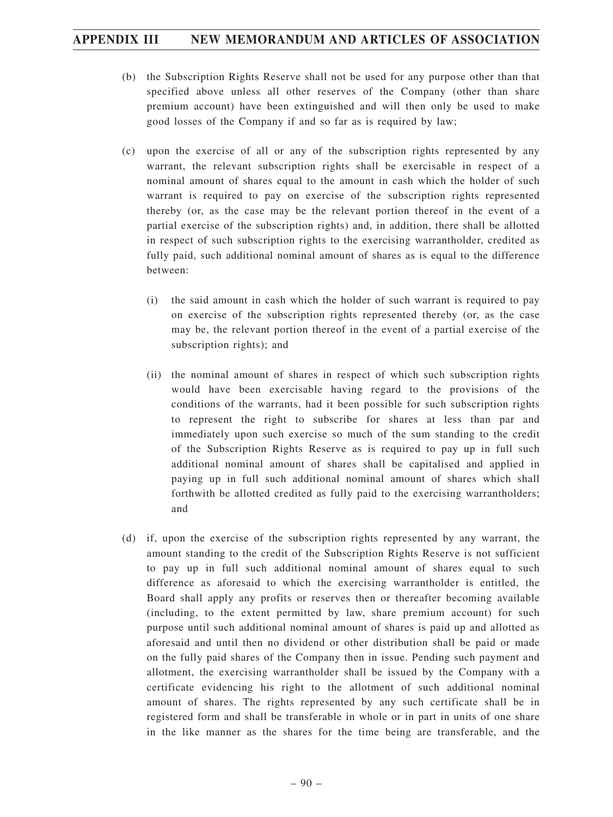- (b) the Subscription Rights Reserve shall not be used for any purpose other than that specified above unless all other reserves of the Company (other than share premium account) have been extinguished and will then only be used to make good losses of the Company if and so far as is required by law;
- (c) upon the exercise of all or any of the subscription rights represented by any warrant, the relevant subscription rights shall be exercisable in respect of a nominal amount of shares equal to the amount in cash which the holder of such warrant is required to pay on exercise of the subscription rights represented thereby (or, as the case may be the relevant portion thereof in the event of a partial exercise of the subscription rights) and, in addition, there shall be allotted in respect of such subscription rights to the exercising warrantholder, credited as fully paid, such additional nominal amount of shares as is equal to the difference between:
	- (i) the said amount in cash which the holder of such warrant is required to pay on exercise of the subscription rights represented thereby (or, as the case may be, the relevant portion thereof in the event of a partial exercise of the subscription rights); and
	- (ii) the nominal amount of shares in respect of which such subscription rights would have been exercisable having regard to the provisions of the conditions of the warrants, had it been possible for such subscription rights to represent the right to subscribe for shares at less than par and immediately upon such exercise so much of the sum standing to the credit of the Subscription Rights Reserve as is required to pay up in full such additional nominal amount of shares shall be capitalised and applied in paying up in full such additional nominal amount of shares which shall forthwith be allotted credited as fully paid to the exercising warrantholders; and
- (d) if, upon the exercise of the subscription rights represented by any warrant, the amount standing to the credit of the Subscription Rights Reserve is not sufficient to pay up in full such additional nominal amount of shares equal to such difference as aforesaid to which the exercising warrantholder is entitled, the Board shall apply any profits or reserves then or thereafter becoming available (including, to the extent permitted by law, share premium account) for such purpose until such additional nominal amount of shares is paid up and allotted as aforesaid and until then no dividend or other distribution shall be paid or made on the fully paid shares of the Company then in issue. Pending such payment and allotment, the exercising warrantholder shall be issued by the Company with a certificate evidencing his right to the allotment of such additional nominal amount of shares. The rights represented by any such certificate shall be in registered form and shall be transferable in whole or in part in units of one share in the like manner as the shares for the time being are transferable, and the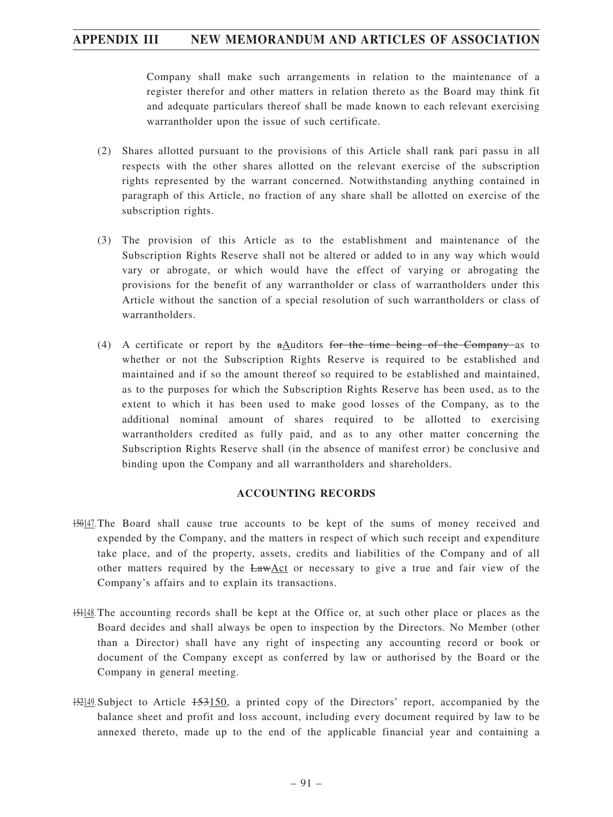Company shall make such arrangements in relation to the maintenance of a register therefor and other matters in relation thereto as the Board may think fit and adequate particulars thereof shall be made known to each relevant exercising warrantholder upon the issue of such certificate.

- (2) Shares allotted pursuant to the provisions of this Article shall rank pari passu in all respects with the other shares allotted on the relevant exercise of the subscription rights represented by the warrant concerned. Notwithstanding anything contained in paragraph of this Article, no fraction of any share shall be allotted on exercise of the subscription rights.
- (3) The provision of this Article as to the establishment and maintenance of the Subscription Rights Reserve shall not be altered or added to in any way which would vary or abrogate, or which would have the effect of varying or abrogating the provisions for the benefit of any warrantholder or class of warrantholders under this Article without the sanction of a special resolution of such warrantholders or class of warrantholders.
- (4) A certificate or report by the  $a$ Auditors for the time being of the Company as to whether or not the Subscription Rights Reserve is required to be established and maintained and if so the amount thereof so required to be established and maintained, as to the purposes for which the Subscription Rights Reserve has been used, as to the extent to which it has been used to make good losses of the Company, as to the additional nominal amount of shares required to be allotted to exercising warrantholders credited as fully paid, and as to any other matter concerning the Subscription Rights Reserve shall (in the absence of manifest error) be conclusive and binding upon the Company and all warrantholders and shareholders.

#### **ACCOUNTING RECORDS**

- 150147. The Board shall cause true accounts to be kept of the sums of money received and expended by the Company, and the matters in respect of which such receipt and expenditure take place, and of the property, assets, credits and liabilities of the Company and of all other matters required by the  $EawAct$  or necessary to give a true and fair view of the Company's affairs and to explain its transactions.
- 151148. The accounting records shall be kept at the Office or, at such other place or places as the Board decides and shall always be open to inspection by the Directors. No Member (other than a Director) shall have any right of inspecting any accounting record or book or document of the Company except as conferred by law or authorised by the Board or the Company in general meeting.
- 152149. Subject to Article 153150, a printed copy of the Directors' report, accompanied by the balance sheet and profit and loss account, including every document required by law to be annexed thereto, made up to the end of the applicable financial year and containing a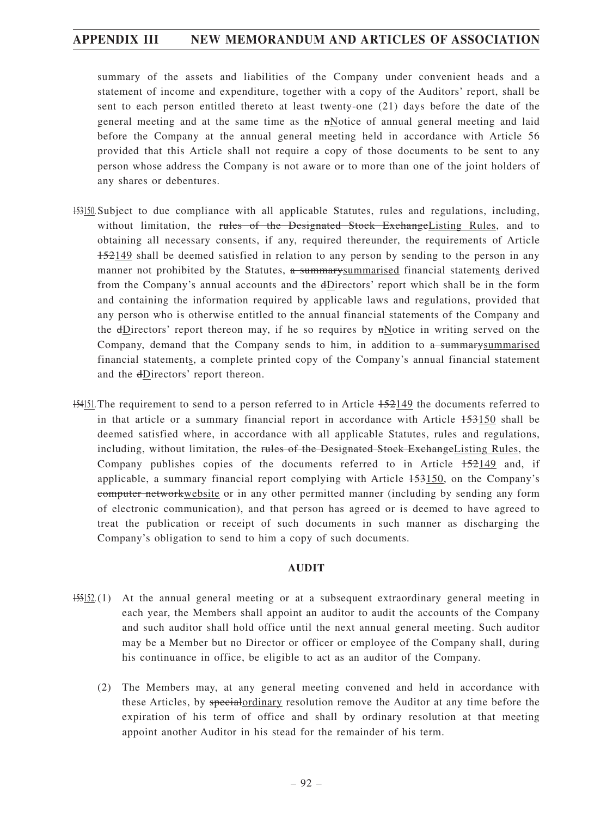summary of the assets and liabilities of the Company under convenient heads and a statement of income and expenditure, together with a copy of the Auditors' report, shall be sent to each person entitled thereto at least twenty-one (21) days before the date of the general meeting and at the same time as the  $n$ -Notice of annual general meeting and laid before the Company at the annual general meeting held in accordance with Article 56 provided that this Article shall not require a copy of those documents to be sent to any person whose address the Company is not aware or to more than one of the joint holders of any shares or debentures.

- 153150. Subject to due compliance with all applicable Statutes, rules and regulations, including, without limitation, the rules of the Designated Stock ExchangeListing Rules, and to obtaining all necessary consents, if any, required thereunder, the requirements of Article 152149 shall be deemed satisfied in relation to any person by sending to the person in any manner not prohibited by the Statutes, a summary summarised financial statements derived from the Company's annual accounts and the dDirectors' report which shall be in the form and containing the information required by applicable laws and regulations, provided that any person who is otherwise entitled to the annual financial statements of the Company and the dDirectors' report thereon may, if he so requires by  $\pi$ Notice in writing served on the Company, demand that the Company sends to him, in addition to  $\alpha$  summary summarised financial statements, a complete printed copy of the Company's annual financial statement and the dDirectors' report thereon.
- 154151. The requirement to send to a person referred to in Article 152149 the documents referred to in that article or a summary financial report in accordance with Article 153150 shall be deemed satisfied where, in accordance with all applicable Statutes, rules and regulations, including, without limitation, the rules of the Designated Stock Exchange Listing Rules, the Company publishes copies of the documents referred to in Article 152149 and, if applicable, a summary financial report complying with Article 153150, on the Company's computer networkwebsite or in any other permitted manner (including by sending any form of electronic communication), and that person has agreed or is deemed to have agreed to treat the publication or receipt of such documents in such manner as discharging the Company's obligation to send to him a copy of such documents.

#### **AUDIT**

- 155152.(1) At the annual general meeting or at a subsequent extraordinary general meeting in each year, the Members shall appoint an auditor to audit the accounts of the Company and such auditor shall hold office until the next annual general meeting. Such auditor may be a Member but no Director or officer or employee of the Company shall, during his continuance in office, be eligible to act as an auditor of the Company.
	- (2) The Members may, at any general meeting convened and held in accordance with these Articles, by specialordinary resolution remove the Auditor at any time before the expiration of his term of office and shall by ordinary resolution at that meeting appoint another Auditor in his stead for the remainder of his term.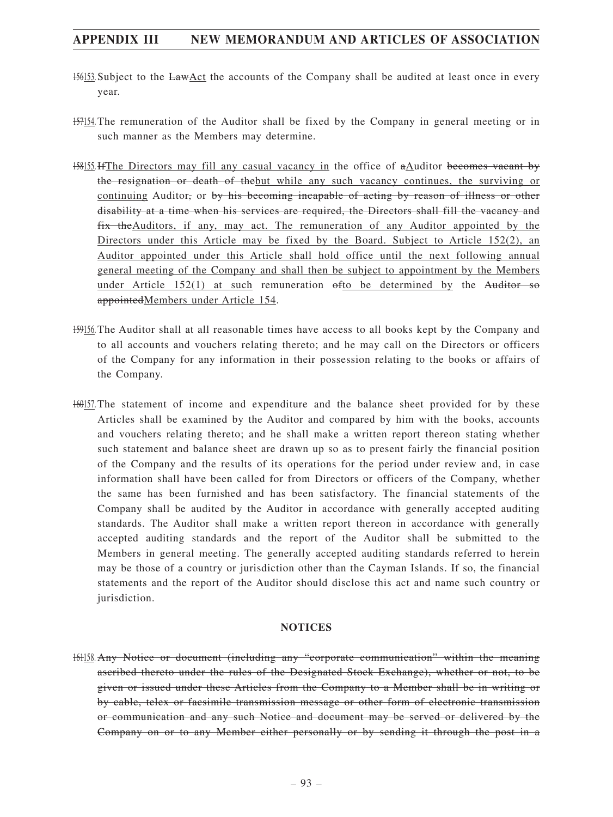- 156153. Subject to the LawAct the accounts of the Company shall be audited at least once in every year.
- 157154. The remuneration of the Auditor shall be fixed by the Company in general meeting or in such manner as the Members may determine.
- 158155.IfThe Directors may fill any casual vacancy in the office of aAuditor becomes vacant by the resignation or death of thebut while any such vacancy continues, the surviving or continuing Auditor, or by his becoming incapable of acting by reason of illness or other disability at a time when his services are required, the Directors shall fill the vacancy and fix theAuditors, if any, may act. The remuneration of any Auditor appointed by the Directors under this Article may be fixed by the Board. Subject to Article 152(2), an Auditor appointed under this Article shall hold office until the next following annual general meeting of the Company and shall then be subject to appointment by the Members under Article 152(1) at such remuneration  $\theta$ fto be determined by the Auditor so appointedMembers under Article 154.
- 159156. The Auditor shall at all reasonable times have access to all books kept by the Company and to all accounts and vouchers relating thereto; and he may call on the Directors or officers of the Company for any information in their possession relating to the books or affairs of the Company.
- 160157. The statement of income and expenditure and the balance sheet provided for by these Articles shall be examined by the Auditor and compared by him with the books, accounts and vouchers relating thereto; and he shall make a written report thereon stating whether such statement and balance sheet are drawn up so as to present fairly the financial position of the Company and the results of its operations for the period under review and, in case information shall have been called for from Directors or officers of the Company, whether the same has been furnished and has been satisfactory. The financial statements of the Company shall be audited by the Auditor in accordance with generally accepted auditing standards. The Auditor shall make a written report thereon in accordance with generally accepted auditing standards and the report of the Auditor shall be submitted to the Members in general meeting. The generally accepted auditing standards referred to herein may be those of a country or jurisdiction other than the Cayman Islands. If so, the financial statements and the report of the Auditor should disclose this act and name such country or jurisdiction.

#### **NOTICES**

161158. Any Notice or document (including any "corporate communication" within the meaning ascribed thereto under the rules of the Designated Stock Exchange), whether or not, to be given or issued under these Articles from the Company to a Member shall be in writing or by cable, telex or facsimile transmission message or other form of electronic transmission or communication and any such Notice and document may be served or delivered by the Company on or to any Member either personally or by sending it through the post in a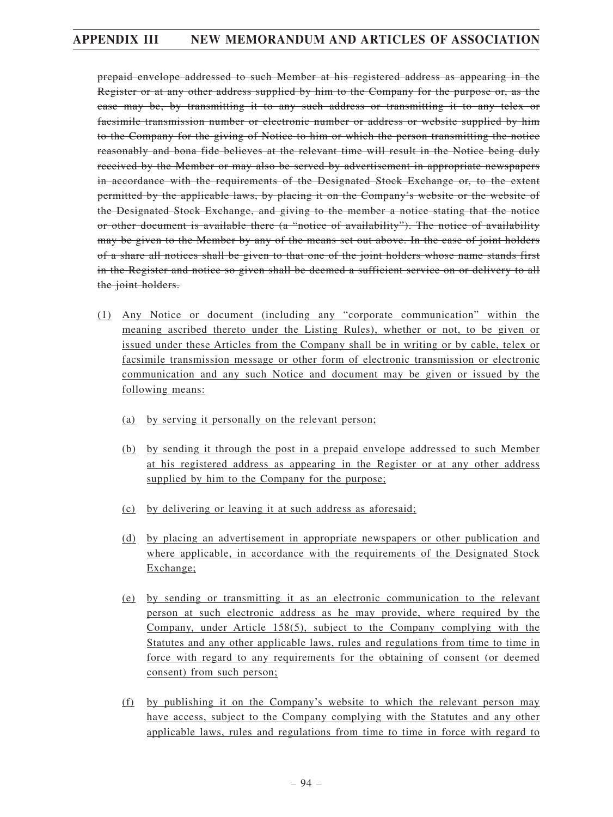prepaid envelope addressed to such Member at his registered address as appearing in the Register or at any other address supplied by him to the Company for the purpose or, as the case may be, by transmitting it to any such address or transmitting it to any telex or facsimile transmission number or electronic number or address or website supplied by him to the Company for the giving of Notice to him or which the person transmitting the notice reasonably and bona fide believes at the relevant time will result in the Notice being duly received by the Member or may also be served by advertisement in appropriate newspapers in accordance with the requirements of the Designated Stock Exchange or, to the extent permitted by the applicable laws, by placing it on the Company's website or the website of the Designated Stock Exchange, and giving to the member a notice stating that the notice or other document is available there (a "notice of availability"). The notice of availability may be given to the Member by any of the means set out above. In the case of joint holders of a share all notices shall be given to that one of the joint holders whose name stands first in the Register and notice so given shall be deemed a sufficient service on or delivery to all the joint holders.

- (1) Any Notice or document (including any "corporate communication" within the meaning ascribed thereto under the Listing Rules), whether or not, to be given or issued under these Articles from the Company shall be in writing or by cable, telex or facsimile transmission message or other form of electronic transmission or electronic communication and any such Notice and document may be given or issued by the following means:
	- (a) by serving it personally on the relevant person;
	- (b) by sending it through the post in a prepaid envelope addressed to such Member at his registered address as appearing in the Register or at any other address supplied by him to the Company for the purpose;
	- (c) by delivering or leaving it at such address as aforesaid;
	- (d) by placing an advertisement in appropriate newspapers or other publication and where applicable, in accordance with the requirements of the Designated Stock Exchange;
	- (e) by sending or transmitting it as an electronic communication to the relevant person at such electronic address as he may provide, where required by the Company, under Article 158(5), subject to the Company complying with the Statutes and any other applicable laws, rules and regulations from time to time in force with regard to any requirements for the obtaining of consent (or deemed consent) from such person;
	- (f) by publishing it on the Company's website to which the relevant person may have access, subject to the Company complying with the Statutes and any other applicable laws, rules and regulations from time to time in force with regard to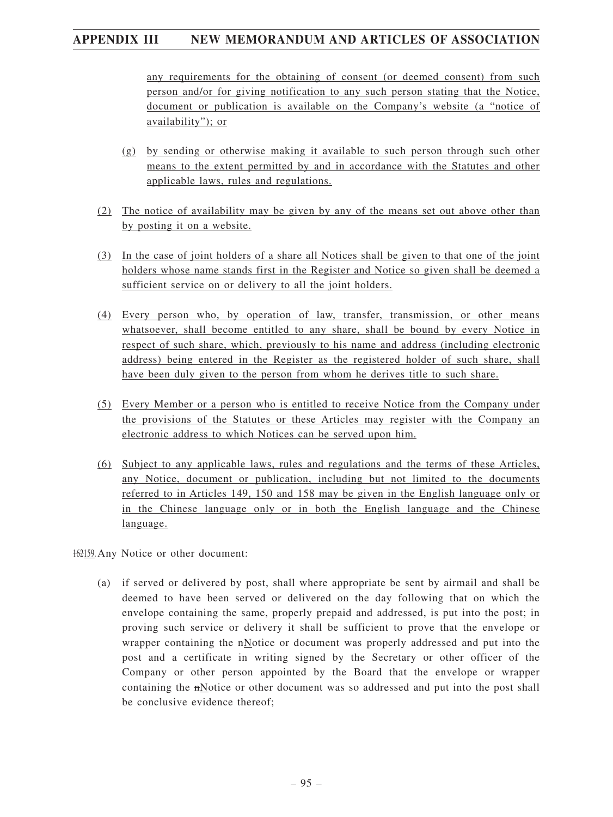any requirements for the obtaining of consent (or deemed consent) from such person and/or for giving notification to any such person stating that the Notice, document or publication is available on the Company's website (a "notice of availability"); or

- (g) by sending or otherwise making it available to such person through such other means to the extent permitted by and in accordance with the Statutes and other applicable laws, rules and regulations.
- (2) The notice of availability may be given by any of the means set out above other than by posting it on a website.
- (3) In the case of joint holders of a share all Notices shall be given to that one of the joint holders whose name stands first in the Register and Notice so given shall be deemed a sufficient service on or delivery to all the joint holders.
- (4) Every person who, by operation of law, transfer, transmission, or other means whatsoever, shall become entitled to any share, shall be bound by every Notice in respect of such share, which, previously to his name and address (including electronic address) being entered in the Register as the registered holder of such share, shall have been duly given to the person from whom he derives title to such share.
- (5) Every Member or a person who is entitled to receive Notice from the Company under the provisions of the Statutes or these Articles may register with the Company an electronic address to which Notices can be served upon him.
- (6) Subject to any applicable laws, rules and regulations and the terms of these Articles, any Notice, document or publication, including but not limited to the documents referred to in Articles 149, 150 and 158 may be given in the English language only or in the Chinese language only or in both the English language and the Chinese language.

162159. Any Notice or other document:

(a) if served or delivered by post, shall where appropriate be sent by airmail and shall be deemed to have been served or delivered on the day following that on which the envelope containing the same, properly prepaid and addressed, is put into the post; in proving such service or delivery it shall be sufficient to prove that the envelope or wrapper containing the nNotice or document was properly addressed and put into the post and a certificate in writing signed by the Secretary or other officer of the Company or other person appointed by the Board that the envelope or wrapper containing the mNotice or other document was so addressed and put into the post shall be conclusive evidence thereof;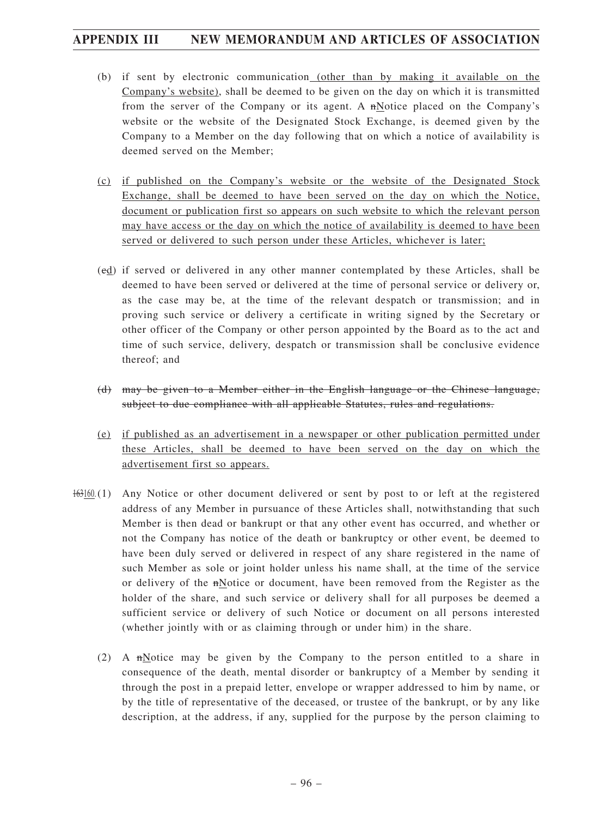- (b) if sent by electronic communication (other than by making it available on the Company's website), shall be deemed to be given on the day on which it is transmitted from the server of the Company or its agent. A nNotice placed on the Company's website or the website of the Designated Stock Exchange, is deemed given by the Company to a Member on the day following that on which a notice of availability is deemed served on the Member;
- (c) if published on the Company's website or the website of the Designated Stock Exchange, shall be deemed to have been served on the day on which the Notice, document or publication first so appears on such website to which the relevant person may have access or the day on which the notice of availability is deemed to have been served or delivered to such person under these Articles, whichever is later;
- (cd) if served or delivered in any other manner contemplated by these Articles, shall be deemed to have been served or delivered at the time of personal service or delivery or, as the case may be, at the time of the relevant despatch or transmission; and in proving such service or delivery a certificate in writing signed by the Secretary or other officer of the Company or other person appointed by the Board as to the act and time of such service, delivery, despatch or transmission shall be conclusive evidence thereof; and
- (d) may be given to a Member either in the English language or the Chinese language, subject to due compliance with all applicable Statutes, rules and regulations.
- (e) if published as an advertisement in a newspaper or other publication permitted under these Articles, shall be deemed to have been served on the day on which the advertisement first so appears.
- 163160.(1) Any Notice or other document delivered or sent by post to or left at the registered address of any Member in pursuance of these Articles shall, notwithstanding that such Member is then dead or bankrupt or that any other event has occurred, and whether or not the Company has notice of the death or bankruptcy or other event, be deemed to have been duly served or delivered in respect of any share registered in the name of such Member as sole or joint holder unless his name shall, at the time of the service or delivery of the nNotice or document, have been removed from the Register as the holder of the share, and such service or delivery shall for all purposes be deemed a sufficient service or delivery of such Notice or document on all persons interested (whether jointly with or as claiming through or under him) in the share.
	- (2) A nNotice may be given by the Company to the person entitled to a share in consequence of the death, mental disorder or bankruptcy of a Member by sending it through the post in a prepaid letter, envelope or wrapper addressed to him by name, or by the title of representative of the deceased, or trustee of the bankrupt, or by any like description, at the address, if any, supplied for the purpose by the person claiming to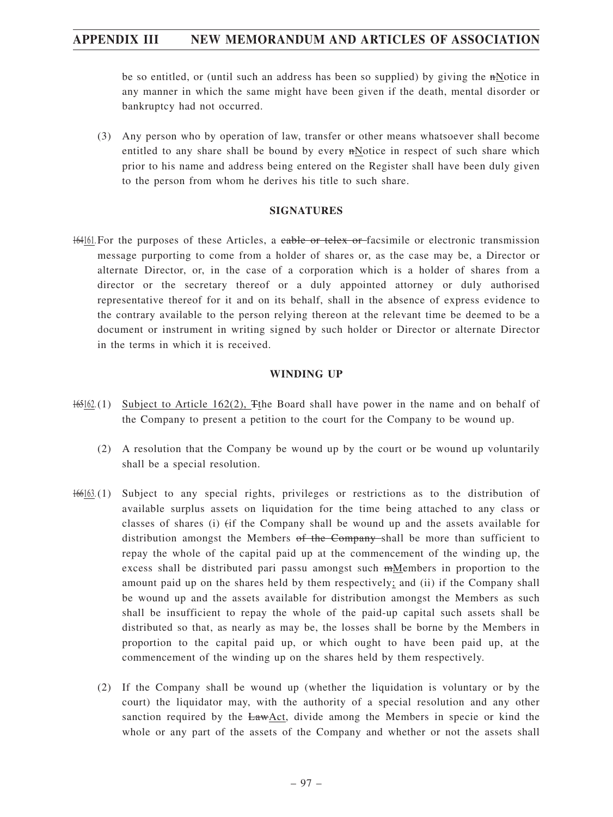be so entitled, or (until such an address has been so supplied) by giving the nNotice in any manner in which the same might have been given if the death, mental disorder or bankruptcy had not occurred.

(3) Any person who by operation of law, transfer or other means whatsoever shall become entitled to any share shall be bound by every nNotice in respect of such share which prior to his name and address being entered on the Register shall have been duly given to the person from whom he derives his title to such share.

#### **SIGNATURES**

164161. For the purposes of these Articles, a cable or telex or facsimile or electronic transmission message purporting to come from a holder of shares or, as the case may be, a Director or alternate Director, or, in the case of a corporation which is a holder of shares from a director or the secretary thereof or a duly appointed attorney or duly authorised representative thereof for it and on its behalf, shall in the absence of express evidence to the contrary available to the person relying thereon at the relevant time be deemed to be a document or instrument in writing signed by such holder or Director or alternate Director in the terms in which it is received.

#### **WINDING UP**

- 165162.(1) Subject to Article 162(2), Tthe Board shall have power in the name and on behalf of the Company to present a petition to the court for the Company to be wound up.
	- (2) A resolution that the Company be wound up by the court or be wound up voluntarily shall be a special resolution.
- 166163.(1) Subject to any special rights, privileges or restrictions as to the distribution of available surplus assets on liquidation for the time being attached to any class or classes of shares (i) (if the Company shall be wound up and the assets available for distribution amongst the Members of the Company-shall be more than sufficient to repay the whole of the capital paid up at the commencement of the winding up, the excess shall be distributed pari passu amongst such  $m$ Members in proportion to the amount paid up on the shares held by them respectively; and (ii) if the Company shall be wound up and the assets available for distribution amongst the Members as such shall be insufficient to repay the whole of the paid-up capital such assets shall be distributed so that, as nearly as may be, the losses shall be borne by the Members in proportion to the capital paid up, or which ought to have been paid up, at the commencement of the winding up on the shares held by them respectively.
	- (2) If the Company shall be wound up (whether the liquidation is voluntary or by the court) the liquidator may, with the authority of a special resolution and any other sanction required by the  $LawAct$ , divide among the Members in specie or kind the whole or any part of the assets of the Company and whether or not the assets shall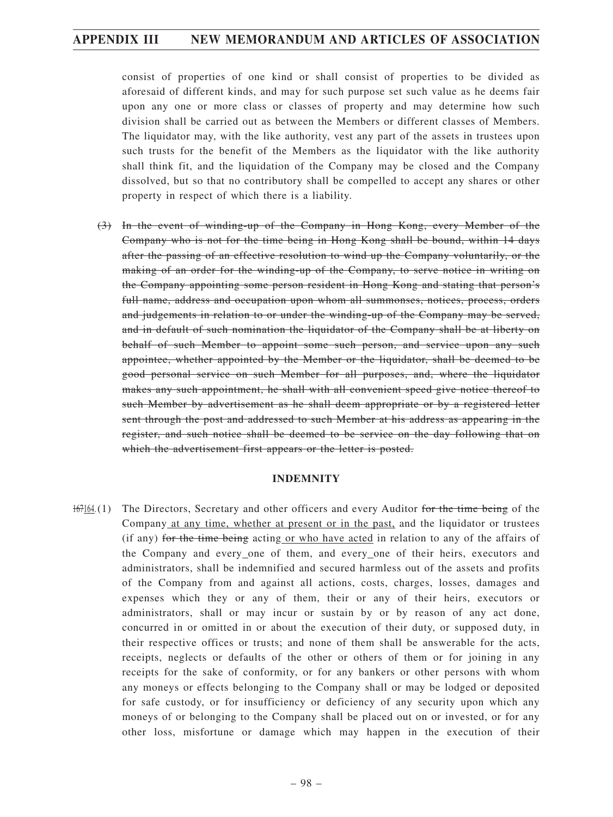consist of properties of one kind or shall consist of properties to be divided as aforesaid of different kinds, and may for such purpose set such value as he deems fair upon any one or more class or classes of property and may determine how such division shall be carried out as between the Members or different classes of Members. The liquidator may, with the like authority, vest any part of the assets in trustees upon such trusts for the benefit of the Members as the liquidator with the like authority shall think fit, and the liquidation of the Company may be closed and the Company dissolved, but so that no contributory shall be compelled to accept any shares or other property in respect of which there is a liability.

(3) In the event of winding-up of the Company in Hong Kong, every Member of the Company who is not for the time being in Hong Kong shall be bound, within 14 days after the passing of an effective resolution to wind up the Company voluntarily, or the making of an order for the winding-up of the Company, to serve notice in writing on the Company appointing some person resident in Hong Kong and stating that person's full name, address and occupation upon whom all summonses, notices, process, orders and judgements in relation to or under the winding-up of the Company may be served, and in default of such nomination the liquidator of the Company shall be at liberty on behalf of such Member to appoint some such person, and service upon any such appointee, whether appointed by the Member or the liquidator, shall be deemed to be good personal service on such Member for all purposes, and, where the liquidator makes any such appointment, he shall with all convenient speed give notice thereof to such Member by advertisement as he shall deem appropriate or by a registered letter sent through the post and addressed to such Member at his address as appearing in the register, and such notice shall be deemed to be service on the day following that on which the advertisement first appears or the letter is posted.

#### **INDEMNITY**

167164.(1) The Directors, Secretary and other officers and every Auditor for the time being of the Company at any time, whether at present or in the past, and the liquidator or trustees (if any) for the time being acting or who have acted in relation to any of the affairs of the Company and every one of them, and every one of their heirs, executors and administrators, shall be indemnified and secured harmless out of the assets and profits of the Company from and against all actions, costs, charges, losses, damages and expenses which they or any of them, their or any of their heirs, executors or administrators, shall or may incur or sustain by or by reason of any act done, concurred in or omitted in or about the execution of their duty, or supposed duty, in their respective offices or trusts; and none of them shall be answerable for the acts, receipts, neglects or defaults of the other or others of them or for joining in any receipts for the sake of conformity, or for any bankers or other persons with whom any moneys or effects belonging to the Company shall or may be lodged or deposited for safe custody, or for insufficiency or deficiency of any security upon which any moneys of or belonging to the Company shall be placed out on or invested, or for any other loss, misfortune or damage which may happen in the execution of their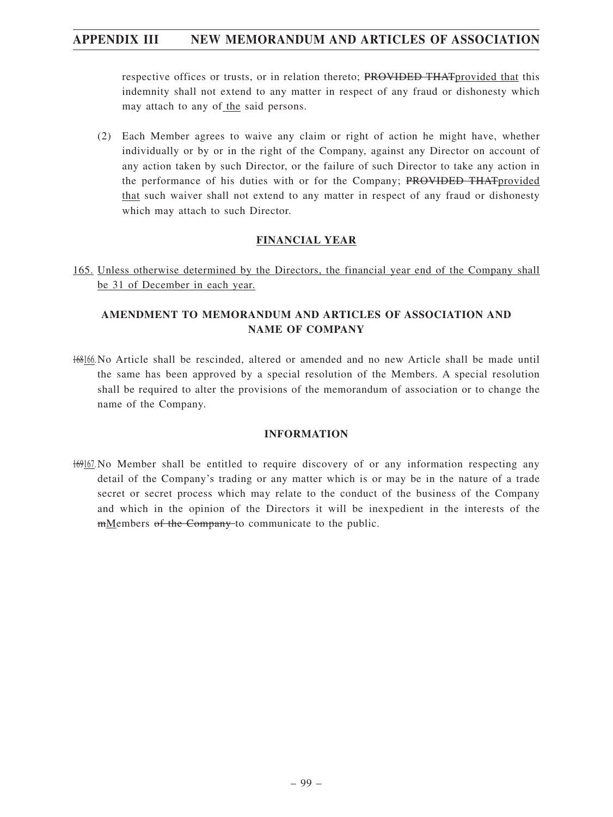respective offices or trusts, or in relation thereto; PROVIDED THAT provided that this indemnity shall not extend to any matter in respect of any fraud or dishonesty which may attach to any of the said persons.

(2) Each Member agrees to waive any claim or right of action he might have, whether individually or by or in the right of the Company, against any Director on account of any action taken by such Director, or the failure of such Director to take any action in the performance of his duties with or for the Company; PROVIDED THATprovided that such waiver shall not extend to any matter in respect of any fraud or dishonesty which may attach to such Director.

#### **FINANCIAL YEAR**

165. Unless otherwise determined by the Directors, the financial year end of the Company shall be 31 of December in each year.

### **AMENDMENT TO MEMORANDUM AND ARTICLES OF ASSOCIATION AND NAME OF COMPANY**

168166. No Article shall be rescinded, altered or amended and no new Article shall be made until the same has been approved by a special resolution of the Members. A special resolution shall be required to alter the provisions of the memorandum of association or to change the name of the Company.

#### **INFORMATION**

169167. No Member shall be entitled to require discovery of or any information respecting any detail of the Company's trading or any matter which is or may be in the nature of a trade secret or secret process which may relate to the conduct of the business of the Company and which in the opinion of the Directors it will be inexpedient in the interests of the mMembers of the Company to communicate to the public.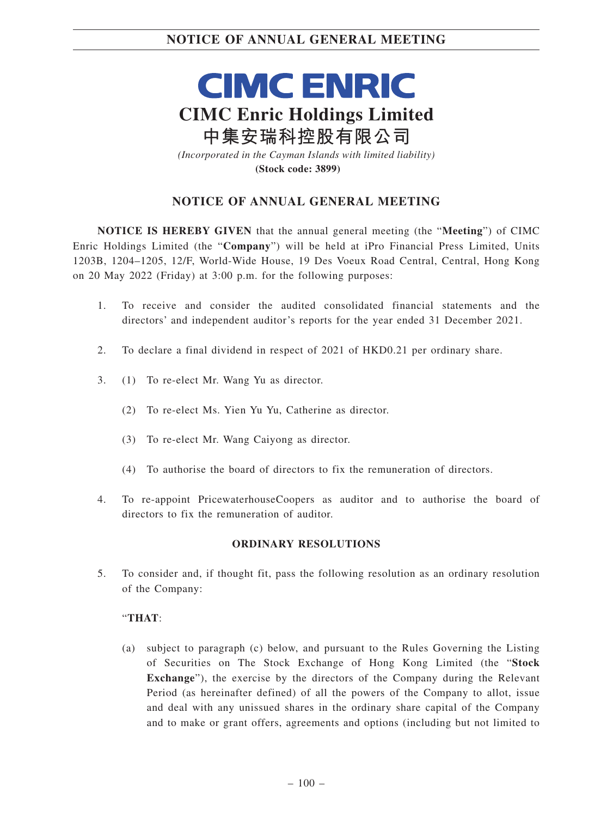**CIMC ENRIC CIMC Enric Holdings Limited 中集安瑞科控股有限公司** *(Incorporated in the Cayman Islands with limited liability)*

**(Stock code: 3899)**

## **NOTICE OF ANNUAL GENERAL MEETING**

**NOTICE IS HEREBY GIVEN** that the annual general meeting (the "**Meeting**") of CIMC Enric Holdings Limited (the "**Company**") will be held at iPro Financial Press Limited, Units 1203B, 1204–1205, 12/F, World-Wide House, 19 Des Voeux Road Central, Central, Hong Kong on 20 May 2022 (Friday) at 3:00 p.m. for the following purposes:

- 1. To receive and consider the audited consolidated financial statements and the directors' and independent auditor's reports for the year ended 31 December 2021.
- 2. To declare a final dividend in respect of 2021 of HKD0.21 per ordinary share.
- 3. (1) To re-elect Mr. Wang Yu as director.
	- (2) To re-elect Ms. Yien Yu Yu, Catherine as director.
	- (3) To re-elect Mr. Wang Caiyong as director.
	- (4) To authorise the board of directors to fix the remuneration of directors.
- 4. To re-appoint PricewaterhouseCoopers as auditor and to authorise the board of directors to fix the remuneration of auditor.

#### **ORDINARY RESOLUTIONS**

5. To consider and, if thought fit, pass the following resolution as an ordinary resolution of the Company:

#### "**THAT**:

(a) subject to paragraph (c) below, and pursuant to the Rules Governing the Listing of Securities on The Stock Exchange of Hong Kong Limited (the "**Stock Exchange**"), the exercise by the directors of the Company during the Relevant Period (as hereinafter defined) of all the powers of the Company to allot, issue and deal with any unissued shares in the ordinary share capital of the Company and to make or grant offers, agreements and options (including but not limited to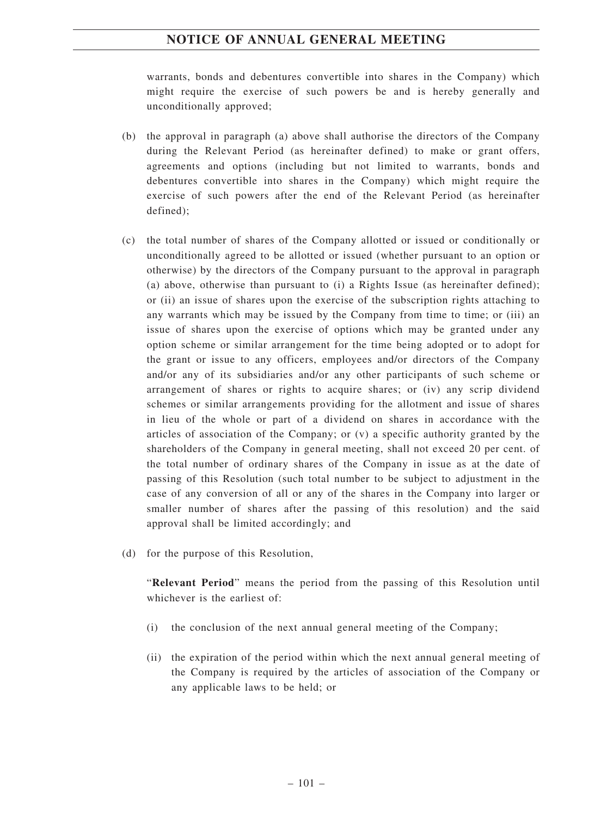warrants, bonds and debentures convertible into shares in the Company) which might require the exercise of such powers be and is hereby generally and unconditionally approved;

- (b) the approval in paragraph (a) above shall authorise the directors of the Company during the Relevant Period (as hereinafter defined) to make or grant offers, agreements and options (including but not limited to warrants, bonds and debentures convertible into shares in the Company) which might require the exercise of such powers after the end of the Relevant Period (as hereinafter defined);
- (c) the total number of shares of the Company allotted or issued or conditionally or unconditionally agreed to be allotted or issued (whether pursuant to an option or otherwise) by the directors of the Company pursuant to the approval in paragraph (a) above, otherwise than pursuant to (i) a Rights Issue (as hereinafter defined); or (ii) an issue of shares upon the exercise of the subscription rights attaching to any warrants which may be issued by the Company from time to time; or (iii) an issue of shares upon the exercise of options which may be granted under any option scheme or similar arrangement for the time being adopted or to adopt for the grant or issue to any officers, employees and/or directors of the Company and/or any of its subsidiaries and/or any other participants of such scheme or arrangement of shares or rights to acquire shares; or (iv) any scrip dividend schemes or similar arrangements providing for the allotment and issue of shares in lieu of the whole or part of a dividend on shares in accordance with the articles of association of the Company; or (v) a specific authority granted by the shareholders of the Company in general meeting, shall not exceed 20 per cent. of the total number of ordinary shares of the Company in issue as at the date of passing of this Resolution (such total number to be subject to adjustment in the case of any conversion of all or any of the shares in the Company into larger or smaller number of shares after the passing of this resolution) and the said approval shall be limited accordingly; and
- (d) for the purpose of this Resolution,

"**Relevant Period**" means the period from the passing of this Resolution until whichever is the earliest of:

- (i) the conclusion of the next annual general meeting of the Company;
- (ii) the expiration of the period within which the next annual general meeting of the Company is required by the articles of association of the Company or any applicable laws to be held; or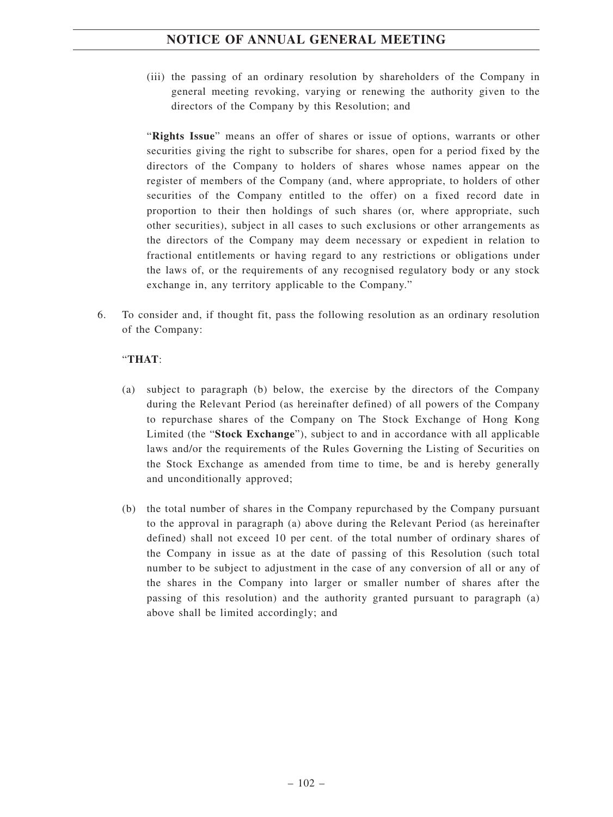(iii) the passing of an ordinary resolution by shareholders of the Company in general meeting revoking, varying or renewing the authority given to the directors of the Company by this Resolution; and

"**Rights Issue**" means an offer of shares or issue of options, warrants or other securities giving the right to subscribe for shares, open for a period fixed by the directors of the Company to holders of shares whose names appear on the register of members of the Company (and, where appropriate, to holders of other securities of the Company entitled to the offer) on a fixed record date in proportion to their then holdings of such shares (or, where appropriate, such other securities), subject in all cases to such exclusions or other arrangements as the directors of the Company may deem necessary or expedient in relation to fractional entitlements or having regard to any restrictions or obligations under the laws of, or the requirements of any recognised regulatory body or any stock exchange in, any territory applicable to the Company."

6. To consider and, if thought fit, pass the following resolution as an ordinary resolution of the Company:

#### "**THAT**:

- (a) subject to paragraph (b) below, the exercise by the directors of the Company during the Relevant Period (as hereinafter defined) of all powers of the Company to repurchase shares of the Company on The Stock Exchange of Hong Kong Limited (the "**Stock Exchange**"), subject to and in accordance with all applicable laws and/or the requirements of the Rules Governing the Listing of Securities on the Stock Exchange as amended from time to time, be and is hereby generally and unconditionally approved;
- (b) the total number of shares in the Company repurchased by the Company pursuant to the approval in paragraph (a) above during the Relevant Period (as hereinafter defined) shall not exceed 10 per cent. of the total number of ordinary shares of the Company in issue as at the date of passing of this Resolution (such total number to be subject to adjustment in the case of any conversion of all or any of the shares in the Company into larger or smaller number of shares after the passing of this resolution) and the authority granted pursuant to paragraph (a) above shall be limited accordingly; and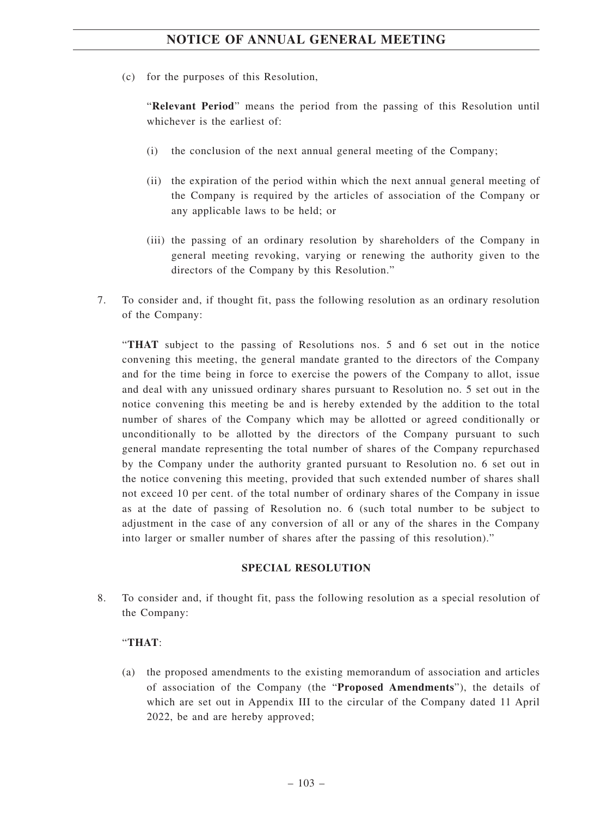(c) for the purposes of this Resolution,

"**Relevant Period**" means the period from the passing of this Resolution until whichever is the earliest of:

- (i) the conclusion of the next annual general meeting of the Company;
- (ii) the expiration of the period within which the next annual general meeting of the Company is required by the articles of association of the Company or any applicable laws to be held; or
- (iii) the passing of an ordinary resolution by shareholders of the Company in general meeting revoking, varying or renewing the authority given to the directors of the Company by this Resolution."
- 7. To consider and, if thought fit, pass the following resolution as an ordinary resolution of the Company:

"**THAT** subject to the passing of Resolutions nos. 5 and 6 set out in the notice convening this meeting, the general mandate granted to the directors of the Company and for the time being in force to exercise the powers of the Company to allot, issue and deal with any unissued ordinary shares pursuant to Resolution no. 5 set out in the notice convening this meeting be and is hereby extended by the addition to the total number of shares of the Company which may be allotted or agreed conditionally or unconditionally to be allotted by the directors of the Company pursuant to such general mandate representing the total number of shares of the Company repurchased by the Company under the authority granted pursuant to Resolution no. 6 set out in the notice convening this meeting, provided that such extended number of shares shall not exceed 10 per cent. of the total number of ordinary shares of the Company in issue as at the date of passing of Resolution no. 6 (such total number to be subject to adjustment in the case of any conversion of all or any of the shares in the Company into larger or smaller number of shares after the passing of this resolution)."

#### **SPECIAL RESOLUTION**

8. To consider and, if thought fit, pass the following resolution as a special resolution of the Company:

#### "**THAT**:

(a) the proposed amendments to the existing memorandum of association and articles of association of the Company (the "**Proposed Amendments**"), the details of which are set out in Appendix III to the circular of the Company dated 11 April 2022, be and are hereby approved;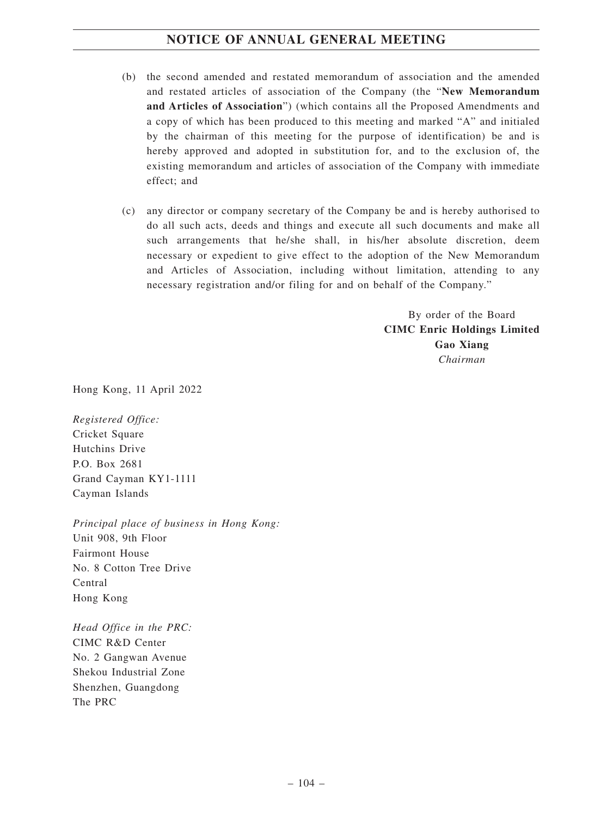- (b) the second amended and restated memorandum of association and the amended and restated articles of association of the Company (the "**New Memorandum and Articles of Association**") (which contains all the Proposed Amendments and a copy of which has been produced to this meeting and marked "A" and initialed by the chairman of this meeting for the purpose of identification) be and is hereby approved and adopted in substitution for, and to the exclusion of, the existing memorandum and articles of association of the Company with immediate effect; and
- (c) any director or company secretary of the Company be and is hereby authorised to do all such acts, deeds and things and execute all such documents and make all such arrangements that he/she shall, in his/her absolute discretion, deem necessary or expedient to give effect to the adoption of the New Memorandum and Articles of Association, including without limitation, attending to any necessary registration and/or filing for and on behalf of the Company."

By order of the Board **CIMC Enric Holdings Limited Gao Xiang** *Chairman*

Hong Kong, 11 April 2022

*Registered Office:* Cricket Square Hutchins Drive P.O. Box 2681 Grand Cayman KY1-1111 Cayman Islands

*Principal place of business in Hong Kong:* Unit 908, 9th Floor Fairmont House No. 8 Cotton Tree Drive Central Hong Kong

*Head Office in the PRC:* CIMC R&D Center No. 2 Gangwan Avenue Shekou Industrial Zone Shenzhen, Guangdong The PRC